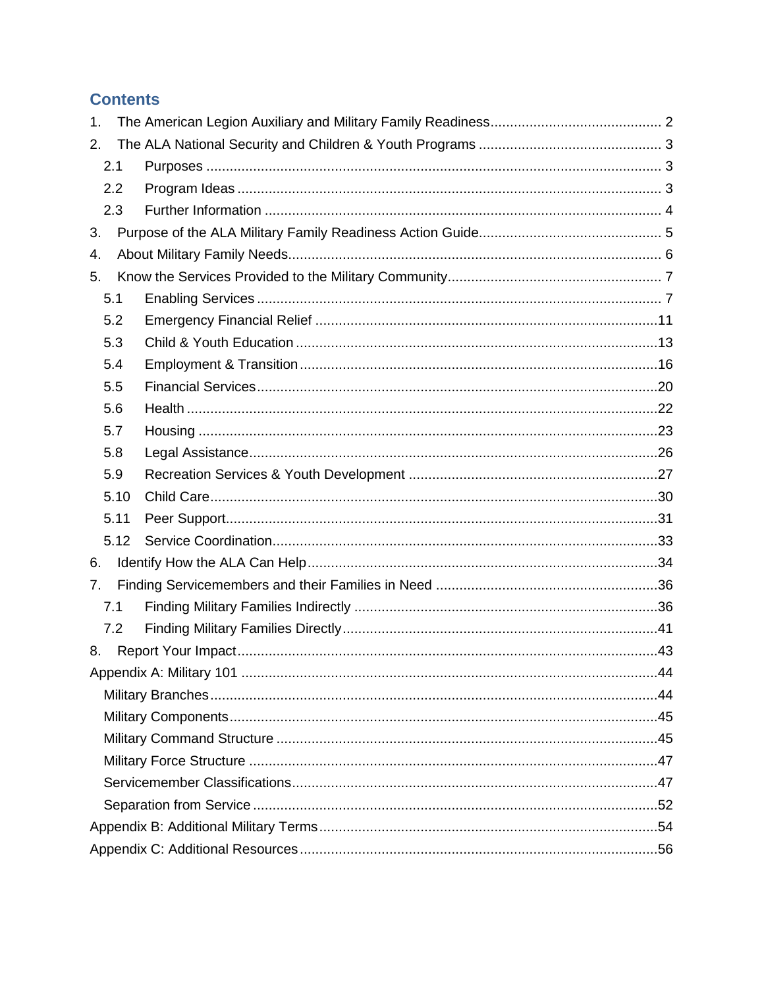# **Contents**

| 1.  |      |  |     |  |  |
|-----|------|--|-----|--|--|
| 2.  |      |  |     |  |  |
| 2.1 |      |  |     |  |  |
| 2.2 |      |  |     |  |  |
| 2.3 |      |  |     |  |  |
| 3.  |      |  |     |  |  |
| 4.  |      |  |     |  |  |
| 5.  |      |  |     |  |  |
| 5.1 |      |  |     |  |  |
| 5.2 |      |  |     |  |  |
| 5.3 |      |  |     |  |  |
| 5.4 |      |  |     |  |  |
| 5.5 |      |  |     |  |  |
| 5.6 |      |  |     |  |  |
| 5.7 |      |  |     |  |  |
| 5.8 |      |  |     |  |  |
| 5.9 |      |  |     |  |  |
|     | 5.10 |  |     |  |  |
|     | 5.11 |  |     |  |  |
|     | 5.12 |  |     |  |  |
| 6.  |      |  |     |  |  |
| 7.  |      |  |     |  |  |
| 7.1 |      |  |     |  |  |
| 7.2 |      |  |     |  |  |
| 8.  |      |  |     |  |  |
|     |      |  | .44 |  |  |
|     |      |  |     |  |  |
|     |      |  |     |  |  |
|     |      |  |     |  |  |
|     |      |  |     |  |  |
|     |      |  |     |  |  |
|     |      |  |     |  |  |
|     |      |  |     |  |  |
|     |      |  |     |  |  |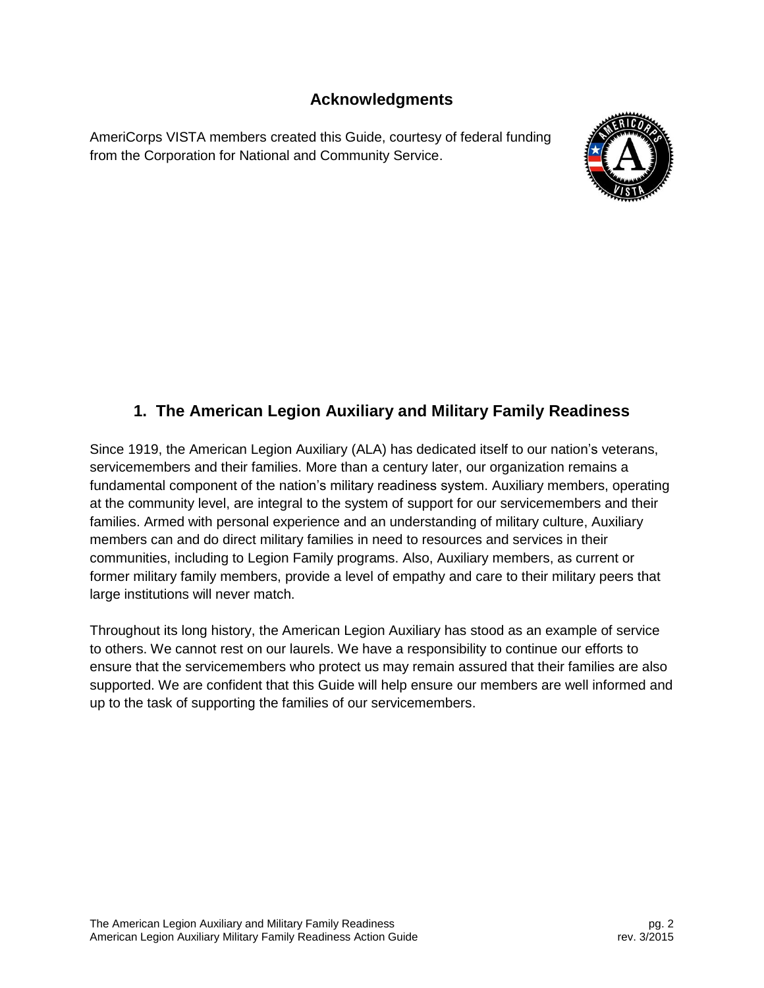## **Acknowledgments**

<span id="page-2-0"></span>AmeriCorps VISTA members created this Guide, courtesy of federal funding from the Corporation for National and Community Service.



# **1. The American Legion Auxiliary and Military Family Readiness**

Since 1919, the American Legion Auxiliary (ALA) has dedicated itself to our nation's veterans, servicemembers and their families. More than a century later, our organization remains a fundamental component of the nation's military readiness system. Auxiliary members, operating at the community level, are integral to the system of support for our servicemembers and their families. Armed with personal experience and an understanding of military culture, Auxiliary members can and do direct military families in need to resources and services in their communities, including to Legion Family programs. Also, Auxiliary members, as current or former military family members, provide a level of empathy and care to their military peers that large institutions will never match.

Throughout its long history, the American Legion Auxiliary has stood as an example of service to others. We cannot rest on our laurels. We have a responsibility to continue our efforts to ensure that the servicemembers who protect us may remain assured that their families are also supported. We are confident that this Guide will help ensure our members are well informed and up to the task of supporting the families of our servicemembers.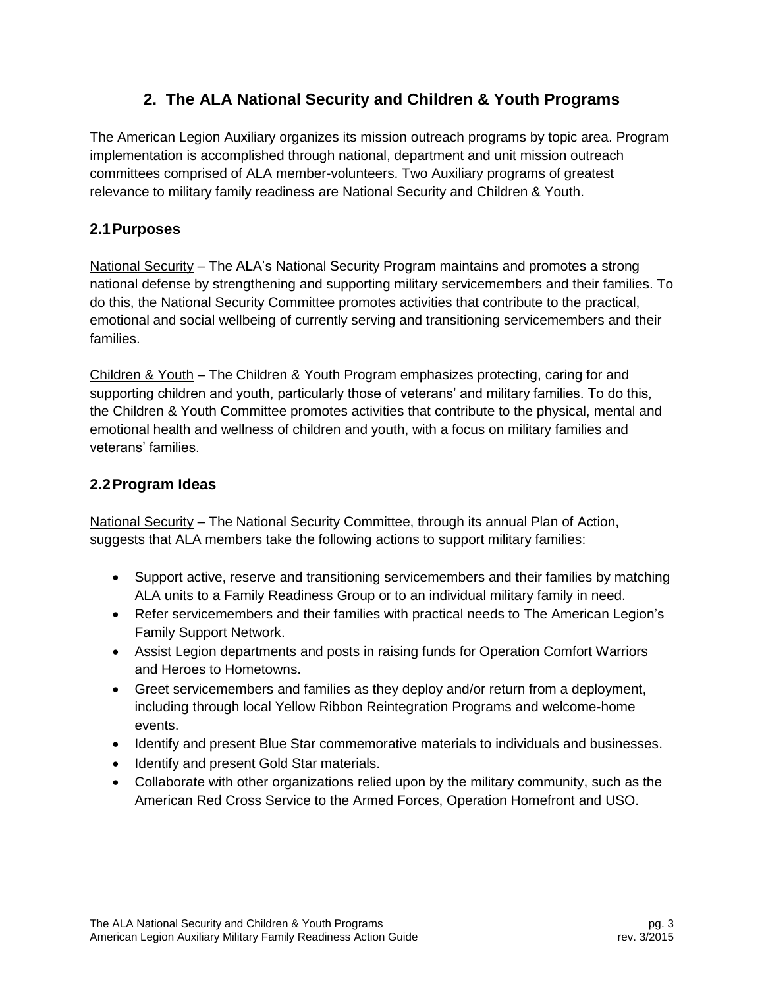# **2. The ALA National Security and Children & Youth Programs**

<span id="page-3-0"></span>The American Legion Auxiliary organizes its mission outreach programs by topic area. Program implementation is accomplished through national, department and unit mission outreach committees comprised of ALA member-volunteers. Two Auxiliary programs of greatest relevance to military family readiness are National Security and Children & Youth.

## <span id="page-3-1"></span>**2.1Purposes**

National Security – The ALA's National Security Program maintains and promotes a strong national defense by strengthening and supporting military servicemembers and their families. To do this, the National Security Committee promotes activities that contribute to the practical, emotional and social wellbeing of currently serving and transitioning servicemembers and their families.

Children & Youth – The Children & Youth Program emphasizes protecting, caring for and supporting children and youth, particularly those of veterans' and military families. To do this, the Children & Youth Committee promotes activities that contribute to the physical, mental and emotional health and wellness of children and youth, with a focus on military families and veterans' families.

## <span id="page-3-2"></span>**2.2Program Ideas**

National Security – The National Security Committee, through its annual Plan of Action, suggests that ALA members take the following actions to support military families:

- Support active, reserve and transitioning servicemembers and their families by matching ALA units to a Family Readiness Group or to an individual military family in need.
- Refer servicemembers and their families with practical needs to The American Legion's Family Support Network.
- Assist Legion departments and posts in raising funds for Operation Comfort Warriors and Heroes to Hometowns.
- Greet servicemembers and families as they deploy and/or return from a deployment, including through local Yellow Ribbon Reintegration Programs and welcome-home events.
- Identify and present Blue Star commemorative materials to individuals and businesses.
- Identify and present Gold Star materials.
- Collaborate with other organizations relied upon by the military community, such as the American Red Cross Service to the Armed Forces, Operation Homefront and USO.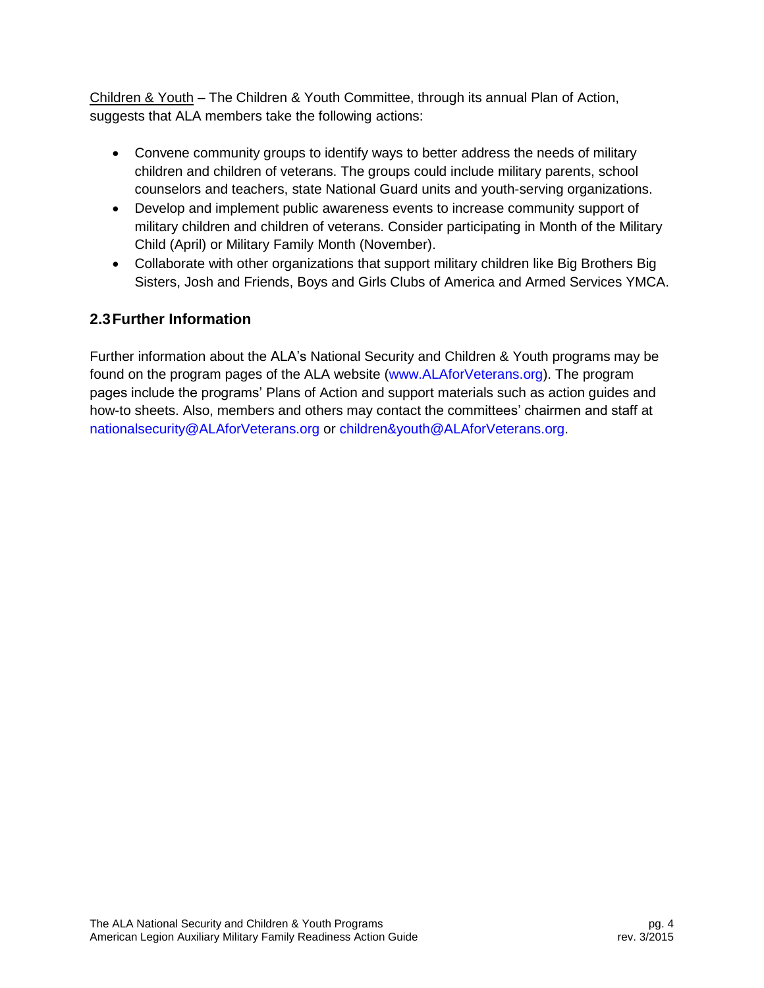Children & Youth – The Children & Youth Committee, through its annual Plan of Action, suggests that ALA members take the following actions:

- Convene community groups to identify ways to better address the needs of military children and children of veterans. The groups could include military parents, school counselors and teachers, state National Guard units and youth-serving organizations.
- Develop and implement public awareness events to increase community support of military children and children of veterans. Consider participating in Month of the Military Child (April) or Military Family Month (November).
- Collaborate with other organizations that support military children like Big Brothers Big Sisters, Josh and Friends, Boys and Girls Clubs of America and Armed Services YMCA.

# <span id="page-4-0"></span>**2.3Further Information**

Further information about the ALA's National Security and Children & Youth programs may be found on the program pages of the ALA website [\(www.ALAforVeterans.org\)](http://www.alaforveterans.org/). The program pages include the programs' Plans of Action and support materials such as action guides and how-to sheets. Also, members and others may contact the committees' chairmen and staff at [nationalsecurity@ALAforVeterans.org](mailto:nationalsecurity@ALAforVeterans.org) or [children&youth@ALAforVeterans.org.](mailto:children&youth@ALAforVeterans.org)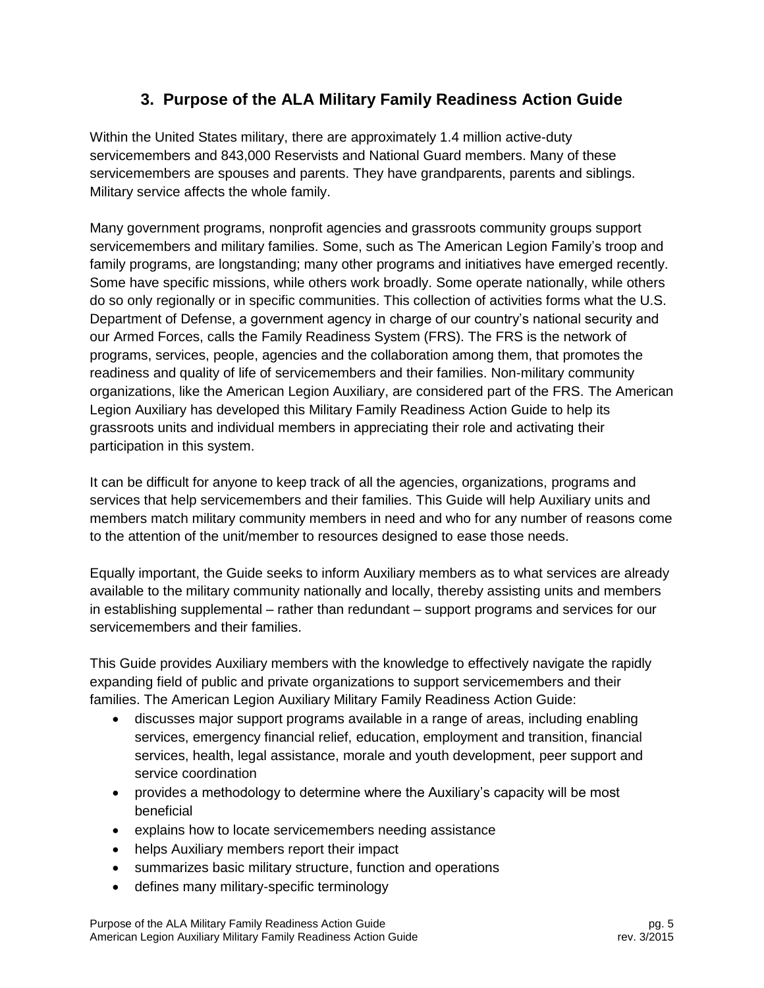# **3. Purpose of the ALA Military Family Readiness Action Guide**

<span id="page-5-0"></span>Within the United States military, there are approximately 1.4 million active-duty servicemembers and 843,000 Reservists and National Guard members. Many of these servicemembers are spouses and parents. They have grandparents, parents and siblings. Military service affects the whole family.

Many government programs, nonprofit agencies and grassroots community groups support servicemembers and military families. Some, such as The American Legion Family's troop and family programs, are longstanding; many other programs and initiatives have emerged recently. Some have specific missions, while others work broadly. Some operate nationally, while others do so only regionally or in specific communities. This collection of activities forms what the U.S. Department of Defense, a government agency in charge of our country's national security and our Armed Forces, calls the Family Readiness System (FRS). The FRS is the network of programs, services, people, agencies and the collaboration among them, that promotes the readiness and quality of life of servicemembers and their families. Non-military community organizations, like the American Legion Auxiliary, are considered part of the FRS. The American Legion Auxiliary has developed this Military Family Readiness Action Guide to help its grassroots units and individual members in appreciating their role and activating their participation in this system.

It can be difficult for anyone to keep track of all the agencies, organizations, programs and services that help servicemembers and their families. This Guide will help Auxiliary units and members match military community members in need and who for any number of reasons come to the attention of the unit/member to resources designed to ease those needs.

Equally important, the Guide seeks to inform Auxiliary members as to what services are already available to the military community nationally and locally, thereby assisting units and members in establishing supplemental – rather than redundant – support programs and services for our servicemembers and their families.

This Guide provides Auxiliary members with the knowledge to effectively navigate the rapidly expanding field of public and private organizations to support servicemembers and their families. The American Legion Auxiliary Military Family Readiness Action Guide:

- discusses major support programs available in a range of areas, including enabling services, emergency financial relief, education, employment and transition, financial services, health, legal assistance, morale and youth development, peer support and service coordination
- provides a methodology to determine where the Auxiliary's capacity will be most beneficial
- explains how to locate servicemembers needing assistance
- helps Auxiliary members report their impact
- summarizes basic military structure, function and operations
- defines many military-specific terminology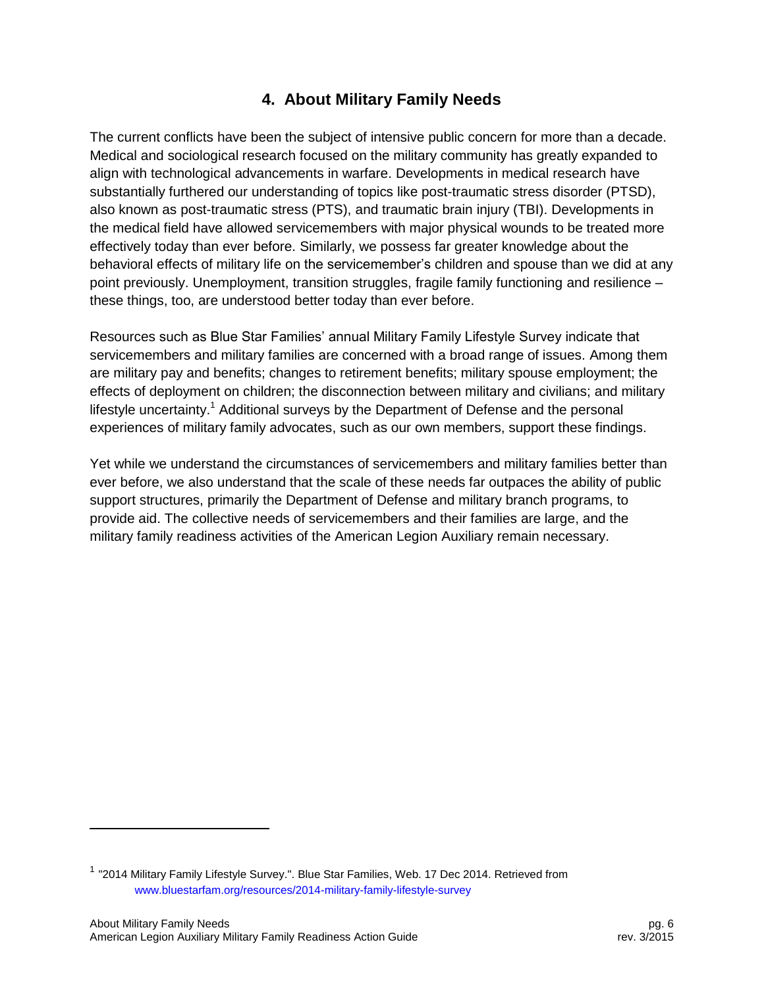# **4. About Military Family Needs**

<span id="page-6-0"></span>The current conflicts have been the subject of intensive public concern for more than a decade. Medical and sociological research focused on the military community has greatly expanded to align with technological advancements in warfare. Developments in medical research have substantially furthered our understanding of topics like post-traumatic stress disorder (PTSD), also known as post-traumatic stress (PTS), and traumatic brain injury (TBI). Developments in the medical field have allowed servicemembers with major physical wounds to be treated more effectively today than ever before. Similarly, we possess far greater knowledge about the behavioral effects of military life on the servicemember's children and spouse than we did at any point previously. Unemployment, transition struggles, fragile family functioning and resilience – these things, too, are understood better today than ever before.

Resources such as Blue Star Families' annual Military Family Lifestyle Survey indicate that servicemembers and military families are concerned with a broad range of issues. Among them are military pay and benefits; changes to retirement benefits; military spouse employment; the effects of deployment on children; the disconnection between military and civilians; and military lifestyle uncertainty.<sup>1</sup> Additional surveys by the Department of Defense and the personal experiences of military family advocates, such as our own members, support these findings.

Yet while we understand the circumstances of servicemembers and military families better than ever before, we also understand that the scale of these needs far outpaces the ability of public support structures, primarily the Department of Defense and military branch programs, to provide aid. The collective needs of servicemembers and their families are large, and the military family readiness activities of the American Legion Auxiliary remain necessary.

l

<sup>&</sup>lt;sup>1</sup> "2014 Military Family Lifestyle Survey.". Blue Star Families, Web. 17 Dec 2014. Retrieved from [www.bluestarfam.org/resources/2014-military-family-lifestyle-survey](http://www.bluestarfam.org/resources/2014-military-family-lifestyle-survey)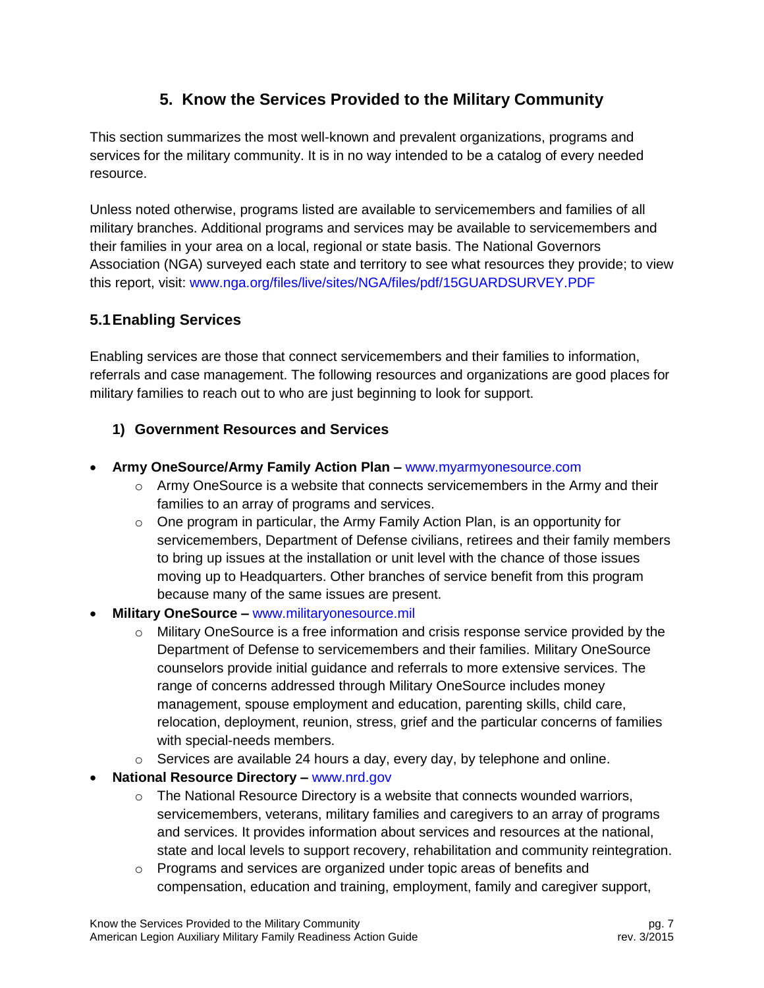# **5. Know the Services Provided to the Military Community**

<span id="page-7-0"></span>This section summarizes the most well-known and prevalent organizations, programs and services for the military community. It is in no way intended to be a catalog of every needed resource.

Unless noted otherwise, programs listed are available to servicemembers and families of all military branches. Additional programs and services may be available to servicemembers and their families in your area on a local, regional or state basis. The National Governors Association (NGA) surveyed each state and territory to see what resources they provide; to view this report, visit: [www.nga.org/files/live/sites/NGA/files/pdf/15GUARDSURVEY.PDF](http://www.nga.org/files/live/sites/NGA/files/pdf/15GUARDSURVEY.PDF)

## <span id="page-7-1"></span>**5.1Enabling Services**

Enabling services are those that connect servicemembers and their families to information, referrals and case management. The following resources and organizations are good places for military families to reach out to who are just beginning to look for support.

## **1) Government Resources and Services**

- **Army OneSource/Army Family Action Plan –** [www.myarmyonesource.com](http://www.myarmyonesource.com/)
	- $\circ$  Army OneSource is a website that connects servicemembers in the Army and their families to an array of programs and services.
	- $\circ$  One program in particular, the Army Family Action Plan, is an opportunity for servicemembers, Department of Defense civilians, retirees and their family members to bring up issues at the installation or unit level with the chance of those issues moving up to Headquarters. Other branches of service benefit from this program because many of the same issues are present.
- **Military OneSource –** [www.militaryonesource.mil](http://www.militaryonesource.mil/)
	- $\circ$  Military OneSource is a free information and crisis response service provided by the Department of Defense to servicemembers and their families. Military OneSource counselors provide initial guidance and referrals to more extensive services. The range of concerns addressed through Military OneSource includes money management, spouse employment and education, parenting skills, child care, relocation, deployment, reunion, stress, grief and the particular concerns of families with special-needs members.
	- $\circ$  Services are available 24 hours a day, every day, by telephone and online.
- **National Resource Directory –** [www.nrd.gov](http://www.nrd.gov/)
	- $\circ$  The National Resource Directory is a website that connects wounded warriors, servicemembers, veterans, military families and caregivers to an array of programs and services. It provides information about services and resources at the national, state and local levels to support recovery, rehabilitation and community reintegration.
	- $\circ$  Programs and services are organized under topic areas of benefits and compensation, education and training, employment, family and caregiver support,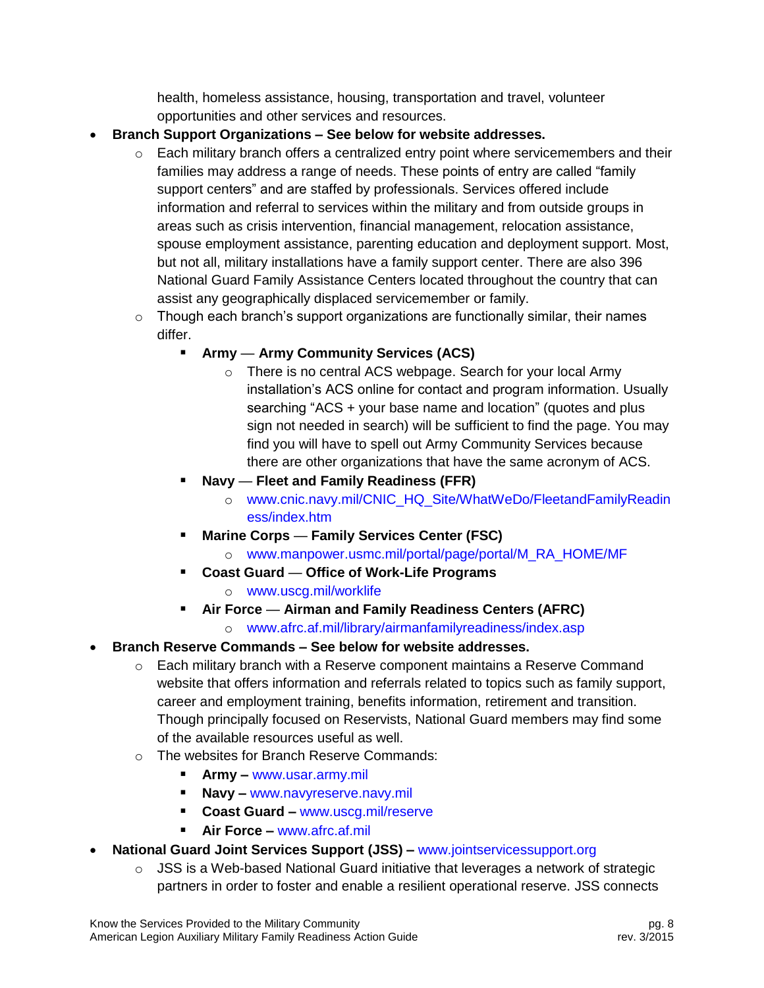health, homeless assistance, housing, transportation and travel, volunteer opportunities and other services and resources.

- **Branch Support Organizations – See below for website addresses.**
	- $\circ$  Each military branch offers a centralized entry point where servicemembers and their families may address a range of needs. These points of entry are called "family support centers" and are staffed by professionals. Services offered include information and referral to services within the military and from outside groups in areas such as crisis intervention, financial management, relocation assistance, spouse employment assistance, parenting education and deployment support. Most, but not all, military installations have a family support center. There are also 396 National Guard Family Assistance Centers located throughout the country that can assist any geographically displaced servicemember or family.
	- $\circ$  Though each branch's support organizations are functionally similar, their names differ.
		- **Army Army Community Services (ACS)**
			- o There is no central ACS webpage. Search for your local Army installation's ACS online for contact and program information. Usually searching "ACS + your base name and location" (quotes and plus sign not needed in search) will be sufficient to find the page. You may find you will have to spell out Army Community Services because there are other organizations that have the same acronym of ACS.
		- **Navy Fleet and Family Readiness (FFR)**
			- o [www.cnic.navy.mil/CNIC\\_HQ\\_Site/WhatWeDo/FleetandFamilyReadin](http://www.cnic.navy.mil/CNIC_HQ_Site/WhatWeDo/FleetandFamilyReadiness/index.htm) [ess/index.htm](http://www.cnic.navy.mil/CNIC_HQ_Site/WhatWeDo/FleetandFamilyReadiness/index.htm)
		- **Marine Corps Family Services Center (FSC)**
			- o [www.manpower.usmc.mil/portal/page/portal/M\\_RA\\_HOME/MF](https://www.manpower.usmc.mil/portal/page/portal/M_RA_HOME/MF)
			- **Coast Guard Office of Work-Life Programs** o [www.uscg.mil/worklife](http://www.uscg.mil/worklife)
		-
		- **Air Force Airman and Family Readiness Centers (AFRC)**
			- o [www.afrc.af.mil/library/airmanfamilyreadiness/index.asp](http://www.afrc.af.mil/library/airmanfamilyreadiness/index.asp)
- **Branch Reserve Commands – See below for website addresses.**
	- $\circ$  Each military branch with a Reserve component maintains a Reserve Command website that offers information and referrals related to topics such as family support, career and employment training, benefits information, retirement and transition. Though principally focused on Reservists, National Guard members may find some of the available resources useful as well.
	- o The websites for Branch Reserve Commands:
		- **Army –** [www.usar.army.mil](http://www.usar.army.mil/)
		- **Navy –** [www.navyreserve.navy.mil](http://www.navyreserve.navy.mil/)
		- **Coast Guard –** [www.uscg.mil/reserve](http://www.uscg.mil/reserve)
		- **Air Force –** [www.afrc.af.mil](http://www.afrc.af.mil/)
- **National Guard Joint Services Support (JSS) –** [www.jointservicessupport.org](http://www.jointservicessupport.org/)
	- $\circ$  JSS is a Web-based National Guard initiative that leverages a network of strategic partners in order to foster and enable a resilient operational reserve. JSS connects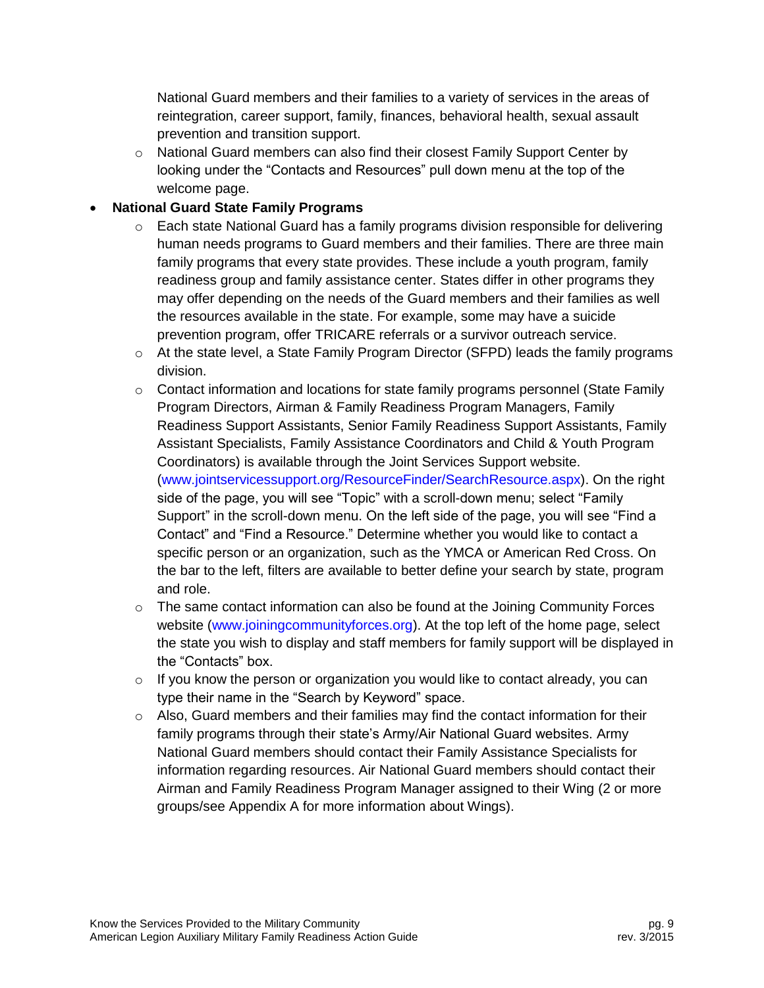National Guard members and their families to a variety of services in the areas of reintegration, career support, family, finances, behavioral health, sexual assault prevention and transition support.

 $\circ$  National Guard members can also find their closest Family Support Center by looking under the "Contacts and Resources" pull down menu at the top of the welcome page.

#### **National Guard State Family Programs**

- o Each state National Guard has a family programs division responsible for delivering human needs programs to Guard members and their families. There are three main family programs that every state provides. These include a youth program, family readiness group and family assistance center. States differ in other programs they may offer depending on the needs of the Guard members and their families as well the resources available in the state. For example, some may have a suicide prevention program, offer TRICARE referrals or a survivor outreach service.
- $\circ$  At the state level, a State Family Program Director (SFPD) leads the family programs division.
- $\circ$  Contact information and locations for state family programs personnel (State Family Program Directors, Airman & Family Readiness Program Managers, Family Readiness Support Assistants, Senior Family Readiness Support Assistants, Family Assistant Specialists, Family Assistance Coordinators and Child & Youth Program Coordinators) is available through the Joint Services Support website. [\(www.jointservicessupport.org/ResourceFinder/SearchResource.aspx\)](http://www.jointservicessupport.org/ResourceFinder/SearchResource.aspx). On the right side of the page, you will see "Topic" with a scroll-down menu; select "Family Support" in the scroll-down menu. On the left side of the page, you will see "Find a Contact" and "Find a Resource." Determine whether you would like to contact a specific person or an organization, such as the YMCA or American Red Cross. On the bar to the left, filters are available to better define your search by state, program and role.
- $\circ$  The same contact information can also be found at the Joining Community Forces website [\(www.joiningcommunityforces.org\)](http://www.joiningcommunityforces.org/). At the top left of the home page, select the state you wish to display and staff members for family support will be displayed in the "Contacts" box.
- o If you know the person or organization you would like to contact already, you can type their name in the "Search by Keyword" space.
- $\circ$  Also, Guard members and their families may find the contact information for their family programs through their state's Army/Air National Guard websites. Army National Guard members should contact their Family Assistance Specialists for information regarding resources. Air National Guard members should contact their Airman and Family Readiness Program Manager assigned to their Wing (2 or more groups/see Appendix A for more information about Wings).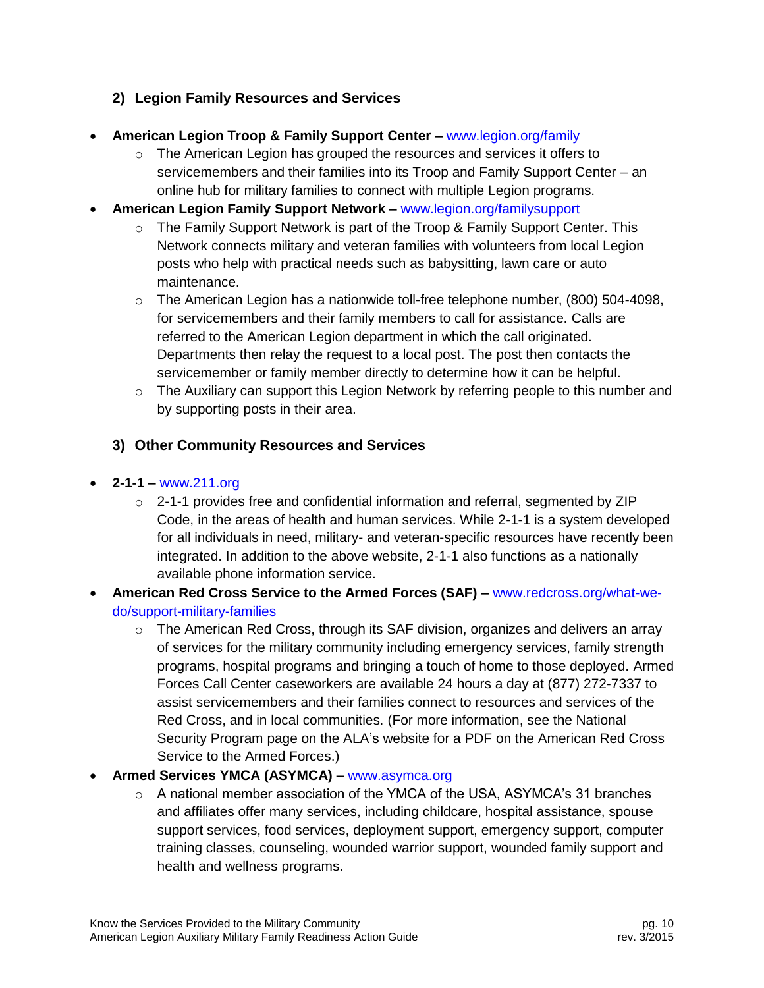## **2) Legion Family Resources and Services**

- **American Legion Troop & Family Support Center –** [www.legion.org/family](http://www.legion.org/family)
	- $\circ$  The American Legion has grouped the resources and services it offers to servicemembers and their families into its Troop and Family Support Center – an online hub for military families to connect with multiple Legion programs.
- **American Legion Family Support Network –** [www.legion.org/familysupport](http://www.legion.org/familysupport)
	- $\circ$  The Family Support Network is part of the Troop & Family Support Center. This Network connects military and veteran families with volunteers from local Legion posts who help with practical needs such as babysitting, lawn care or auto maintenance.
	- $\circ$  The American Legion has a nationwide toll-free telephone number, (800) 504-4098, for servicemembers and their family members to call for assistance. Calls are referred to the American Legion department in which the call originated. Departments then relay the request to a local post. The post then contacts the servicemember or family member directly to determine how it can be helpful.
	- $\circ$  The Auxiliary can support this Legion Network by referring people to this number and by supporting posts in their area.

#### **3) Other Community Resources and Services**

- **2-1-1 –** [www.211.org](http://www.211.org/)
	- $\circ$  2-1-1 provides free and confidential information and referral, segmented by ZIP Code, in the areas of health and human services. While 2-1-1 is a system developed for all individuals in need, military- and veteran-specific resources have recently been integrated. In addition to the above website, 2-1-1 also functions as a nationally available phone information service.
- **American Red Cross Service to the Armed Forces (SAF) –** [www.redcross.org/what-we](http://www.redcross.org/what-we-do/support-military-families)[do/support-military-families](http://www.redcross.org/what-we-do/support-military-families)
	- $\circ$  The American Red Cross, through its SAF division, organizes and delivers an array of services for the military community including emergency services, family strength programs, hospital programs and bringing a touch of home to those deployed. Armed Forces Call Center caseworkers are available 24 hours a day at (877) 272-7337 to assist servicemembers and their families connect to resources and services of the Red Cross, and in local communities. (For more information, see the National Security Program page on the ALA's website for a PDF on the American Red Cross Service to the Armed Forces.)
- **Armed Services YMCA (ASYMCA) –** [www.asymca.org](http://www.asymca.org/)
	- $\circ$  A national member association of the YMCA of the USA, ASYMCA's 31 branches and affiliates offer many services, including childcare, hospital assistance, spouse support services, food services, deployment support, emergency support, computer training classes, counseling, wounded warrior support, wounded family support and health and wellness programs.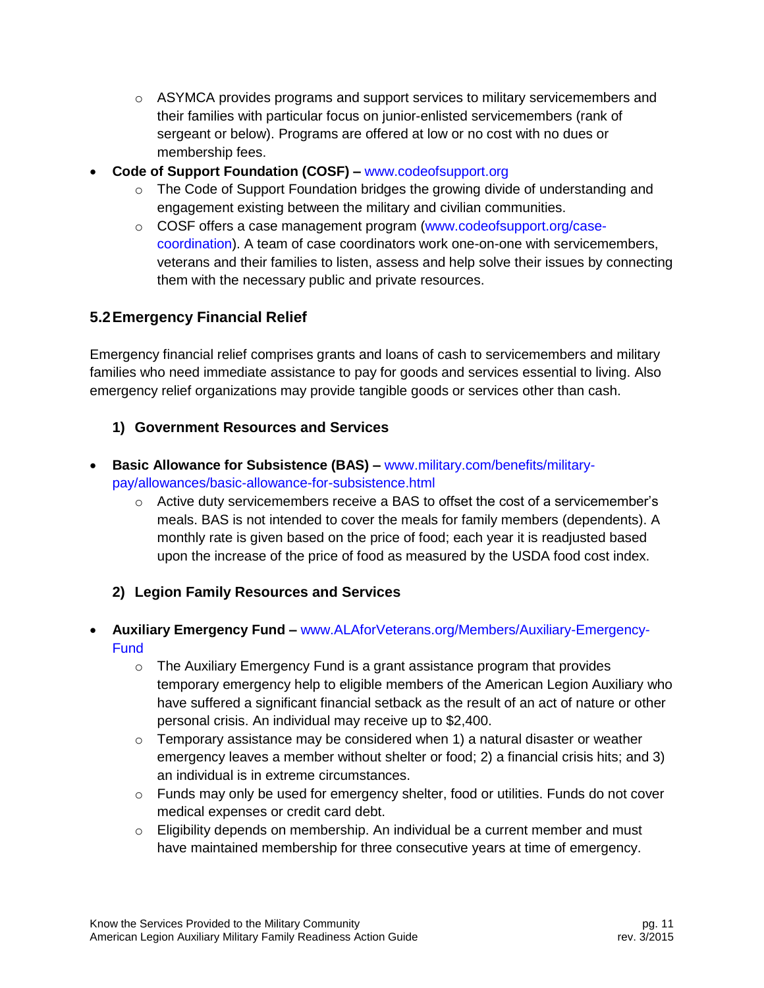- $\circ$  ASYMCA provides programs and support services to military servicemembers and their families with particular focus on junior-enlisted servicemembers (rank of sergeant or below). Programs are offered at low or no cost with no dues or membership fees.
- **Code of Support Foundation (COSF) –** [www.codeofsupport.org](http://www.codeofsupport.org/)
	- $\circ$  The Code of Support Foundation bridges the growing divide of understanding and engagement existing between the military and civilian communities.
	- o COSF offers a case management program [\(www.codeofsupport.org/case](http://www.codeofsupport.org/case-coordination)[coordination\)](http://www.codeofsupport.org/case-coordination). A team of case coordinators work one-on-one with servicemembers, veterans and their families to listen, assess and help solve their issues by connecting them with the necessary public and private resources.

# <span id="page-11-0"></span>**5.2Emergency Financial Relief**

Emergency financial relief comprises grants and loans of cash to servicemembers and military families who need immediate assistance to pay for goods and services essential to living. Also emergency relief organizations may provide tangible goods or services other than cash.

## **1) Government Resources and Services**

- **Basic Allowance for Subsistence (BAS) –** [www.military.com/benefits/military](http://www.military.com/benefits/military-pay/allowances/basic-allowance-for-subsistence.html)[pay/allowances/basic-allowance-for-subsistence.html](http://www.military.com/benefits/military-pay/allowances/basic-allowance-for-subsistence.html)
	- $\circ$  Active duty servicemembers receive a BAS to offset the cost of a servicemember's meals. BAS is not intended to cover the meals for family members (dependents). A monthly rate is given based on the price of food; each year it is readjusted based upon the increase of the price of food as measured by the USDA food cost index.

## **2) Legion Family Resources and Services**

- **Auxiliary Emergency Fund –** [www.ALAforVeterans.org/Members/Auxiliary-Emergency-](http://www.alaforveterans.org/Members/Auxiliary-Emergency-Fund)**[Fund](http://www.alaforveterans.org/Members/Auxiliary-Emergency-Fund)** 
	- $\circ$  The Auxiliary Emergency Fund is a grant assistance program that provides temporary emergency help to eligible members of the American Legion Auxiliary who have suffered a significant financial setback as the result of an act of nature or other personal crisis. An individual may receive up to \$2,400.
	- $\circ$  Temporary assistance may be considered when 1) a natural disaster or weather emergency leaves a member without shelter or food; 2) a financial crisis hits; and 3) an individual is in extreme circumstances.
	- $\circ$  Funds may only be used for emergency shelter, food or utilities. Funds do not cover medical expenses or credit card debt.
	- $\circ$  Eligibility depends on membership. An individual be a current member and must have maintained membership for three consecutive years at time of emergency.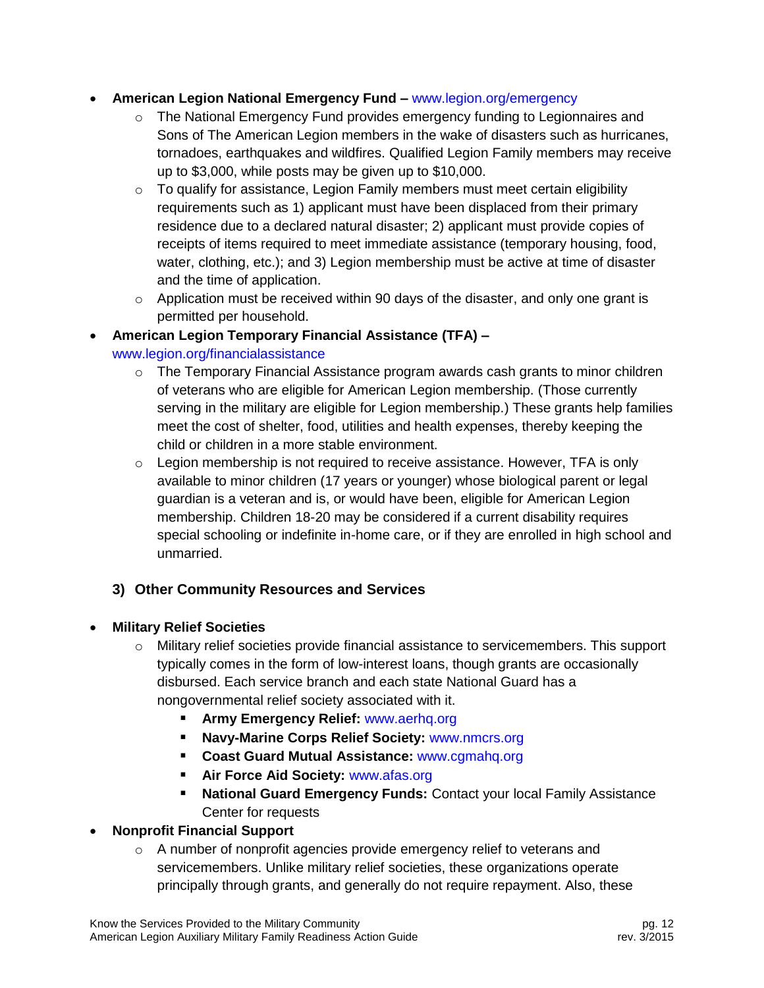#### **American Legion National Emergency Fund –** [www.legion.org/emergency](http://www.legion.org/emergency)

- $\circ$  The National Emergency Fund provides emergency funding to Legionnaires and Sons of The American Legion members in the wake of disasters such as hurricanes, tornadoes, earthquakes and wildfires. Qualified Legion Family members may receive up to \$3,000, while posts may be given up to \$10,000.
- $\circ$  To qualify for assistance, Legion Family members must meet certain eligibility requirements such as 1) applicant must have been displaced from their primary residence due to a declared natural disaster; 2) applicant must provide copies of receipts of items required to meet immediate assistance (temporary housing, food, water, clothing, etc.); and 3) Legion membership must be active at time of disaster and the time of application.
- $\circ$  Application must be received within 90 days of the disaster, and only one grant is permitted per household.

## **American Legion Temporary Financial Assistance (TFA) –** [www.legion.org/financialassistance](http://www.legion.org/financialassistance)

- o The Temporary Financial Assistance program awards cash grants to minor children of veterans who are eligible for American Legion membership. (Those currently serving in the military are eligible for Legion membership.) These grants help families meet the cost of shelter, food, utilities and health expenses, thereby keeping the child or children in a more stable environment.
- $\circ$  Legion membership is not required to receive assistance. However, TFA is only available to minor children (17 years or younger) whose biological parent or legal guardian is a veteran and is, or would have been, eligible for American Legion membership. Children 18-20 may be considered if a current disability requires special schooling or indefinite in-home care, or if they are enrolled in high school and unmarried.

# **3) Other Community Resources and Services**

## **Military Relief Societies**

- o Military relief societies provide financial assistance to servicemembers. This support typically comes in the form of low-interest loans, though grants are occasionally disbursed. Each service branch and each state National Guard has a nongovernmental relief society associated with it.
	- **Army Emergency Relief:** [www.aerhq.org](http://www.aerhq.org/)
	- **Navy-Marine Corps Relief Society:** [www.nmcrs.org](http://www.nmcrs.org/)
	- **Coast Guard Mutual Assistance:** [www.cgmahq.org](http://www.cgmahq.org/)
	- **Air Force Aid Society: [www.afas.org](http://www.afas.org/)**
	- **National Guard Emergency Funds:** Contact your local Family Assistance Center for requests

## **Nonprofit Financial Support**

 $\circ$  A number of nonprofit agencies provide emergency relief to veterans and servicemembers. Unlike military relief societies, these organizations operate principally through grants, and generally do not require repayment. Also, these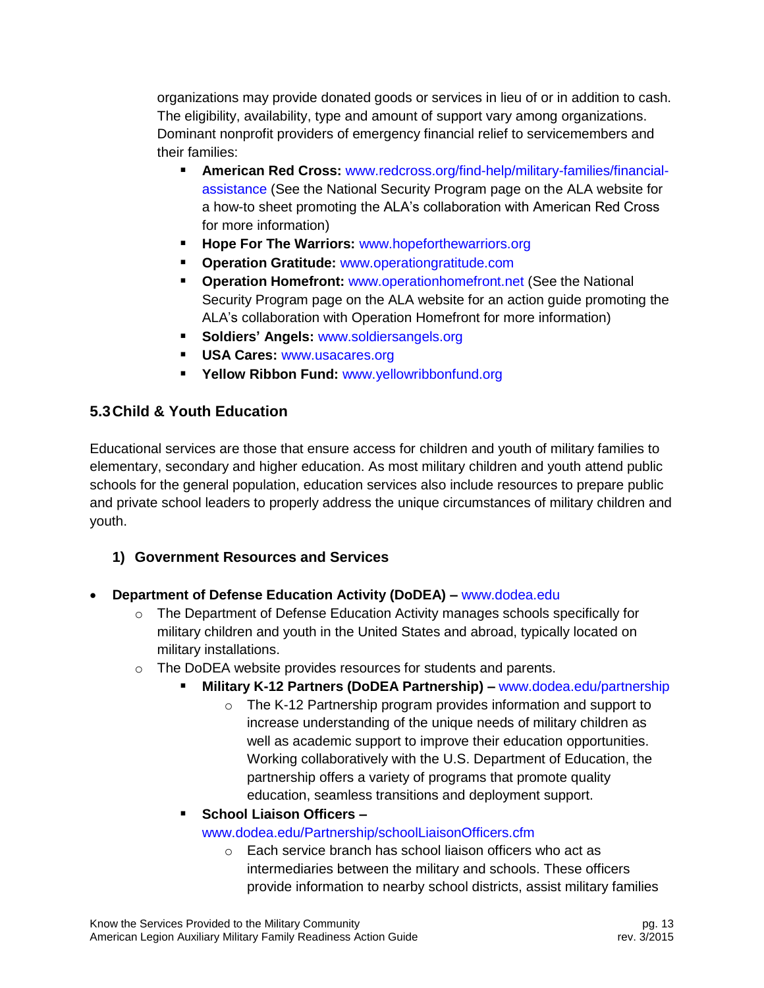organizations may provide donated goods or services in lieu of or in addition to cash. The eligibility, availability, type and amount of support vary among organizations. Dominant nonprofit providers of emergency financial relief to servicemembers and their families:

- **American Red Cross:** [www.redcross.org/find-help/military-families/financial](http://www.redcross.org/find-help/military-families/financial-assistance)[assistance](http://www.redcross.org/find-help/military-families/financial-assistance) (See the National Security Program page on the ALA website for a how-to sheet promoting the ALA's collaboration with American Red Cross for more information)
- **Hope For The Warriors: [www.hopeforthewarriors.org](http://www.hopeforthewarriors.org/)**
- **Operation Gratitude:** [www.operationgratitude.com](http://www.operationgratitude.com/)
- **Operation Homefront: [www.operationhomefront.net](http://www.operationhomefront.net/) (See the National** Security Program page on the ALA website for an action guide promoting the ALA's collaboration with Operation Homefront for more information)
- **Soldiers' Angels:** [www.soldiersangels.org](http://www.soldiersangels.org/)
- **USA Cares:** [www.usacares.org](http://www.usacares.org/)
- **Yellow Ribbon Fund:** [www.yellowribbonfund.org](http://www.yellowribbonfund.org/)

## <span id="page-13-0"></span>**5.3Child & Youth Education**

Educational services are those that ensure access for children and youth of military families to elementary, secondary and higher education. As most military children and youth attend public schools for the general population, education services also include resources to prepare public and private school leaders to properly address the unique circumstances of military children and youth.

#### **1) Government Resources and Services**

- **Department of Defense Education Activity (DoDEA) –** [www.dodea.edu](http://www.dodea.edu/)
	- $\circ$  The Department of Defense Education Activity manages schools specifically for military children and youth in the United States and abroad, typically located on military installations.
	- o The DoDEA website provides resources for students and parents.
		- **Military K-12 Partners (DoDEA Partnership) –** [www.dodea.edu/partnership](http://www.dodea.edu/partnership)
			- o The K-12 Partnership program provides information and support to increase understanding of the unique needs of military children as well as academic support to improve their education opportunities. Working collaboratively with the U.S. Department of Education, the partnership offers a variety of programs that promote quality education, seamless transitions and deployment support.

**School Liaison Officers –**

#### [www.dodea.edu/Partnership/schoolLiaisonOfficers.cfm](http://www.dodea.edu/Partnership/schoolLiaisonOfficers.cfm)

o Each service branch has school liaison officers who act as intermediaries between the military and schools. These officers provide information to nearby school districts, assist military families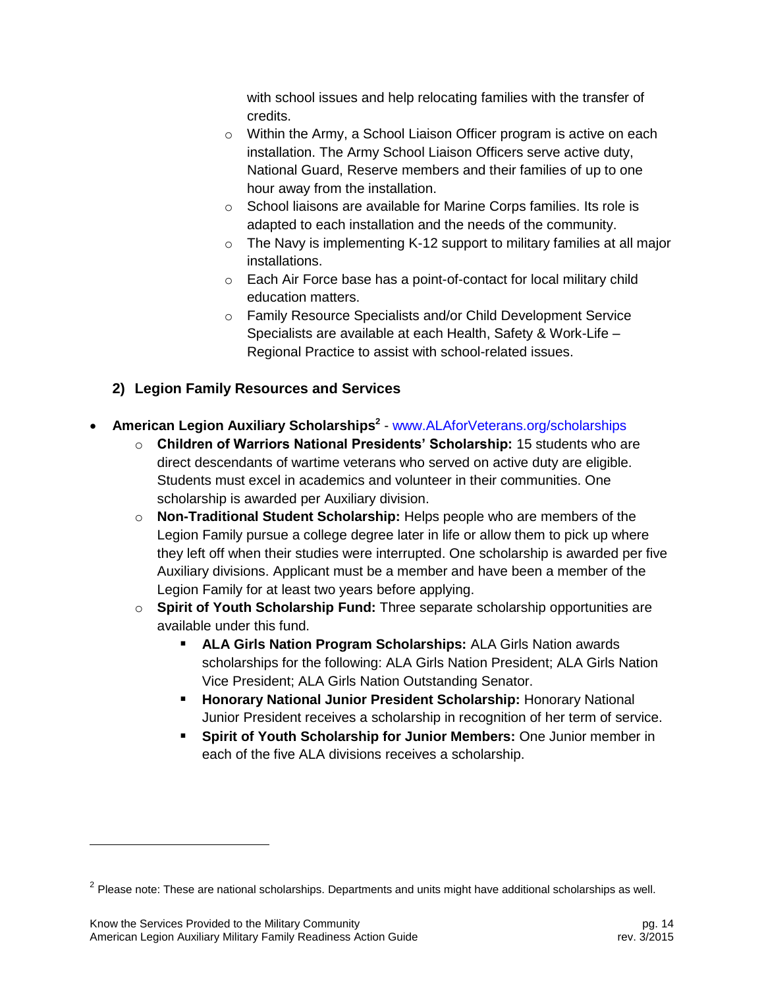with school issues and help relocating families with the transfer of credits.

- o Within the Army, a School Liaison Officer program is active on each installation. The Army School Liaison Officers serve active duty, National Guard, Reserve members and their families of up to one hour away from the installation.
- o School liaisons are available for Marine Corps families. Its role is adapted to each installation and the needs of the community.
- o The Navy is implementing K-12 support to military families at all major installations.
- o Each Air Force base has a point-of-contact for local military child education matters.
- o Family Resource Specialists and/or Child Development Service Specialists are available at each Health, Safety & Work-Life – Regional Practice to assist with school-related issues.
- **2) Legion Family Resources and Services**

## **American Legion Auxiliary Scholarships<sup>2</sup>** - [www.ALAforVeterans.org/scholarships](http://www.alaforveterans.org/scholarships)

- o **Children of Warriors National Presidents' Scholarship:** 15 students who are direct descendants of wartime veterans who served on active duty are eligible. Students must excel in academics and volunteer in their communities. One scholarship is awarded per Auxiliary division.
- o **Non-Traditional Student Scholarship:** Helps people who are members of the Legion Family pursue a college degree later in life or allow them to pick up where they left off when their studies were interrupted. One scholarship is awarded per five Auxiliary divisions. Applicant must be a member and have been a member of the Legion Family for at least two years before applying.
- o **Spirit of Youth Scholarship Fund:** Three separate scholarship opportunities are available under this fund.
	- **ALA Girls Nation Program Scholarships:** ALA Girls Nation awards scholarships for the following: ALA Girls Nation President; ALA Girls Nation Vice President; ALA Girls Nation Outstanding Senator.
	- **Honorary National Junior President Scholarship: Honorary National 4** Junior President receives a scholarship in recognition of her term of service.
	- **Spirit of Youth Scholarship for Junior Members:** One Junior member in each of the five ALA divisions receives a scholarship.

l

 $^2$  Please note: These are national scholarships. Departments and units might have additional scholarships as well.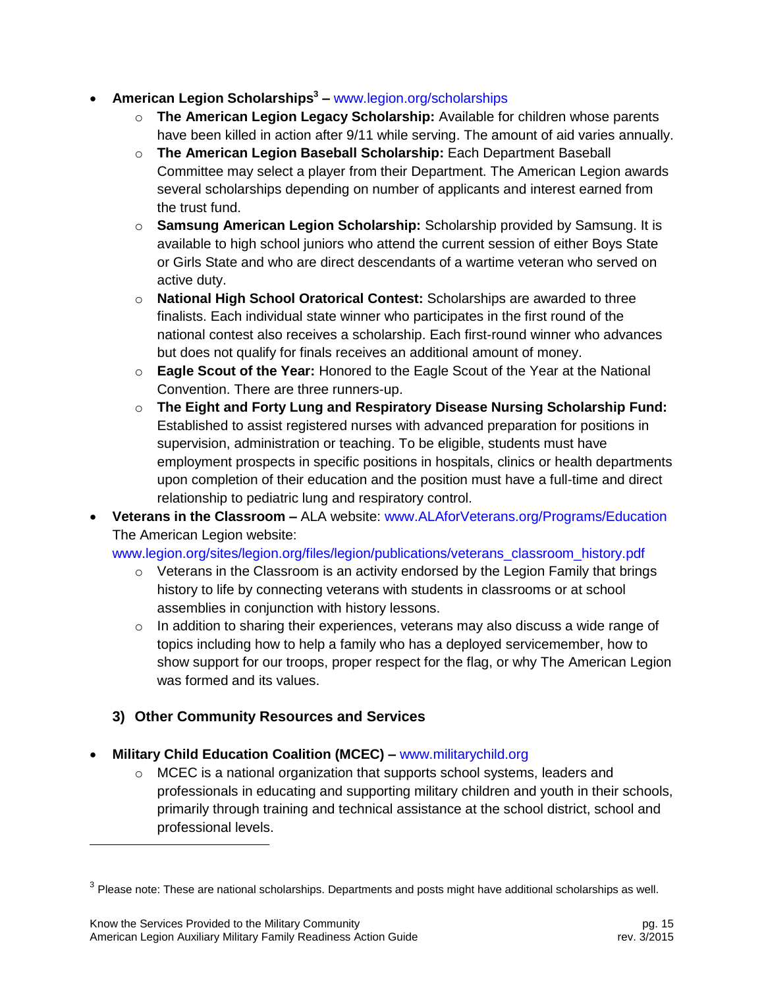- **American Legion Scholarships<sup>3</sup> –** [www.legion.org/scholarships](http://www.legion.org/scholarships)
	- o **The American Legion Legacy Scholarship:** Available for children whose parents have been killed in action after 9/11 while serving. The amount of aid varies annually.
	- o **The American Legion Baseball Scholarship:** Each Department Baseball Committee may select a player from their Department. The American Legion awards several scholarships depending on number of applicants and interest earned from the trust fund.
	- o **Samsung American Legion Scholarship:** Scholarship provided by Samsung. It is available to high school juniors who attend the current session of either Boys State or Girls State and who are direct descendants of a wartime veteran who served on active duty.
	- o **National High School Oratorical Contest:** Scholarships are awarded to three finalists. Each individual state winner who participates in the first round of the national contest also receives a scholarship. Each first-round winner who advances but does not qualify for finals receives an additional amount of money.
	- o **Eagle Scout of the Year:** Honored to the Eagle Scout of the Year at the National Convention. There are three runners-up.
	- o **The Eight and Forty Lung and Respiratory Disease Nursing Scholarship Fund:** Established to assist registered nurses with advanced preparation for positions in supervision, administration or teaching. To be eligible, students must have employment prospects in specific positions in hospitals, clinics or health departments upon completion of their education and the position must have a full-time and direct relationship to pediatric lung and respiratory control.
- **Veterans in the Classroom –** ALA website: [www.ALAforVeterans.org/Programs/Education](http://www.alaforveterans.org/Programs/Education) The American Legion website:

[www.legion.org/sites/legion.org/files/legion/publications/veterans\\_classroom\\_history.pdf](http://www.legion.org/sites/legion.org/files/legion/publications/veterans_classroom_history.pdf)

- $\circ$  Veterans in the Classroom is an activity endorsed by the Legion Family that brings history to life by connecting veterans with students in classrooms or at school assemblies in conjunction with history lessons.
- $\circ$  In addition to sharing their experiences, veterans may also discuss a wide range of topics including how to help a family who has a deployed servicemember, how to show support for our troops, proper respect for the flag, or why The American Legion was formed and its values.

## **3) Other Community Resources and Services**

- **Military Child Education Coalition (MCEC) –** [www.militarychild.org](http://www.militarychild.org/)
	- $\circ$  MCEC is a national organization that supports school systems, leaders and professionals in educating and supporting military children and youth in their schools, primarily through training and technical assistance at the school district, school and professional levels.

l

 $^3$  Please note: These are national scholarships. Departments and posts might have additional scholarships as well.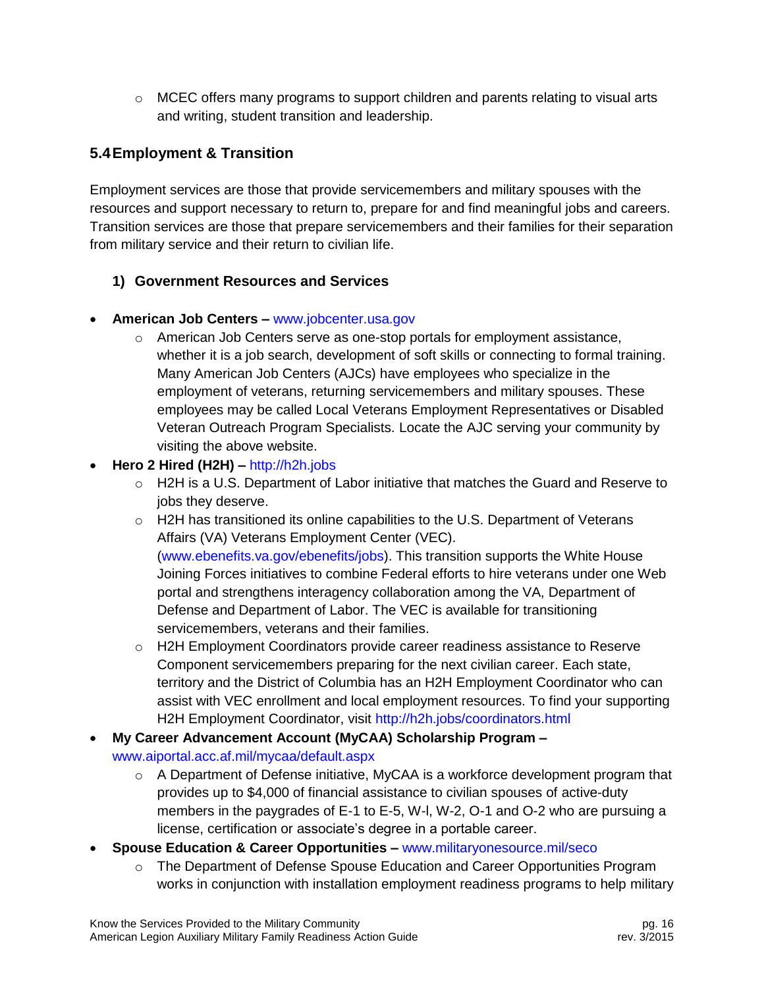$\circ$  MCEC offers many programs to support children and parents relating to visual arts and writing, student transition and leadership.

# <span id="page-16-0"></span>**5.4Employment & Transition**

Employment services are those that provide servicemembers and military spouses with the resources and support necessary to return to, prepare for and find meaningful jobs and careers. Transition services are those that prepare servicemembers and their families for their separation from military service and their return to civilian life.

## **1) Government Resources and Services**

#### **American Job Centers –** [www.jobcenter.usa.gov](http://www.jobcenter.usa.gov/)

- $\circ$  American Job Centers serve as one-stop portals for employment assistance, whether it is a job search, development of soft skills or connecting to formal training. Many American Job Centers (AJCs) have employees who specialize in the employment of veterans, returning servicemembers and military spouses. These employees may be called Local Veterans Employment Representatives or Disabled Veteran Outreach Program Specialists. Locate the AJC serving your community by visiting the above website.
- **Hero 2 Hired (H2H) –** [http://h2h.jobs](http://h2h.jobs/)
	- $\circ$  H2H is a U.S. Department of Labor initiative that matches the Guard and Reserve to jobs they deserve.
	- $\circ$  H2H has transitioned its online capabilities to the U.S. Department of Veterans Affairs (VA) Veterans Employment Center (VEC). [\(www.ebenefits.va.gov/ebenefits/jobs\)](http://www.ebenefits.va.gov/ebenefits/jobs). This transition supports the White House Joining Forces initiatives to combine Federal efforts to hire veterans under one Web portal and strengthens interagency collaboration among the VA, Department of Defense and Department of Labor. The VEC is available for transitioning servicemembers, veterans and their families.
	- o H2H Employment Coordinators provide career readiness assistance to Reserve Component servicemembers preparing for the next civilian career. Each state, territory and the District of Columbia has an H2H Employment Coordinator who can assist with VEC enrollment and local employment resources. To find your supporting H2H Employment Coordinator, visit<http://h2h.jobs/coordinators.html>
- **My Career Advancement Account (MyCAA) Scholarship Program –** [www.aiportal.acc.af.mil/mycaa/default.aspx](http://www.aiportal.acc.af.mil/mycaa/default.aspx)
	- o A Department of Defense initiative, MyCAA is a workforce development program that provides up to \$4,000 of financial assistance to civilian spouses of active-duty members in the paygrades of E-1 to E-5, W-l, W-2, O-1 and O-2 who are pursuing a license, certification or associate's degree in a portable career.
- **Spouse Education & Career Opportunities –** [www.militaryonesource.mil/seco](http://www.militaryonesource.mil/seco)
	- o The Department of Defense Spouse Education and Career Opportunities Program works in conjunction with installation employment readiness programs to help military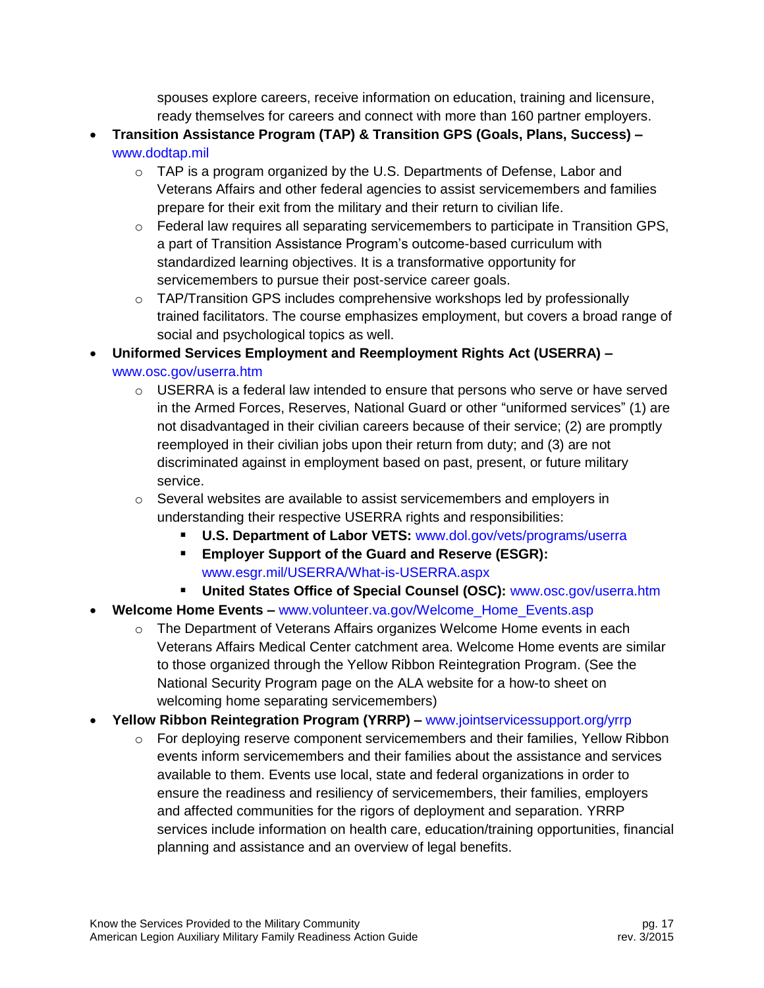spouses explore careers, receive information on education, training and licensure, ready themselves for careers and connect with more than 160 partner employers.

- **Transition Assistance Program (TAP) & Transition GPS (Goals, Plans, Success) –** [www.dodtap.mil](http://www.dodtap.mil/)
	- o TAP is a program organized by the U.S. Departments of Defense, Labor and Veterans Affairs and other federal agencies to assist servicemembers and families prepare for their exit from the military and their return to civilian life.
	- o Federal law requires all separating servicemembers to participate in Transition GPS, a part of Transition Assistance Program's outcome-based curriculum with standardized learning objectives. It is a transformative opportunity for servicemembers to pursue their post-service career goals.
	- $\circ$  TAP/Transition GPS includes comprehensive workshops led by professionally trained facilitators. The course emphasizes employment, but covers a broad range of social and psychological topics as well.
- **Uniformed Services Employment and Reemployment Rights Act (USERRA) –** [www.osc.gov/userra.htm](http://www.osc.gov/userra.htm)
	- $\circ$  USERRA is a federal law intended to ensure that persons who serve or have served in the Armed Forces, Reserves, National Guard or other "uniformed services" (1) are not disadvantaged in their civilian careers because of their service; (2) are promptly reemployed in their civilian jobs upon their return from duty; and (3) are not discriminated against in employment based on past, present, or future military service.
	- $\circ$  Several websites are available to assist servicemembers and employers in understanding their respective USERRA rights and responsibilities:
		- **U.S. Department of Labor VETS:** [www.dol.gov/vets/programs/userra](http://www.dol.gov/vets/programs/userra)
		- **Employer Support of the Guard and Reserve (ESGR):** [www.esgr.mil/USERRA/What-is-USERRA.aspx](http://www.esgr.mil/USERRA/What-is-USERRA.aspx)
		- **United States Office of Special Counsel (OSC):** [www.osc.gov/userra.htm](http://www.osc.gov/userra.htm)
- **Welcome Home Events –** [www.volunteer.va.gov/Welcome\\_Home\\_Events.asp](http://www.volunteer.va.gov/Welcome_Home_Events.asp)
	- $\circ$  The Department of Veterans Affairs organizes Welcome Home events in each Veterans Affairs Medical Center catchment area. Welcome Home events are similar to those organized through the Yellow Ribbon Reintegration Program. (See the National Security Program page on the ALA website for a how-to sheet on welcoming home separating servicemembers)
- **Yellow Ribbon Reintegration Program (YRRP) –** [www.jointservicessupport.org/yrrp](http://www.jointservicessupport.org/yrrp)
	- $\circ$  For deploying reserve component servicemembers and their families, Yellow Ribbon events inform servicemembers and their families about the assistance and services available to them. Events use local, state and federal organizations in order to ensure the readiness and resiliency of servicemembers, their families, employers and affected communities for the rigors of deployment and separation. YRRP services include information on health care, education/training opportunities, financial planning and assistance and an overview of legal benefits.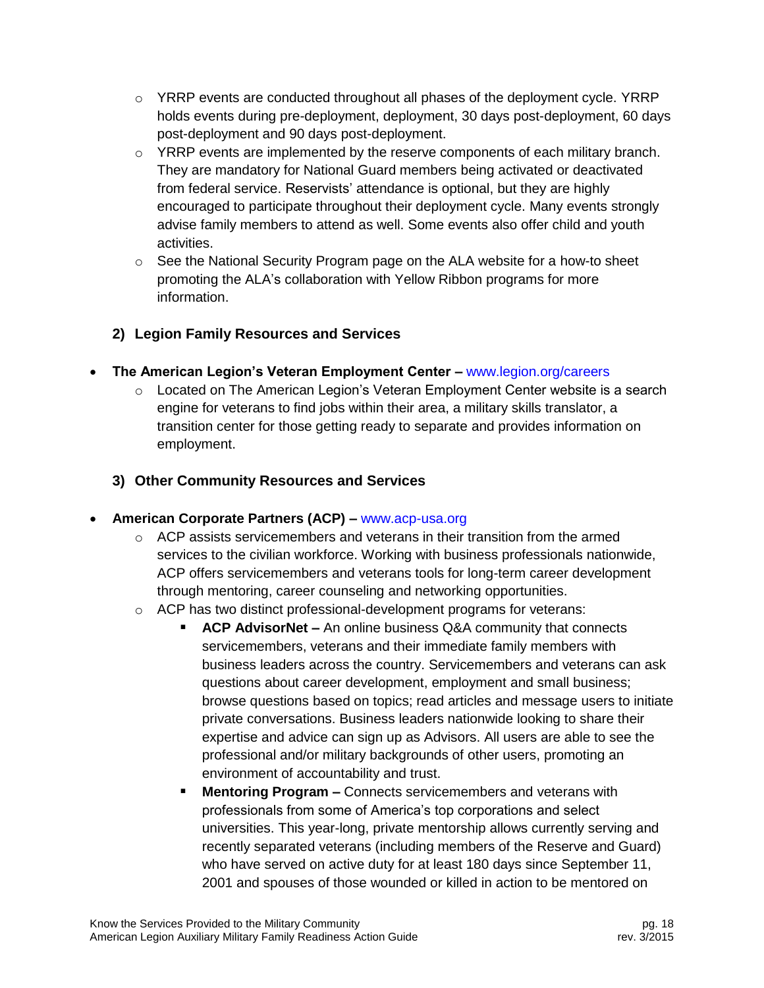- $\circ$  YRRP events are conducted throughout all phases of the deployment cycle. YRRP holds events during pre-deployment, deployment, 30 days post-deployment, 60 days post-deployment and 90 days post-deployment.
- $\circ$  YRRP events are implemented by the reserve components of each military branch. They are mandatory for National Guard members being activated or deactivated from federal service. Reservists' attendance is optional, but they are highly encouraged to participate throughout their deployment cycle. Many events strongly advise family members to attend as well. Some events also offer child and youth activities.
- o See the National Security Program page on the ALA website for a how-to sheet promoting the ALA's collaboration with Yellow Ribbon programs for more information.

## **2) Legion Family Resources and Services**

- **The American Legion's Veteran Employment Center –** [www.legion.org/careers](http://www.legion.org/careers)
	- $\circ$  Located on The American Legion's Veteran Employment Center website is a search engine for veterans to find jobs within their area, a military skills translator, a transition center for those getting ready to separate and provides information on employment.
	- **3) Other Community Resources and Services**
- **American Corporate Partners (ACP) –** [www.acp-usa.org](http://www.acp-usa.org/)
	- $\circ$  ACP assists servicemembers and veterans in their transition from the armed services to the civilian workforce. Working with business professionals nationwide, ACP offers servicemembers and veterans tools for long-term career development through mentoring, career counseling and networking opportunities.
	- o ACP has two distinct professional-development programs for veterans:
		- **ACP AdvisorNet –** An online business Q&A community that connects servicemembers, veterans and their immediate family members with business leaders across the country. Servicemembers and veterans can ask questions about career development, employment and small business; browse questions based on topics; read articles and message users to initiate private conversations. Business leaders nationwide looking to share their expertise and advice can sign up as Advisors. All users are able to see the professional and/or military backgrounds of other users, promoting an environment of accountability and trust.
		- **Mentoring Program –** Connects servicemembers and veterans with professionals from some of America's top corporations and select universities. This year-long, private mentorship allows currently serving and recently separated veterans (including members of the Reserve and Guard) who have served on active duty for at least 180 days since September 11, 2001 and spouses of those wounded or killed in action to be mentored on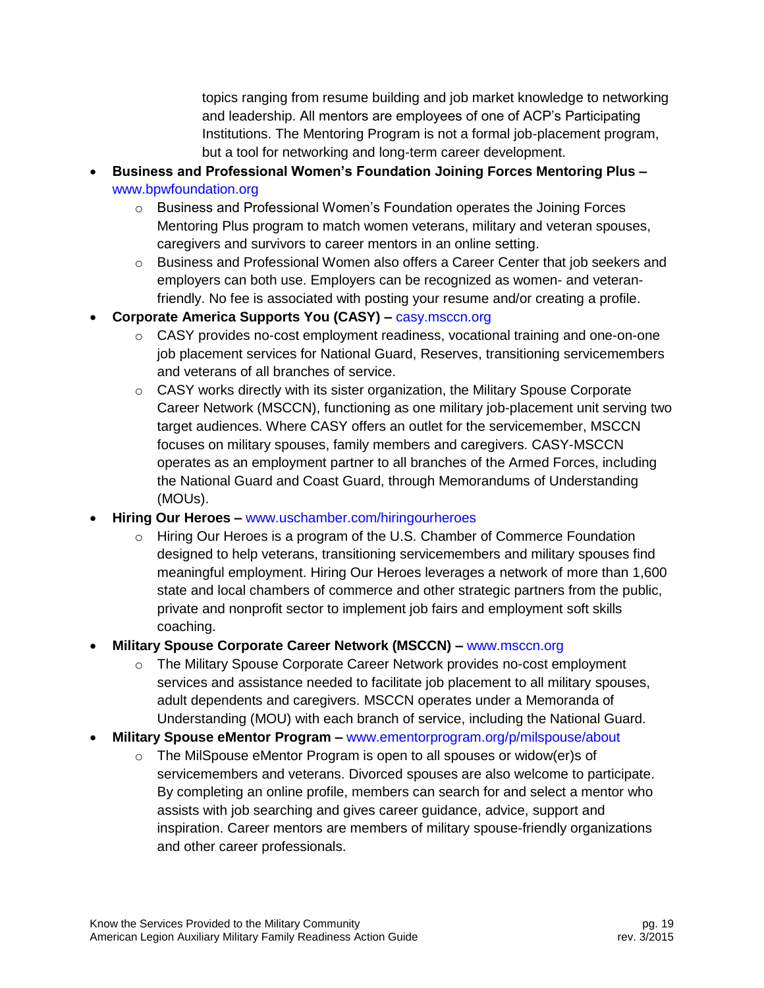topics ranging from resume building and job market knowledge to networking and leadership. All mentors are employees of one of ACP's Participating Institutions. The Mentoring Program is not a formal job-placement program, but a tool for networking and long-term career development.

- **Business and Professional Women's Foundation Joining Forces Mentoring Plus –** [www.bpwfoundation.org](http://www.bpwfoundation.org/)
	- $\circ$  Business and Professional Women's Foundation operates the Joining Forces Mentoring Plus program to match women veterans, military and veteran spouses, caregivers and survivors to career mentors in an online setting.
	- $\circ$  Business and Professional Women also offers a Career Center that job seekers and employers can both use. Employers can be recognized as women- and veteranfriendly. No fee is associated with posting your resume and/or creating a profile.
- **Corporate America Supports You (CASY) –** [casy.msccn.org](http://casy.msccn.org/)
	- $\circ$  CASY provides no-cost employment readiness, vocational training and one-on-one job placement services for National Guard, Reserves, transitioning servicemembers and veterans of all branches of service.
	- $\circ$  CASY works directly with its sister organization, the Military Spouse Corporate Career Network (MSCCN), functioning as one military job-placement unit serving two target audiences. Where CASY offers an outlet for the servicemember, MSCCN focuses on military spouses, family members and caregivers. CASY-MSCCN operates as an employment partner to all branches of the Armed Forces, including the National Guard and Coast Guard, through Memorandums of Understanding (MOUs).
- **Hiring Our Heroes –** [www.uschamber.com/hiringourheroes](http://www.uschamber.com/hiringourheroes)
	- $\circ$  Hiring Our Heroes is a program of the U.S. Chamber of Commerce Foundation designed to help veterans, transitioning servicemembers and military spouses find meaningful employment. Hiring Our Heroes leverages a network of more than 1,600 state and local chambers of commerce and other strategic partners from the public, private and nonprofit sector to implement job fairs and employment soft skills coaching.
- **Military Spouse Corporate Career Network (MSCCN) –** [www.msccn.org](http://www.msccn.org/)
	- o The Military Spouse Corporate Career Network provides no-cost employment services and assistance needed to facilitate job placement to all military spouses, adult dependents and caregivers. MSCCN operates under a Memoranda of Understanding (MOU) with each branch of service, including the National Guard.
- **Military Spouse eMentor Program –** [www.ementorprogram.org/p/milspouse/about](http://www.ementorprogram.org/p/milspouse/about)
	- o The MilSpouse eMentor Program is open to all spouses or widow(er)s of servicemembers and veterans. Divorced spouses are also welcome to participate. By completing an online profile, members can search for and select a mentor who assists with job searching and gives career guidance, advice, support and inspiration. Career mentors are members of military spouse-friendly organizations and other career professionals.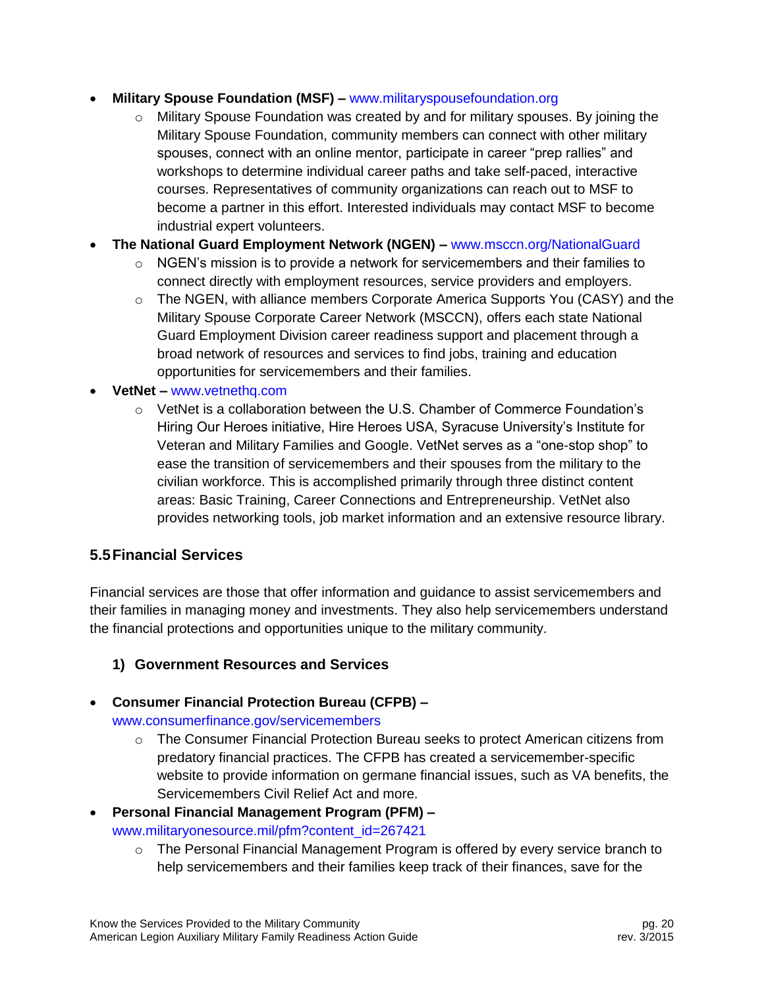#### **Military Spouse Foundation (MSF) –** [www.militaryspousefoundation.org](http://www.militaryspousefoundation.org/)

- $\circ$  Military Spouse Foundation was created by and for military spouses. By joining the Military Spouse Foundation, community members can connect with other military spouses, connect with an online mentor, participate in career "prep rallies" and workshops to determine individual career paths and take self-paced, interactive courses. Representatives of community organizations can reach out to MSF to become a partner in this effort. Interested individuals may contact MSF to become industrial expert volunteers.
- **The National Guard Employment Network (NGEN) –** [www.msccn.org/NationalGuard](http://www.msccn.org/NationalGuard)
	- $\circ$  NGEN's mission is to provide a network for servicemembers and their families to connect directly with employment resources, service providers and employers.
	- $\circ$  The NGEN, with alliance members Corporate America Supports You (CASY) and the Military Spouse Corporate Career Network (MSCCN), offers each state National Guard Employment Division career readiness support and placement through a broad network of resources and services to find jobs, training and education opportunities for servicemembers and their families.
- **VetNet –** [www.vetnethq.com](http://www.vetnethq.com/)
	- o VetNet is a collaboration between the U.S. Chamber of Commerce Foundation's Hiring Our Heroes initiative, Hire Heroes USA, Syracuse University's Institute for Veteran and Military Families and Google. VetNet serves as a "one-stop shop" to ease the transition of servicemembers and their spouses from the military to the civilian workforce. This is accomplished primarily through three distinct content areas: Basic Training, Career Connections and Entrepreneurship. VetNet also provides networking tools, job market information and an extensive resource library.

## <span id="page-20-0"></span>**5.5Financial Services**

Financial services are those that offer information and guidance to assist servicemembers and their families in managing money and investments. They also help servicemembers understand the financial protections and opportunities unique to the military community.

#### **1) Government Resources and Services**

# **Consumer Financial Protection Bureau (CFPB) –**

[www.consumerfinance.gov/servicemembers](file:///C:/Documents%20and%20Settings/TANGER/Application%20Data/Microsoft/Word/www.consumerfinance.gov/servicemembers)

 $\circ$  The Consumer Financial Protection Bureau seeks to protect American citizens from predatory financial practices. The CFPB has created a servicemember-specific website to provide information on germane financial issues, such as VA benefits, the Servicemembers Civil Relief Act and more.

#### **Personal Financial Management Program (PFM) –** [www.militaryonesource.mil/pfm?content\\_id=267421](http://www.militaryonesource.mil/pfm?content_id=267421)

 $\circ$  The Personal Financial Management Program is offered by every service branch to help servicemembers and their families keep track of their finances, save for the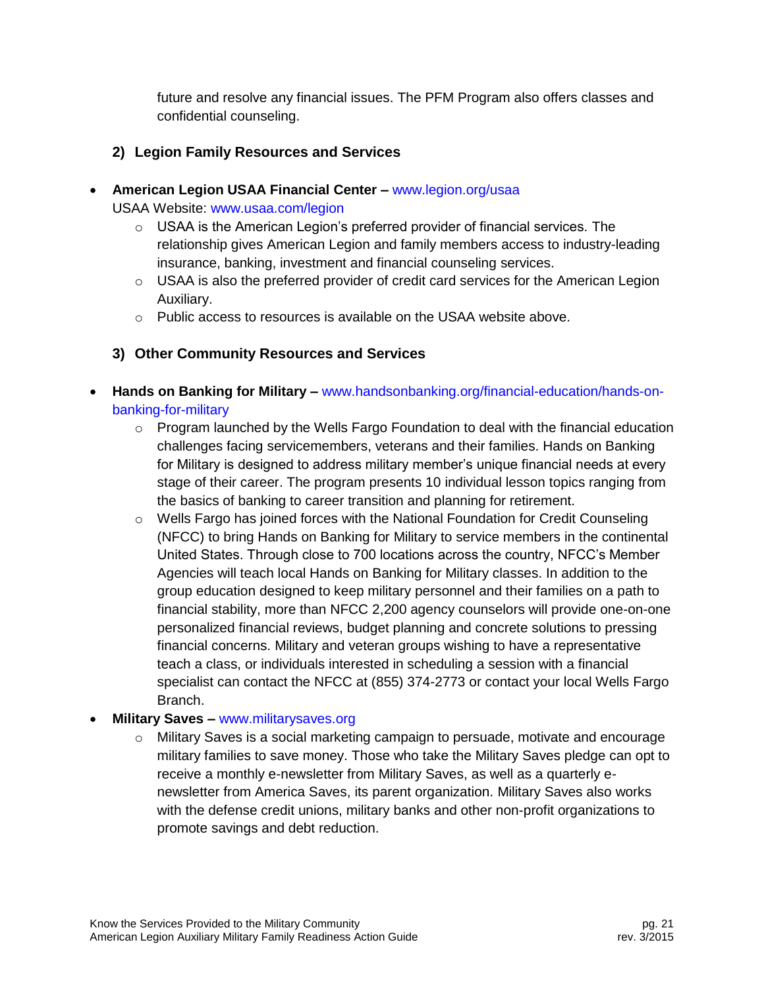future and resolve any financial issues. The PFM Program also offers classes and confidential counseling.

## **2) Legion Family Resources and Services**

- **American Legion USAA Financial Center –** [www.legion.org/usaa](http://www.legion.org/usaa) USAA Website: [www.usaa.com/legion](http://www.usaa.com/legion)
	- $\circ$  USAA is the American Legion's preferred provider of financial services. The relationship gives American Legion and family members access to industry-leading insurance, banking, investment and financial counseling services.
	- o USAA is also the preferred provider of credit card services for the American Legion Auxiliary.
	- $\circ$  Public access to resources is available on the USAA website above.

## **3) Other Community Resources and Services**

- **Hands on Banking for Military –** [www.handsonbanking.org/financial-education/hands-on](http://www.handsonbanking.org/financial-education/hands-on-banking-for-military)[banking-for-military](http://www.handsonbanking.org/financial-education/hands-on-banking-for-military)
	- $\circ$  Program launched by the Wells Fargo Foundation to deal with the financial education challenges facing servicemembers, veterans and their families. Hands on Banking for Military is designed to address military member's unique financial needs at every stage of their career. The program presents 10 individual lesson topics ranging from the basics of banking to career transition and planning for retirement.
	- o Wells Fargo has joined forces with the National Foundation for Credit Counseling (NFCC) to bring Hands on Banking for Military to service members in the continental United States. Through close to 700 locations across the country, NFCC's Member Agencies will teach local Hands on Banking for Military classes. In addition to the group education designed to keep military personnel and their families on a path to financial stability, more than NFCC 2,200 agency counselors will provide one-on-one personalized financial reviews, budget planning and concrete solutions to pressing financial concerns. Military and veteran groups wishing to have a representative teach a class, or individuals interested in scheduling a session with a financial specialist can contact the NFCC at (855) 374-2773 or contact your local Wells Fargo Branch.

#### **Military Saves –** [www.militarysaves.org](http://www.militarysaves.org/)

 $\circ$  Military Saves is a social marketing campaign to persuade, motivate and encourage military families to save money. Those who take the Military Saves pledge can opt to receive a monthly e-newsletter from Military Saves, as well as a quarterly enewsletter from America Saves, its parent organization. Military Saves also works with the defense credit unions, military banks and other non-profit organizations to promote savings and debt reduction.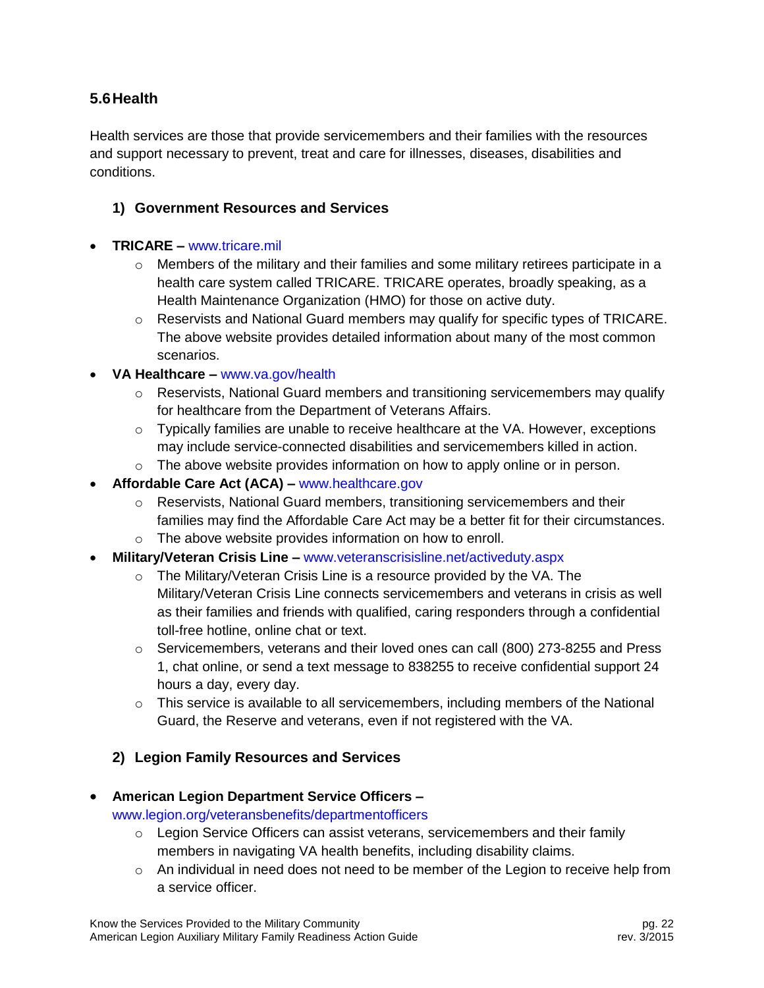## <span id="page-22-0"></span>**5.6Health**

Health services are those that provide servicemembers and their families with the resources and support necessary to prevent, treat and care for illnesses, diseases, disabilities and conditions.

#### **1) Government Resources and Services**

#### **TRICARE –** [www.tricare.mil](http://www.tricare.mil/reserve)

- $\circ$  Members of the military and their families and some military retirees participate in a health care system called TRICARE. TRICARE operates, broadly speaking, as a Health Maintenance Organization (HMO) for those on active duty.
- $\circ$  Reservists and National Guard members may qualify for specific types of TRICARE. The above website provides detailed information about many of the most common scenarios.

#### **VA Healthcare –** [www.va.gov/health](http://www.va.gov/health)

- $\circ$  Reservists, National Guard members and transitioning servicemembers may qualify for healthcare from the Department of Veterans Affairs.
- $\circ$  Typically families are unable to receive healthcare at the VA. However, exceptions may include service-connected disabilities and servicemembers killed in action.
- $\circ$  The above website provides information on how to apply online or in person.
- **Affordable Care Act (ACA) –** [www.healthcare.gov](http://www.healthcare.gov/)
	- $\circ$  Reservists, National Guard members, transitioning servicemembers and their families may find the Affordable Care Act may be a better fit for their circumstances.
	- o The above website provides information on how to enroll.
- **Military/Veteran Crisis Line –** [www.veteranscrisisline.net/activeduty.aspx](http://www.veteranscrisisline.net/activeduty.aspx)
	- o The Military/Veteran Crisis Line is a resource provided by the VA. The Military/Veteran Crisis Line connects servicemembers and veterans in crisis as well as their families and friends with qualified, caring responders through a confidential toll-free hotline, online chat or text.
	- $\circ$  Servicemembers, veterans and their loved ones can call (800) 273-8255 and Press 1, chat online, or send a text message to 838255 to receive confidential support 24 hours a day, every day.
	- $\circ$  This service is available to all servicemembers, including members of the National Guard, the Reserve and veterans, even if not registered with the VA.

#### **2) Legion Family Resources and Services**

#### **American Legion Department Service Officers –** [www.legion.org/veteransbenefits/departmentofficers](http://www.legion.org/veteransbenefits/departmentofficers)

- $\circ$  Legion Service Officers can assist veterans, servicemembers and their family members in navigating VA health benefits, including disability claims.
- $\circ$  An individual in need does not need to be member of the Legion to receive help from a service officer.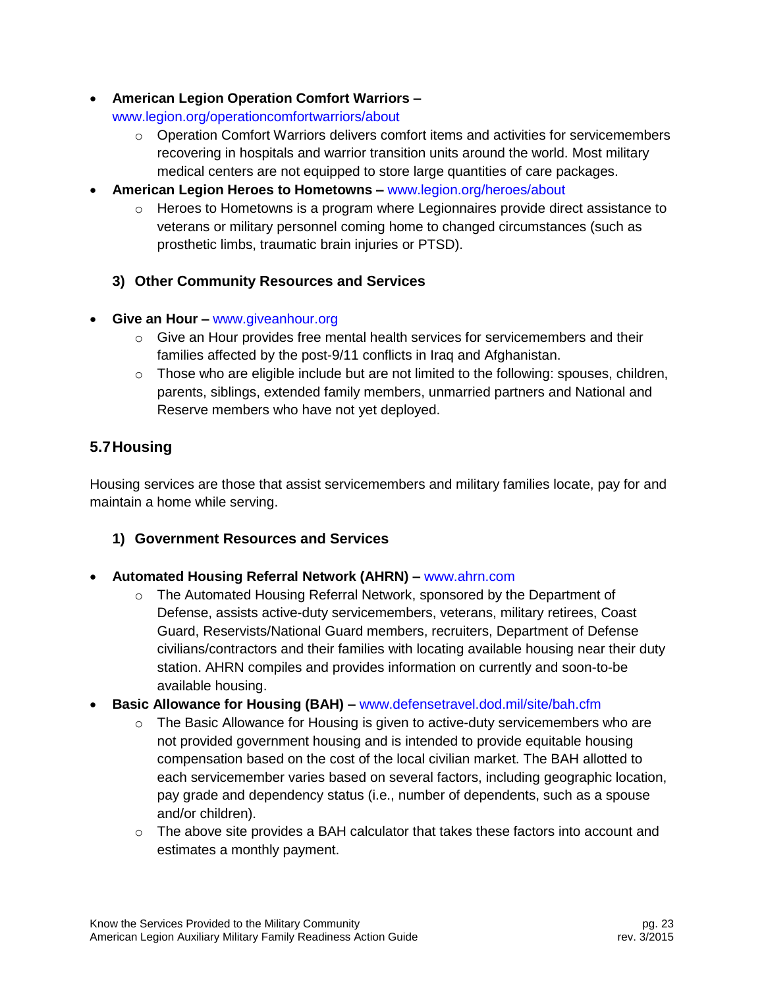**American Legion Operation Comfort Warriors –**

[www.legion.org/operationcomfortwarriors/about](http://www.legion.org/operationcomfortwarriors/about)

- $\circ$  Operation Comfort Warriors delivers comfort items and activities for servicemembers recovering in hospitals and warrior transition units around the world. Most military medical centers are not equipped to store large quantities of care packages.
- **American Legion Heroes to Hometowns –** [www.legion.org/heroes/about](http://www.legion.org/heroes/about)
	- $\circ$  Heroes to Hometowns is a program where Legionnaires provide direct assistance to veterans or military personnel coming home to changed circumstances (such as prosthetic limbs, traumatic brain injuries or PTSD).
	- **3) Other Community Resources and Services**
- **Give an Hour –** [www.giveanhour.org](http://www.giveanhour.org/)
	- $\circ$  Give an Hour provides free mental health services for servicemembers and their families affected by the post-9/11 conflicts in Iraq and Afghanistan.
	- $\circ$  Those who are eligible include but are not limited to the following: spouses, children, parents, siblings, extended family members, unmarried partners and National and Reserve members who have not yet deployed.

# <span id="page-23-0"></span>**5.7Housing**

Housing services are those that assist servicemembers and military families locate, pay for and maintain a home while serving.

## **1) Government Resources and Services**

- **Automated Housing Referral Network (AHRN) –** [www.ahrn.com](http://www.ahrn.com/)
	- $\circ$  The Automated Housing Referral Network, sponsored by the Department of Defense, assists active-duty servicemembers, veterans, military retirees, Coast Guard, Reservists/National Guard members, recruiters, Department of Defense civilians/contractors and their families with locating available housing near their duty station. AHRN compiles and provides information on currently and soon-to-be available housing.
- **Basic Allowance for Housing (BAH) –** [www.defensetravel.dod.mil/site/bah.cfm](http://www.defensetravel.dod.mil/site/bah.cfm)
	- $\circ$  The Basic Allowance for Housing is given to active-duty servicemembers who are not provided government housing and is intended to provide equitable housing compensation based on the cost of the local civilian market. The BAH allotted to each servicemember varies based on several factors, including geographic location, pay grade and dependency status (i.e., number of dependents, such as a spouse and/or children).
	- $\circ$  The above site provides a BAH calculator that takes these factors into account and estimates a monthly payment.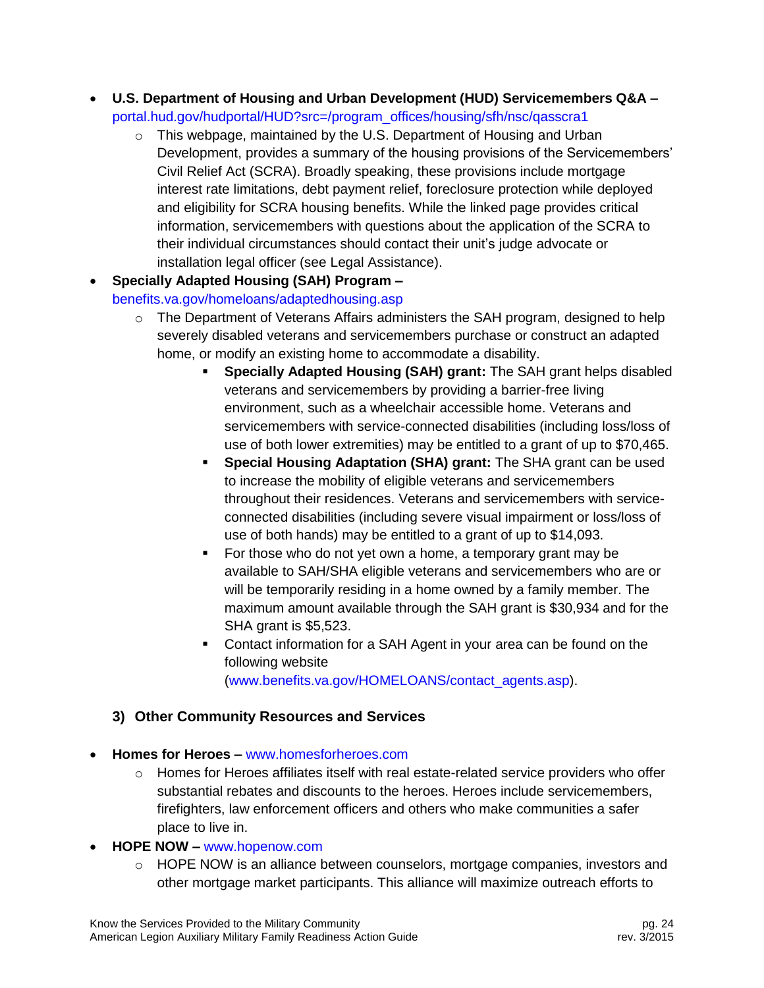- **U.S. Department of Housing and Urban Development (HUD) Servicemembers Q&A –** [portal.hud.gov/hudportal/HUD?src=/program\\_offices/housing/sfh/nsc/qasscra1](http://portal.hud.gov/hudportal/HUD?src=/program_offices/housing/sfh/nsc/qasscra1)
	- $\circ$  This webpage, maintained by the U.S. Department of Housing and Urban Development, provides a summary of the housing provisions of the Servicemembers' Civil Relief Act (SCRA). Broadly speaking, these provisions include mortgage interest rate limitations, debt payment relief, foreclosure protection while deployed and eligibility for SCRA housing benefits. While the linked page provides critical information, servicemembers with questions about the application of the SCRA to their individual circumstances should contact their unit's judge advocate or installation legal officer (see Legal Assistance).
- **Specially Adapted Housing (SAH) Program –**

#### [benefits.va.gov/homeloans/adaptedhousing.asp](http://benefits.va.gov/homeloans/adaptedhousing.asp)

- $\circ$  The Department of Veterans Affairs administers the SAH program, designed to help severely disabled veterans and servicemembers purchase or construct an adapted home, or modify an existing home to accommodate a disability.
	- **Specially Adapted Housing (SAH) grant:** The SAH grant helps disabled veterans and servicemembers by providing a barrier-free living environment, such as a wheelchair accessible home. Veterans and servicemembers with service-connected disabilities (including loss/loss of use of both lower extremities) may be entitled to a grant of up to \$70,465.
	- **Special Housing Adaptation (SHA) grant:** The SHA grant can be used to increase the mobility of eligible veterans and servicemembers throughout their residences. Veterans and servicemembers with serviceconnected disabilities (including severe visual impairment or loss/loss of use of both hands) may be entitled to a grant of up to \$14,093.
	- For those who do not yet own a home, a temporary grant may be available to SAH/SHA eligible veterans and servicemembers who are or will be temporarily residing in a home owned by a family member. The maximum amount available through the SAH grant is \$30,934 and for the SHA grant is \$5,523.
	- Contact information for a SAH Agent in your area can be found on the following website [\(www.benefits.va.gov/HOMELOANS/contact\\_agents.asp\)](http://www.benefits.va.gov/HOMELOANS/contact_agents.asp).

## **3) Other Community Resources and Services**

- **Homes for Heroes –** [www.homesforheroes.com](http://www.homesforheroes.com/)
	- $\circ$  Homes for Heroes affiliates itself with real estate-related service providers who offer substantial rebates and discounts to the heroes. Heroes include servicemembers, firefighters, law enforcement officers and others who make communities a safer place to live in.
- **HOPE NOW –** [www.hopenow.com](http://www.hopenow.com/)
	- o HOPE NOW is an alliance between counselors, mortgage companies, investors and other mortgage market participants. This alliance will maximize outreach efforts to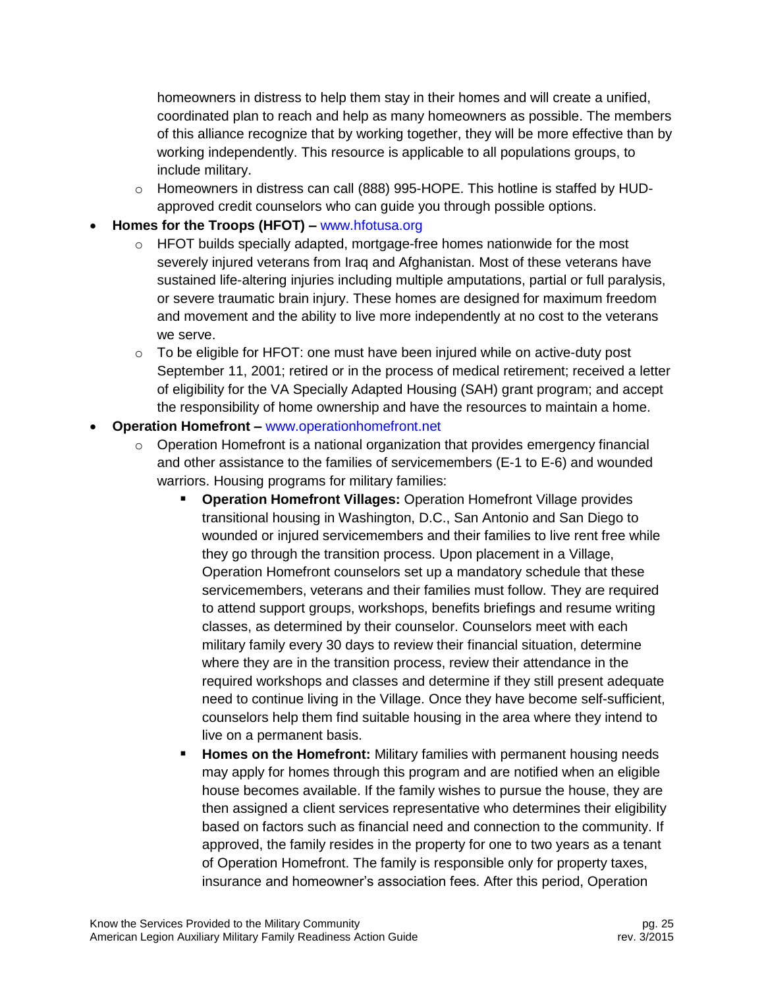homeowners in distress to help them stay in their homes and will create a unified, coordinated plan to reach and help as many homeowners as possible. The members of this alliance recognize that by working together, they will be more effective than by working independently. This resource is applicable to all populations groups, to include military.

 $\circ$  Homeowners in distress can call (888) 995-HOPE. This hotline is staffed by HUDapproved credit counselors who can guide you through possible options.

#### **Homes for the Troops (HFOT) –** [www.hfotusa.org](http://www.hfotusa.org/)

- $\circ$  HFOT builds specially adapted, mortgage-free homes nationwide for the most severely injured veterans from Iraq and Afghanistan. Most of these veterans have sustained life-altering injuries including multiple amputations, partial or full paralysis, or severe traumatic brain injury. These homes are designed for maximum freedom and movement and the ability to live more independently at no cost to the veterans we serve.
- $\circ$  To be eligible for HFOT: one must have been injured while on active-duty post September 11, 2001; retired or in the process of medical retirement; received a letter of eligibility for the VA Specially Adapted Housing (SAH) grant program; and accept the responsibility of home ownership and have the resources to maintain a home.

#### **Operation Homefront –** [www.operationhomefront.net](http://www.operationhomefront.net/)

- $\circ$  Operation Homefront is a national organization that provides emergency financial and other assistance to the families of servicemembers (E-1 to E-6) and wounded warriors. Housing programs for military families:
	- **Operation Homefront Villages:** Operation Homefront Village provides transitional housing in Washington, D.C., San Antonio and San Diego to wounded or injured servicemembers and their families to live rent free while they go through the transition process. Upon placement in a Village, Operation Homefront counselors set up a mandatory schedule that these servicemembers, veterans and their families must follow. They are required to attend support groups, workshops, benefits briefings and resume writing classes, as determined by their counselor. Counselors meet with each military family every 30 days to review their financial situation, determine where they are in the transition process, review their attendance in the required workshops and classes and determine if they still present adequate need to continue living in the Village. Once they have become self-sufficient, counselors help them find suitable housing in the area where they intend to live on a permanent basis.
	- **Homes on the Homefront:** Military families with permanent housing needs may apply for homes through this program and are notified when an eligible house becomes available. If the family wishes to pursue the house, they are then assigned a client services representative who determines their eligibility based on factors such as financial need and connection to the community. If approved, the family resides in the property for one to two years as a tenant of Operation Homefront. The family is responsible only for property taxes, insurance and homeowner's association fees. After this period, Operation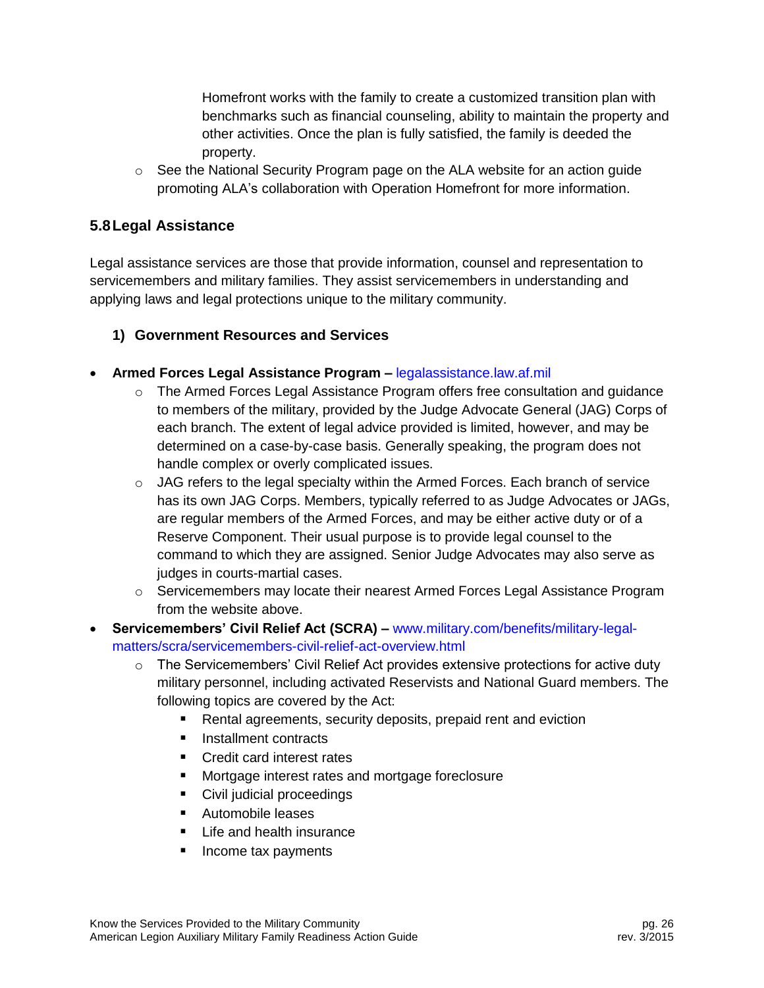Homefront works with the family to create a customized transition plan with benchmarks such as financial counseling, ability to maintain the property and other activities. Once the plan is fully satisfied, the family is deeded the property.

 $\circ$  See the National Security Program page on the ALA website for an action guide promoting ALA's collaboration with Operation Homefront for more information.

## <span id="page-26-0"></span>**5.8Legal Assistance**

Legal assistance services are those that provide information, counsel and representation to servicemembers and military families. They assist servicemembers in understanding and applying laws and legal protections unique to the military community.

## **1) Government Resources and Services**

- **Armed Forces Legal Assistance Program –** [legalassistance.law.af.mil](http://legalassistance.law.af.mil/)
	- $\circ$  The Armed Forces Legal Assistance Program offers free consultation and guidance to members of the military, provided by the Judge Advocate General (JAG) Corps of each branch. The extent of legal advice provided is limited, however, and may be determined on a case-by-case basis. Generally speaking, the program does not handle complex or overly complicated issues.
	- $\circ$  JAG refers to the legal specialty within the Armed Forces. Each branch of service has its own JAG Corps. Members, typically referred to as Judge Advocates or JAGs, are regular members of the Armed Forces, and may be either active duty or of a Reserve Component. Their usual purpose is to provide legal counsel to the command to which they are assigned. Senior Judge Advocates may also serve as judges in courts-martial cases.
	- o Servicemembers may locate their nearest Armed Forces Legal Assistance Program from the website above.
- **Servicemembers' Civil Relief Act (SCRA) –** [www.military.com/benefits/military-legal](http://www.military.com/benefits/military-legal-matters/scra/servicemembers-civil-relief-act-overview.html)[matters/scra/servicemembers-civil-relief-act-overview.html](http://www.military.com/benefits/military-legal-matters/scra/servicemembers-civil-relief-act-overview.html)
	- $\circ$  The Servicemembers' Civil Relief Act provides extensive protections for active duty military personnel, including activated Reservists and National Guard members. The following topics are covered by the Act:
		- **Rental agreements, security deposits, prepaid rent and eviction**
		- **Installment contracts**
		- Credit card interest rates
		- **Mortgage interest rates and mortgage foreclosure**
		- **Civil judicial proceedings**
		- **Automobile leases**
		- **Life and health insurance**
		- Income tax payments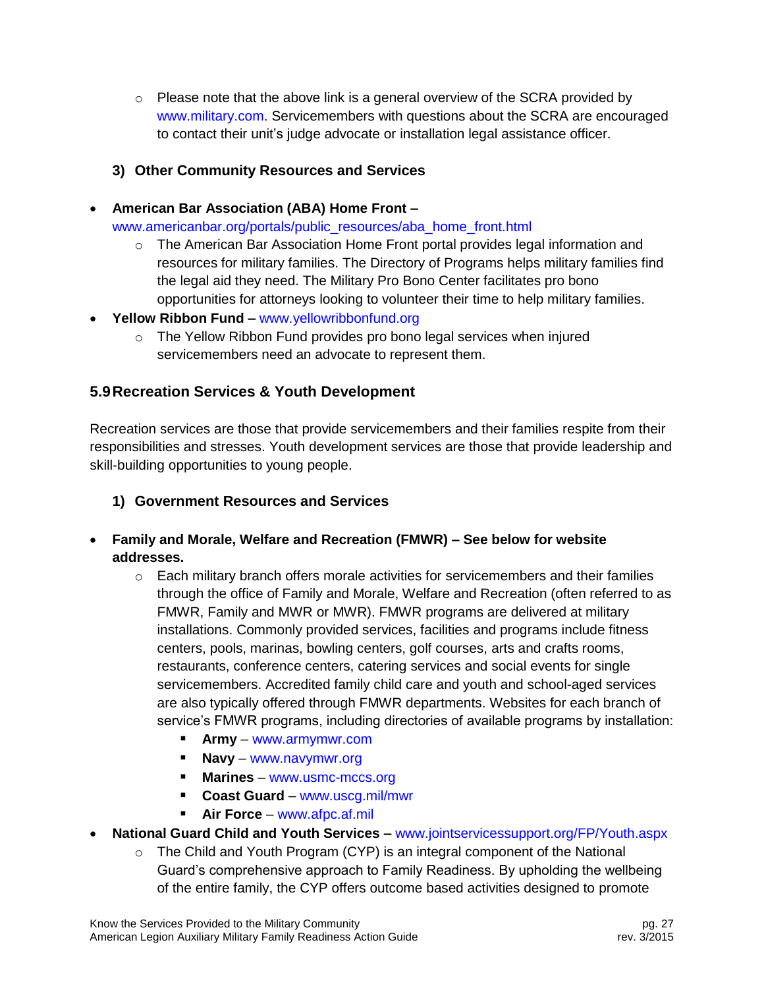$\circ$  Please note that the above link is a general overview of the SCRA provided by [www.military.com.](http://www.military.com/) Servicemembers with questions about the SCRA are encouraged to contact their unit's judge advocate or installation legal assistance officer.

## **3) Other Community Resources and Services**

**American Bar Association (ABA) Home Front –**

[www.americanbar.org/portals/public\\_resources/aba\\_home\\_front.html](http://www.americanbar.org/portals/public_resources/aba_home_front.html)

- $\circ$  The American Bar Association Home Front portal provides legal information and resources for military families. The Directory of Programs helps military families find the legal aid they need. The Military Pro Bono Center facilitates pro bono opportunities for attorneys looking to volunteer their time to help military families.
- **Yellow Ribbon Fund –** [www.yellowribbonfund.org](http://www.yellowribbonfund.org/)
	- $\circ$  The Yellow Ribbon Fund provides pro bono legal services when injured servicemembers need an advocate to represent them.

# <span id="page-27-0"></span>**5.9Recreation Services & Youth Development**

Recreation services are those that provide servicemembers and their families respite from their responsibilities and stresses. Youth development services are those that provide leadership and skill-building opportunities to young people.

- **1) Government Resources and Services**
- **Family and Morale, Welfare and Recreation (FMWR) – See below for website addresses.**
	- $\circ$  Each military branch offers morale activities for servicemembers and their families through the office of Family and Morale, Welfare and Recreation (often referred to as FMWR, Family and MWR or MWR). FMWR programs are delivered at military installations. Commonly provided services, facilities and programs include fitness centers, pools, marinas, bowling centers, golf courses, arts and crafts rooms, restaurants, conference centers, catering services and social events for single servicemembers. Accredited family child care and youth and school-aged services are also typically offered through FMWR departments. Websites for each branch of service's FMWR programs, including directories of available programs by installation:
		- **Army** [www.armymwr.com](http://www.armymwr.com/)
		- **Navy** [www.navymwr.org](http://www.navymwr.org/)
		- **Marines** [www.usmc-mccs.org](http://www.usmc-mccs.org/)
		- **Coast Guard** [www.uscg.mil/mwr](http://www.uscg.mil/mwr)
		- **Air Force** [www.afpc.af.mil](http://www.afpc.af.mil/)
- **National Guard Child and Youth Services –** [www.jointservicessupport.org/FP/Youth.aspx](http://www.jointservicessupport.org/FP/Youth.aspx)
	- $\circ$  The Child and Youth Program (CYP) is an integral component of the National Guard's comprehensive approach to Family Readiness. By upholding the wellbeing of the entire family, the CYP offers outcome based activities designed to promote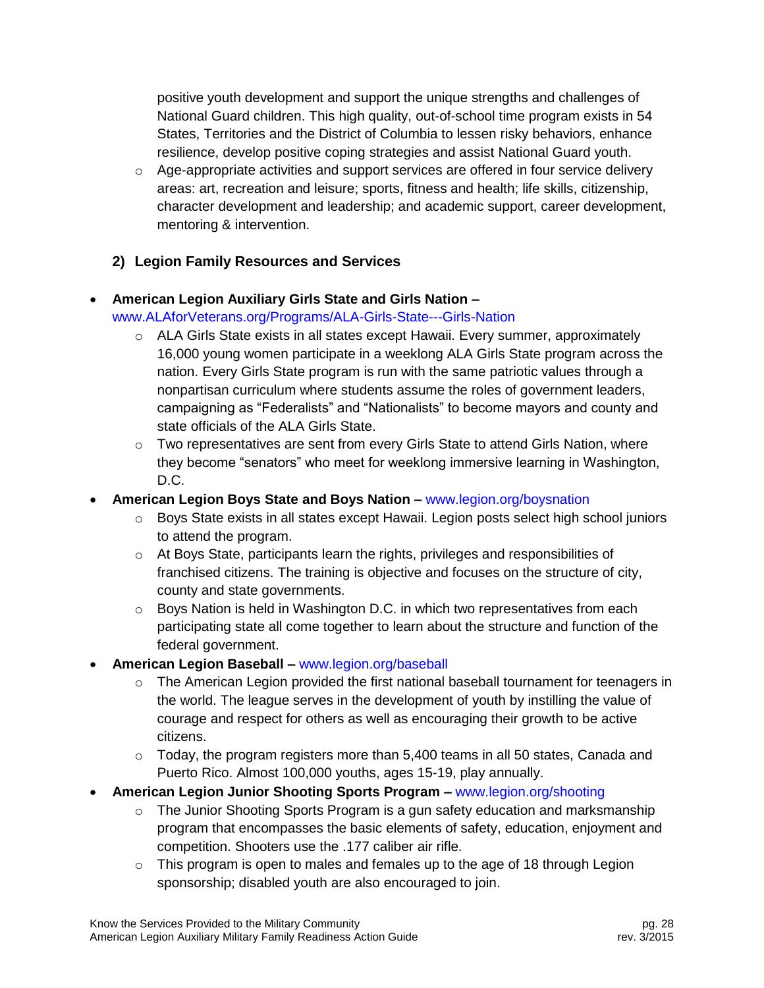positive youth development and support the unique strengths and challenges of National Guard children. This high quality, out-of-school time program exists in 54 States, Territories and the District of Columbia to lessen risky behaviors, enhance resilience, develop positive coping strategies and assist National Guard youth.

 $\circ$  Age-appropriate activities and support services are offered in four service delivery areas: art, recreation and leisure; sports, fitness and health; life skills, citizenship, character development and leadership; and academic support, career development, mentoring & intervention.

## **2) Legion Family Resources and Services**

- **American Legion Auxiliary Girls State and Girls Nation –** [www.ALAforVeterans.org/Programs/ALA-Girls-State---Girls-Nation](http://www.alaforveterans.org/Programs/ALA-Girls-State---Girls-Nation)
	- $\circ$  ALA Girls State exists in all states except Hawaii. Every summer, approximately 16,000 young women participate in a weeklong ALA Girls State program across the nation. Every Girls State program is run with the same patriotic values through a nonpartisan curriculum where students assume the roles of government leaders, campaigning as "Federalists" and "Nationalists" to become mayors and county and state officials of the ALA Girls State.
	- $\circ$  Two representatives are sent from every Girls State to attend Girls Nation, where they become "senators" who meet for weeklong immersive learning in Washington, D.C.
- **American Legion Boys State and Boys Nation –** [www.legion.org/boysnation](http://www.legion.org/boysnation)
	- $\circ$  Boys State exists in all states except Hawaii. Legion posts select high school juniors to attend the program.
	- $\circ$  At Boys State, participants learn the rights, privileges and responsibilities of franchised citizens. The training is objective and focuses on the structure of city, county and state governments.
	- $\circ$  Boys Nation is held in Washington D.C. in which two representatives from each participating state all come together to learn about the structure and function of the federal government.
- **American Legion Baseball –** [www.legion.org/baseball](http://www.legion.org/baseball)
	- $\circ$  The American Legion provided the first national baseball tournament for teenagers in the world. The league serves in the development of youth by instilling the value of courage and respect for others as well as encouraging their growth to be active citizens.
	- $\circ$  Today, the program registers more than 5,400 teams in all 50 states, Canada and Puerto Rico. Almost 100,000 youths, ages 15-19, play annually.
- **American Legion Junior Shooting Sports Program –** [www.legion.org/shooting](http://www.legion.org/shooting)
	- $\circ$  The Junior Shooting Sports Program is a gun safety education and marksmanship program that encompasses the basic elements of safety, education, enjoyment and competition. Shooters use the .177 caliber air rifle.
	- $\circ$  This program is open to males and females up to the age of 18 through Legion sponsorship; disabled youth are also encouraged to join.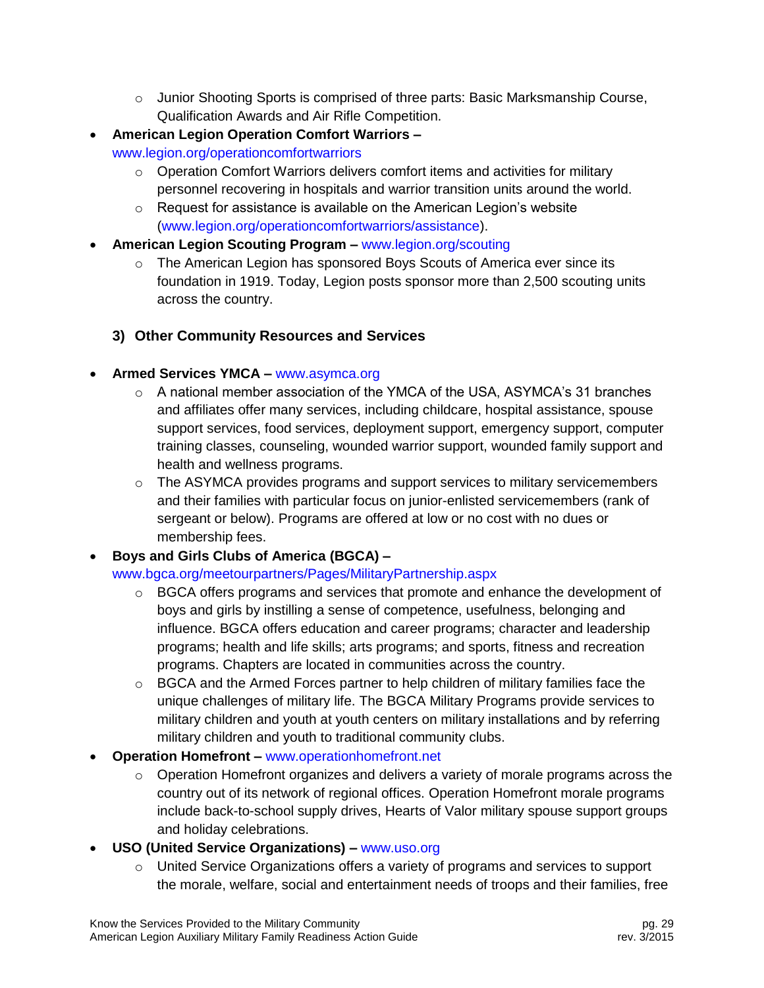- $\circ$  Junior Shooting Sports is comprised of three parts: Basic Marksmanship Course, Qualification Awards and Air Rifle Competition.
- **American Legion Operation Comfort Warriors –** [www.legion.org/operationcomfortwarriors](http://www.legion.org/operationcomfortwarriors)
	- o Operation Comfort Warriors delivers comfort items and activities for military personnel recovering in hospitals and warrior transition units around the world.
	- o Request for assistance is available on the American Legion's website [\(www.legion.org/operationcomfortwarriors/assistance\)](http://www.legion.org/operationcomfortwarriors/assistance).
- **American Legion Scouting Program –** [www.legion.org/scouting](http://www.legion.org/scouting)
	- $\circ$  The American Legion has sponsored Boys Scouts of America ever since its foundation in 1919. Today, Legion posts sponsor more than 2,500 scouting units across the country.
	- **3) Other Community Resources and Services**

## **Armed Services YMCA –** [www.asymca.org](http://www.asymca.org/)

- $\circ$  A national member association of the YMCA of the USA, ASYMCA's 31 branches and affiliates offer many services, including childcare, hospital assistance, spouse support services, food services, deployment support, emergency support, computer training classes, counseling, wounded warrior support, wounded family support and health and wellness programs.
- $\circ$  The ASYMCA provides programs and support services to military servicemembers and their families with particular focus on junior-enlisted servicemembers (rank of sergeant or below). Programs are offered at low or no cost with no dues or membership fees.

# **Boys and Girls Clubs of America (BGCA) –**

## [www.bgca.org/meetourpartners/Pages/MilitaryPartnership.aspx](http://www.bgca.org/meetourpartners/Pages/MilitaryPartnership.aspx)

- $\circ$  BGCA offers programs and services that promote and enhance the development of boys and girls by instilling a sense of competence, usefulness, belonging and influence. BGCA offers education and career programs; character and leadership programs; health and life skills; arts programs; and sports, fitness and recreation programs. Chapters are located in communities across the country.
- $\circ$  BGCA and the Armed Forces partner to help children of military families face the unique challenges of military life. The BGCA Military Programs provide services to military children and youth at youth centers on military installations and by referring military children and youth to traditional community clubs.
- **Operation Homefront –** [www.operationhomefront.net](http://www.operationhomefront.net/)
	- o Operation Homefront organizes and delivers a variety of morale programs across the country out of its network of regional offices. Operation Homefront morale programs include back-to-school supply drives, Hearts of Valor military spouse support groups and holiday celebrations.
- **USO (United Service Organizations) –** [www.uso.org](http://www.uso.org/)
	- $\circ$  United Service Organizations offers a variety of programs and services to support the morale, welfare, social and entertainment needs of troops and their families, free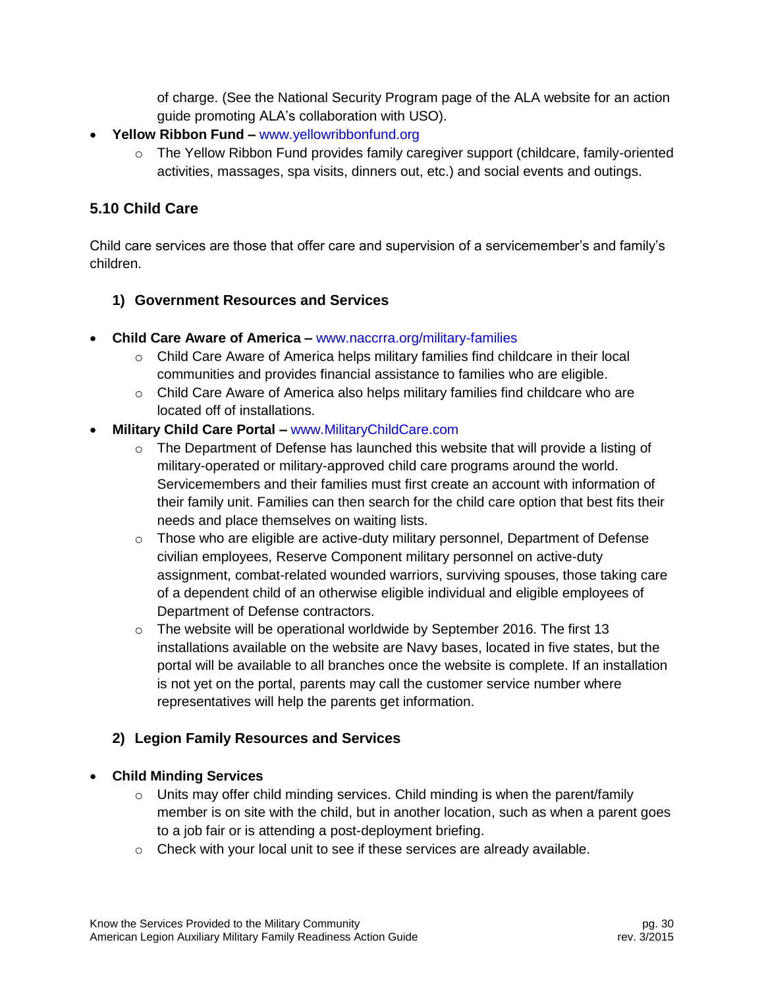of charge. (See the National Security Program page of the ALA website for an action guide promoting ALA's collaboration with USO).

- **Yellow Ribbon Fund –** [www.yellowribbonfund.org](http://www.yellowribbonfund.org/)
	- $\circ$  The Yellow Ribbon Fund provides family caregiver support (childcare, family-oriented activities, massages, spa visits, dinners out, etc.) and social events and outings.

#### <span id="page-30-0"></span>**5.10 Child Care**

Child care services are those that offer care and supervision of a servicemember's and family's children.

#### **1) Government Resources and Services**

- **Child Care Aware of America –** [www.naccrra.org/military-families](http://www.naccrra.org/military-families)
	- $\circ$  Child Care Aware of America helps military families find childcare in their local communities and provides financial assistance to families who are eligible.
	- $\circ$  Child Care Aware of America also helps military families find childcare who are located off of installations.
- **Military Child Care Portal –** [www.MilitaryChildCare.com](http://www.militarychildcare.com/)
	- $\circ$  The Department of Defense has launched this website that will provide a listing of military-operated or military-approved child care programs around the world. Servicemembers and their families must first create an account with information of their family unit. Families can then search for the child care option that best fits their needs and place themselves on waiting lists.
	- $\circ$  Those who are eligible are active-duty military personnel, Department of Defense civilian employees, Reserve Component military personnel on active-duty assignment, combat-related wounded warriors, surviving spouses, those taking care of a dependent child of an otherwise eligible individual and eligible employees of Department of Defense contractors.
	- $\circ$  The website will be operational worldwide by September 2016. The first 13 installations available on the website are Navy bases, located in five states, but the portal will be available to all branches once the website is complete. If an installation is not yet on the portal, parents may call the customer service number where representatives will help the parents get information.

#### **2) Legion Family Resources and Services**

#### **Child Minding Services**

- $\circ$  Units may offer child minding services. Child minding is when the parent/family member is on site with the child, but in another location, such as when a parent goes to a job fair or is attending a post-deployment briefing.
- o Check with your local unit to see if these services are already available.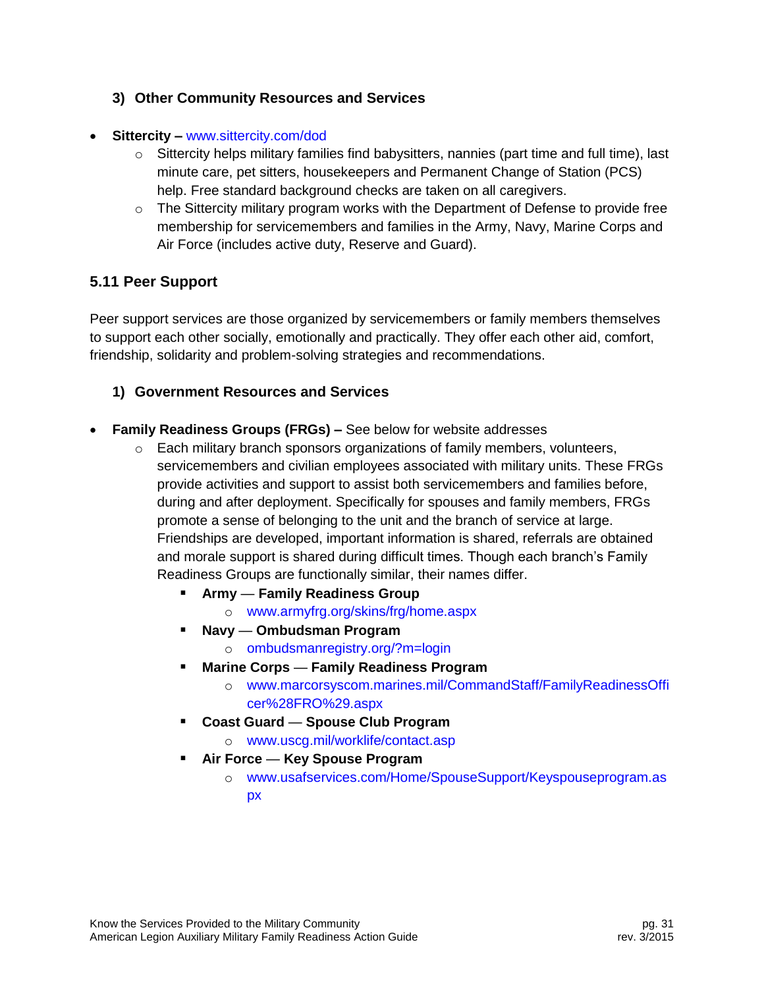#### **3) Other Community Resources and Services**

- **Sittercity –** [www.sittercity.com/dod](http://www.sittercity.com/dod)
	- $\circ$  Sittercity helps military families find babysitters, nannies (part time and full time), last minute care, pet sitters, housekeepers and Permanent Change of Station (PCS) help. Free standard background checks are taken on all caregivers.
	- $\circ$  The Sittercity military program works with the Department of Defense to provide free membership for servicemembers and families in the Army, Navy, Marine Corps and Air Force (includes active duty, Reserve and Guard).

## <span id="page-31-0"></span>**5.11 Peer Support**

Peer support services are those organized by servicemembers or family members themselves to support each other socially, emotionally and practically. They offer each other aid, comfort, friendship, solidarity and problem-solving strategies and recommendations.

#### **1) Government Resources and Services**

- **Family Readiness Groups (FRGs) –** See below for website addresses
	- $\circ$  Each military branch sponsors organizations of family members, volunteers, servicemembers and civilian employees associated with military units. These FRGs provide activities and support to assist both servicemembers and families before, during and after deployment. Specifically for spouses and family members, FRGs promote a sense of belonging to the unit and the branch of service at large. Friendships are developed, important information is shared, referrals are obtained and morale support is shared during difficult times. Though each branch's Family Readiness Groups are functionally similar, their names differ.
		- **Army Family Readiness Group**
			- o [www.armyfrg.org/skins/frg/home.aspx](http://www.armyfrg.org/skins/frg/home.aspx)
		- **Navy Ombudsman Program**
			- o [ombudsmanregistry.org/?m=login](https://ombudsmanregistry.org/?m=login)
		- **Marine Corps Family Readiness Program**
			- o [www.marcorsyscom.marines.mil/CommandStaff/FamilyReadinessOffi](http://www.marcorsyscom.marines.mil/CommandStaff/FamilyReadinessOfficer%28FRO%29.aspx) [cer%28FRO%29.aspx](http://www.marcorsyscom.marines.mil/CommandStaff/FamilyReadinessOfficer%28FRO%29.aspx)
		- **Coast Guard Spouse Club Program**
			- o [www.uscg.mil/worklife/contact.asp](http://www.uscg.mil/worklife/contact.asp)
		- **Air Force Key Spouse Program**
			- o [www.usafservices.com/Home/SpouseSupport/Keyspouseprogram.as](http://www.usafservices.com/Home/SpouseSupport/Keyspouseprogram.aspx) [px](http://www.usafservices.com/Home/SpouseSupport/Keyspouseprogram.aspx)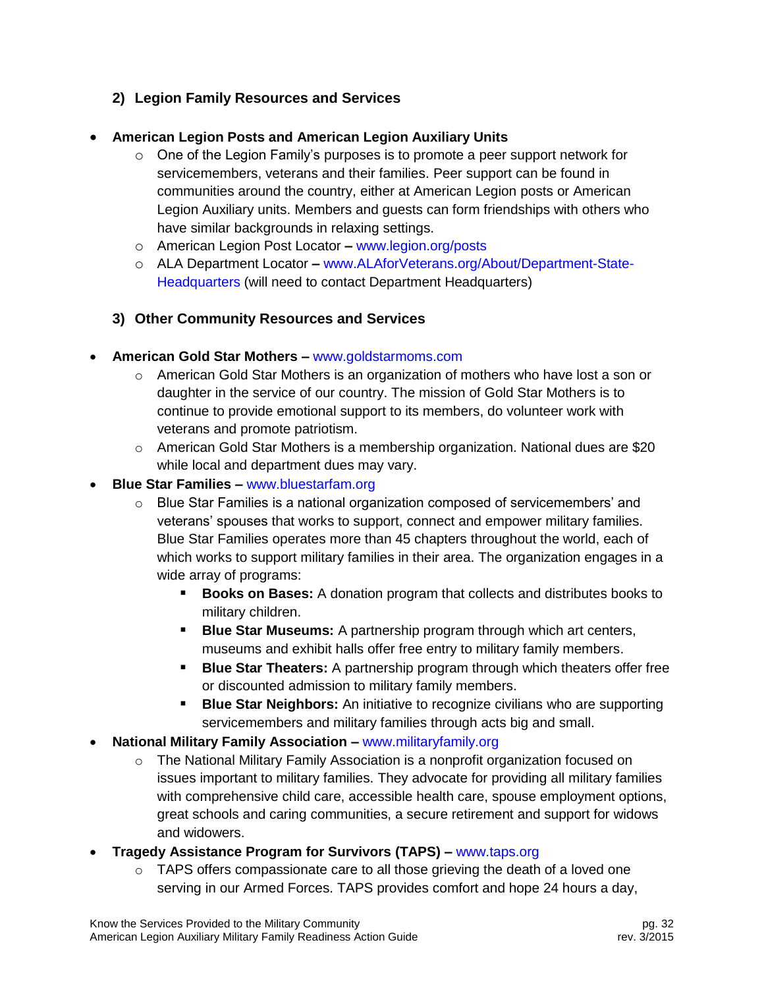## **2) Legion Family Resources and Services**

#### **American Legion Posts and American Legion Auxiliary Units**

- $\circ$  One of the Legion Family's purposes is to promote a peer support network for servicemembers, veterans and their families. Peer support can be found in communities around the country, either at American Legion posts or American Legion Auxiliary units. Members and guests can form friendships with others who have similar backgrounds in relaxing settings.
- o American Legion Post Locator **–** [www.legion.org/posts](http://www.legion.org/posts)
- o ALA Department Locator **–** [www.ALAforVeterans.org/About/Department-State-](http://www.alaforveterans.org/About/Department-State-Headquarters)[Headquarters](http://www.alaforveterans.org/About/Department-State-Headquarters) (will need to contact Department Headquarters)
- **3) Other Community Resources and Services**
- **American Gold Star Mothers –** [www.goldstarmoms.com](http://www.goldstarmoms.com/)
	- $\circ$  American Gold Star Mothers is an organization of mothers who have lost a son or daughter in the service of our country. The mission of Gold Star Mothers is to continue to provide emotional support to its members, do volunteer work with veterans and promote patriotism.
	- $\circ$  American Gold Star Mothers is a membership organization. National dues are \$20 while local and department dues may vary.
- **Blue Star Families –** [www.bluestarfam.org](http://www.bluestarfam.org/)
	- $\circ$  Blue Star Families is a national organization composed of servicemembers' and veterans' spouses that works to support, connect and empower military families. Blue Star Families operates more than 45 chapters throughout the world, each of which works to support military families in their area. The organization engages in a wide array of programs:
		- **Books on Bases:** A donation program that collects and distributes books to military children.
		- **Blue Star Museums:** A partnership program through which art centers, museums and exhibit halls offer free entry to military family members.
		- **Blue Star Theaters:** A partnership program through which theaters offer free or discounted admission to military family members.
		- **Blue Star Neighbors:** An initiative to recognize civilians who are supporting servicemembers and military families through acts big and small.
- **National Military Family Association –** [www.militaryfamily.org](http://www.militaryfamily.org/)
	- $\circ$  The National Military Family Association is a nonprofit organization focused on issues important to military families. They advocate for providing all military families with comprehensive child care, accessible health care, spouse employment options, great schools and caring communities, a secure retirement and support for widows and widowers.
- **Tragedy Assistance Program for Survivors (TAPS) –** [www.taps.org](http://www.taps.org/)
	- $\circ$  TAPS offers compassionate care to all those grieving the death of a loved one serving in our Armed Forces. TAPS provides comfort and hope 24 hours a day,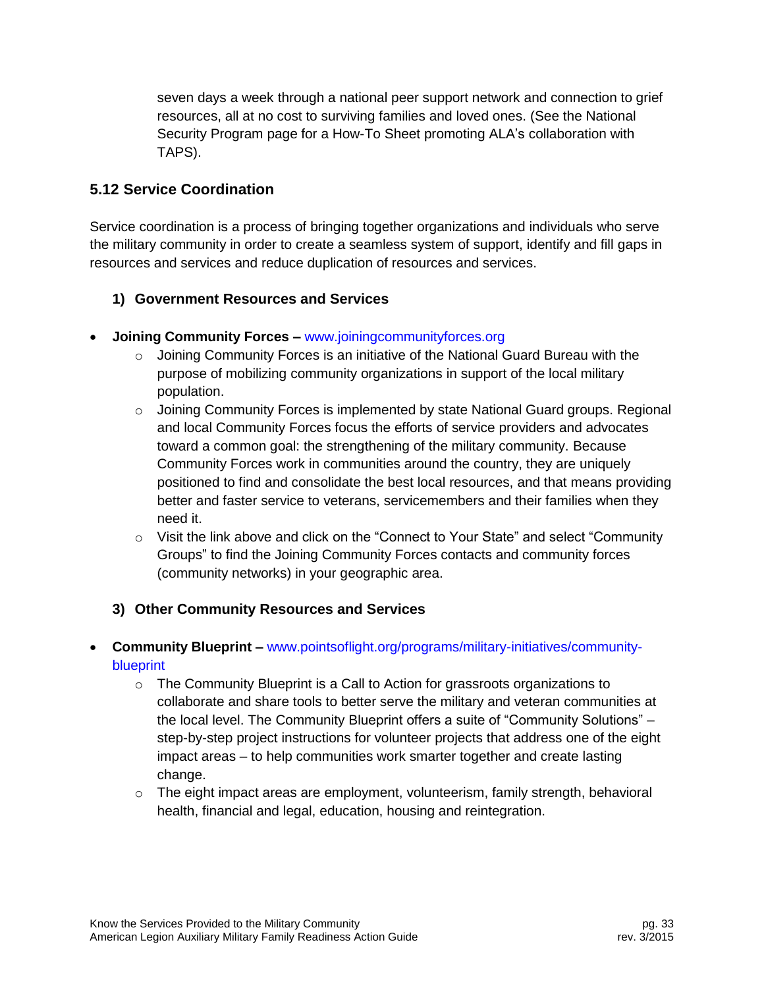seven days a week through a national peer support network and connection to grief resources, all at no cost to surviving families and loved ones. (See the National Security Program page for a How-To Sheet promoting ALA's collaboration with TAPS).

## <span id="page-33-0"></span>**5.12 Service Coordination**

Service coordination is a process of bringing together organizations and individuals who serve the military community in order to create a seamless system of support, identify and fill gaps in resources and services and reduce duplication of resources and services.

## **1) Government Resources and Services**

- **Joining Community Forces –** [www.joiningcommunityforces.org](http://www.joiningcommunityforces.org/)
	- $\circ$  Joining Community Forces is an initiative of the National Guard Bureau with the purpose of mobilizing community organizations in support of the local military population.
	- $\circ$  Joining Community Forces is implemented by state National Guard groups. Regional and local Community Forces focus the efforts of service providers and advocates toward a common goal: the strengthening of the military community. Because Community Forces work in communities around the country, they are uniquely positioned to find and consolidate the best local resources, and that means providing better and faster service to veterans, servicemembers and their families when they need it.
	- o Visit the link above and click on the "Connect to Your State" and select "Community Groups" to find the Joining Community Forces contacts and community forces (community networks) in your geographic area.

## **3) Other Community Resources and Services**

#### **Community Blueprint –** [www.pointsoflight.org/programs/military-initiatives/community](http://www.pointsoflight.org/programs/military-initiatives/community-blueprint)[blueprint](http://www.pointsoflight.org/programs/military-initiatives/community-blueprint)

- $\circ$  The Community Blueprint is a Call to Action for grassroots organizations to collaborate and share tools to better serve the military and veteran communities at the local level. The Community Blueprint offers a suite of "Community Solutions" – step-by-step project instructions for volunteer projects that address one of the eight impact areas – to help communities work smarter together and create lasting change.
- $\circ$  The eight impact areas are employment, volunteerism, family strength, behavioral health, financial and legal, education, housing and reintegration.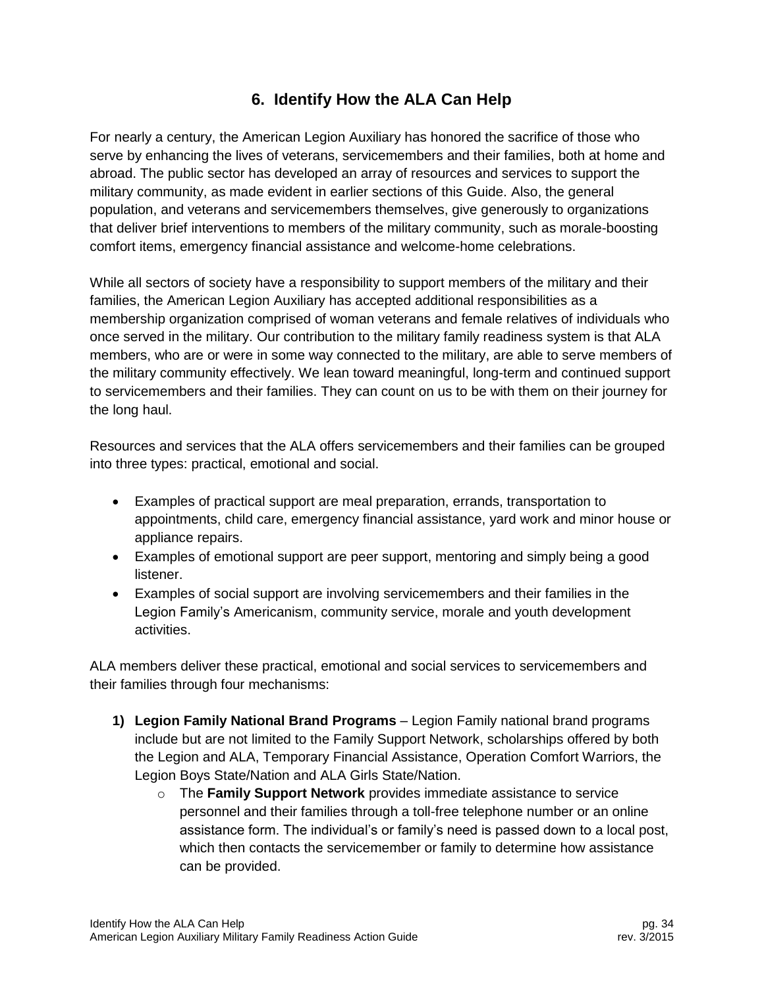# **6. Identify How the ALA Can Help**

<span id="page-34-0"></span>For nearly a century, the American Legion Auxiliary has honored the sacrifice of those who serve by enhancing the lives of veterans, servicemembers and their families, both at home and abroad. The public sector has developed an array of resources and services to support the military community, as made evident in earlier sections of this Guide. Also, the general population, and veterans and servicemembers themselves, give generously to organizations that deliver brief interventions to members of the military community, such as morale-boosting comfort items, emergency financial assistance and welcome-home celebrations.

While all sectors of society have a responsibility to support members of the military and their families, the American Legion Auxiliary has accepted additional responsibilities as a membership organization comprised of woman veterans and female relatives of individuals who once served in the military. Our contribution to the military family readiness system is that ALA members, who are or were in some way connected to the military, are able to serve members of the military community effectively. We lean toward meaningful, long-term and continued support to servicemembers and their families. They can count on us to be with them on their journey for the long haul.

Resources and services that the ALA offers servicemembers and their families can be grouped into three types: practical, emotional and social.

- Examples of practical support are meal preparation, errands, transportation to appointments, child care, emergency financial assistance, yard work and minor house or appliance repairs.
- Examples of emotional support are peer support, mentoring and simply being a good listener.
- Examples of social support are involving servicemembers and their families in the Legion Family's Americanism, community service, morale and youth development activities.

ALA members deliver these practical, emotional and social services to servicemembers and their families through four mechanisms:

- **1) Legion Family National Brand Programs**  Legion Family national brand programs include but are not limited to the Family Support Network, scholarships offered by both the Legion and ALA, Temporary Financial Assistance, Operation Comfort Warriors, the Legion Boys State/Nation and ALA Girls State/Nation.
	- o The **Family Support Network** provides immediate assistance to service personnel and their families through a toll-free telephone number or an online assistance form. The individual's or family's need is passed down to a local post, which then contacts the servicemember or family to determine how assistance can be provided.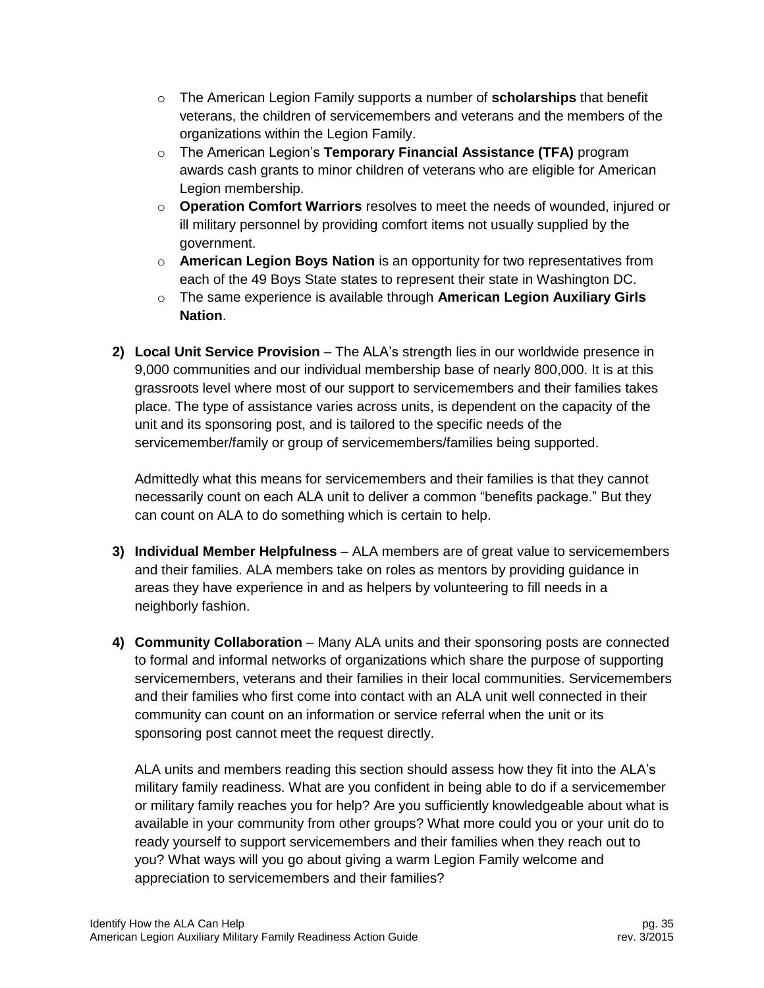- o The American Legion Family supports a number of **scholarships** that benefit veterans, the children of servicemembers and veterans and the members of the organizations within the Legion Family.
- o The American Legion's **Temporary Financial Assistance (TFA)** program awards cash grants to minor children of veterans who are eligible for American Legion membership.
- o **Operation Comfort Warriors** resolves to meet the needs of wounded, injured or ill military personnel by providing comfort items not usually supplied by the government.
- o **American Legion Boys Nation** is an opportunity for two representatives from each of the 49 Boys State states to represent their state in Washington DC.
- o The same experience is available through **American Legion Auxiliary Girls Nation**.
- **2) Local Unit Service Provision** The ALA's strength lies in our worldwide presence in 9,000 communities and our individual membership base of nearly 800,000. It is at this grassroots level where most of our support to servicemembers and their families takes place. The type of assistance varies across units, is dependent on the capacity of the unit and its sponsoring post, and is tailored to the specific needs of the servicemember/family or group of servicemembers/families being supported.

Admittedly what this means for servicemembers and their families is that they cannot necessarily count on each ALA unit to deliver a common "benefits package." But they can count on ALA to do something which is certain to help.

- **3) Individual Member Helpfulness**  ALA members are of great value to servicemembers and their families. ALA members take on roles as mentors by providing guidance in areas they have experience in and as helpers by volunteering to fill needs in a neighborly fashion.
- **4) Community Collaboration**  Many ALA units and their sponsoring posts are connected to formal and informal networks of organizations which share the purpose of supporting servicemembers, veterans and their families in their local communities. Servicemembers and their families who first come into contact with an ALA unit well connected in their community can count on an information or service referral when the unit or its sponsoring post cannot meet the request directly.

ALA units and members reading this section should assess how they fit into the ALA's military family readiness. What are you confident in being able to do if a servicemember or military family reaches you for help? Are you sufficiently knowledgeable about what is available in your community from other groups? What more could you or your unit do to ready yourself to support servicemembers and their families when they reach out to you? What ways will you go about giving a warm Legion Family welcome and appreciation to servicemembers and their families?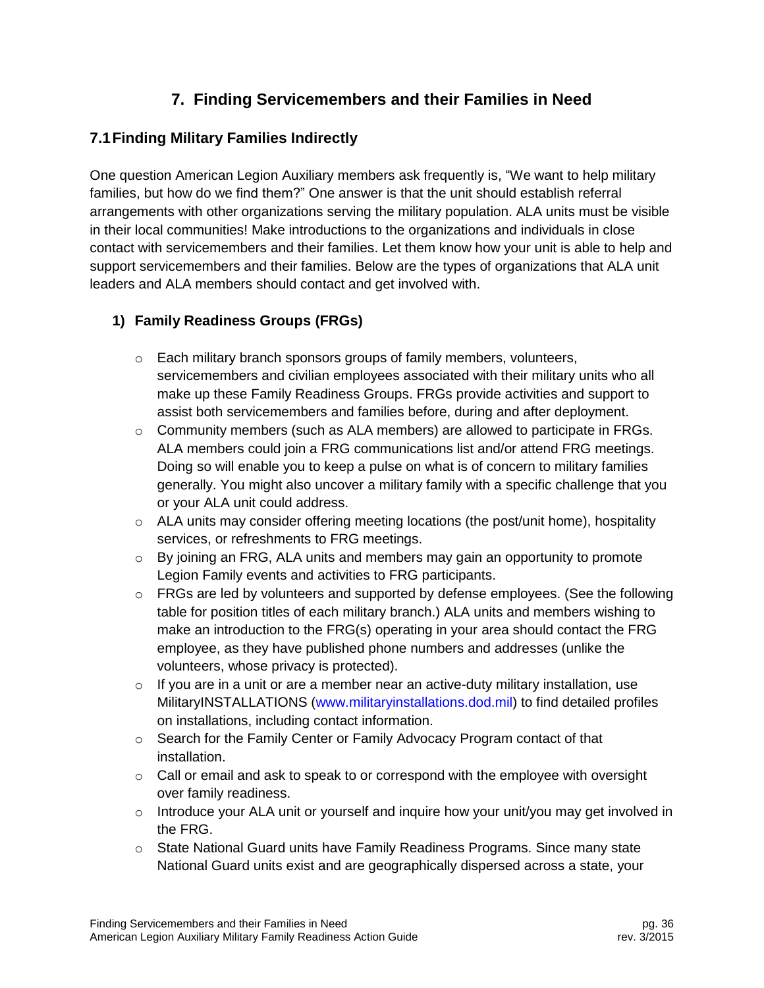# **7. Finding Servicemembers and their Families in Need**

## <span id="page-36-1"></span><span id="page-36-0"></span>**7.1Finding Military Families Indirectly**

One question American Legion Auxiliary members ask frequently is, "We want to help military families, but how do we find them?" One answer is that the unit should establish referral arrangements with other organizations serving the military population. ALA units must be visible in their local communities! Make introductions to the organizations and individuals in close contact with servicemembers and their families. Let them know how your unit is able to help and support servicemembers and their families. Below are the types of organizations that ALA unit leaders and ALA members should contact and get involved with.

## **1) Family Readiness Groups (FRGs)**

- o Each military branch sponsors groups of family members, volunteers, servicemembers and civilian employees associated with their military units who all make up these Family Readiness Groups. FRGs provide activities and support to assist both servicemembers and families before, during and after deployment.
- $\circ$  Community members (such as ALA members) are allowed to participate in FRGs. ALA members could join a FRG communications list and/or attend FRG meetings. Doing so will enable you to keep a pulse on what is of concern to military families generally. You might also uncover a military family with a specific challenge that you or your ALA unit could address.
- o ALA units may consider offering meeting locations (the post/unit home), hospitality services, or refreshments to FRG meetings.
- $\circ$  By joining an FRG, ALA units and members may gain an opportunity to promote Legion Family events and activities to FRG participants.
- $\circ$  FRGs are led by volunteers and supported by defense employees. (See the following table for position titles of each military branch.) ALA units and members wishing to make an introduction to the FRG(s) operating in your area should contact the FRG employee, as they have published phone numbers and addresses (unlike the volunteers, whose privacy is protected).
- $\circ$  If you are in a unit or are a member near an active-duty military installation, use MilitaryINSTALLATIONS [\(www.militaryinstallations.dod.mil\)](http://www.militaryinstallations.dod.mil/) to find detailed profiles on installations, including contact information.
- o Search for the Family Center or Family Advocacy Program contact of that installation.
- $\circ$  Call or email and ask to speak to or correspond with the employee with oversight over family readiness.
- $\circ$  Introduce your ALA unit or yourself and inquire how your unit/you may get involved in the FRG.
- $\circ$  State National Guard units have Family Readiness Programs. Since many state National Guard units exist and are geographically dispersed across a state, your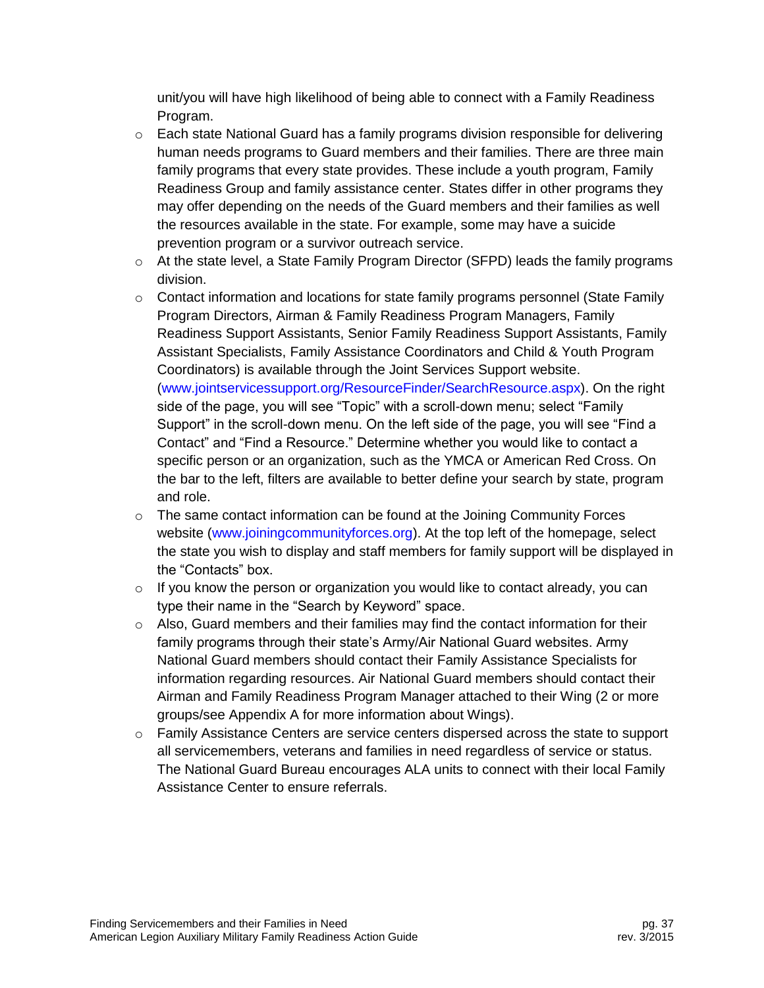unit/you will have high likelihood of being able to connect with a Family Readiness Program.

- $\circ$  Each state National Guard has a family programs division responsible for delivering human needs programs to Guard members and their families. There are three main family programs that every state provides. These include a youth program, Family Readiness Group and family assistance center. States differ in other programs they may offer depending on the needs of the Guard members and their families as well the resources available in the state. For example, some may have a suicide prevention program or a survivor outreach service.
- $\circ$  At the state level, a State Family Program Director (SFPD) leads the family programs division.
- $\circ$  Contact information and locations for state family programs personnel (State Family Program Directors, Airman & Family Readiness Program Managers, Family Readiness Support Assistants, Senior Family Readiness Support Assistants, Family Assistant Specialists, Family Assistance Coordinators and Child & Youth Program Coordinators) is available through the Joint Services Support website. [\(www.jointservicessupport.org/ResourceFinder/SearchResource.aspx\)](http://www.jointservicessupport.org/ResourceFinder/SearchResource.aspx). On the right side of the page, you will see "Topic" with a scroll-down menu; select "Family Support" in the scroll-down menu. On the left side of the page, you will see "Find a Contact" and "Find a Resource." Determine whether you would like to contact a specific person or an organization, such as the YMCA or American Red Cross. On the bar to the left, filters are available to better define your search by state, program and role.
- $\circ$  The same contact information can be found at the Joining Community Forces website [\(www.joiningcommunityforces.org\)](http://www.joiningcommunityforces.org/). At the top left of the homepage, select the state you wish to display and staff members for family support will be displayed in the "Contacts" box.
- $\circ$  If you know the person or organization you would like to contact already, you can type their name in the "Search by Keyword" space.
- o Also, Guard members and their families may find the contact information for their family programs through their state's Army/Air National Guard websites. Army National Guard members should contact their Family Assistance Specialists for information regarding resources. Air National Guard members should contact their Airman and Family Readiness Program Manager attached to their Wing (2 or more groups/see Appendix A for more information about Wings).
- $\circ$  Family Assistance Centers are service centers dispersed across the state to support all servicemembers, veterans and families in need regardless of service or status. The National Guard Bureau encourages ALA units to connect with their local Family Assistance Center to ensure referrals.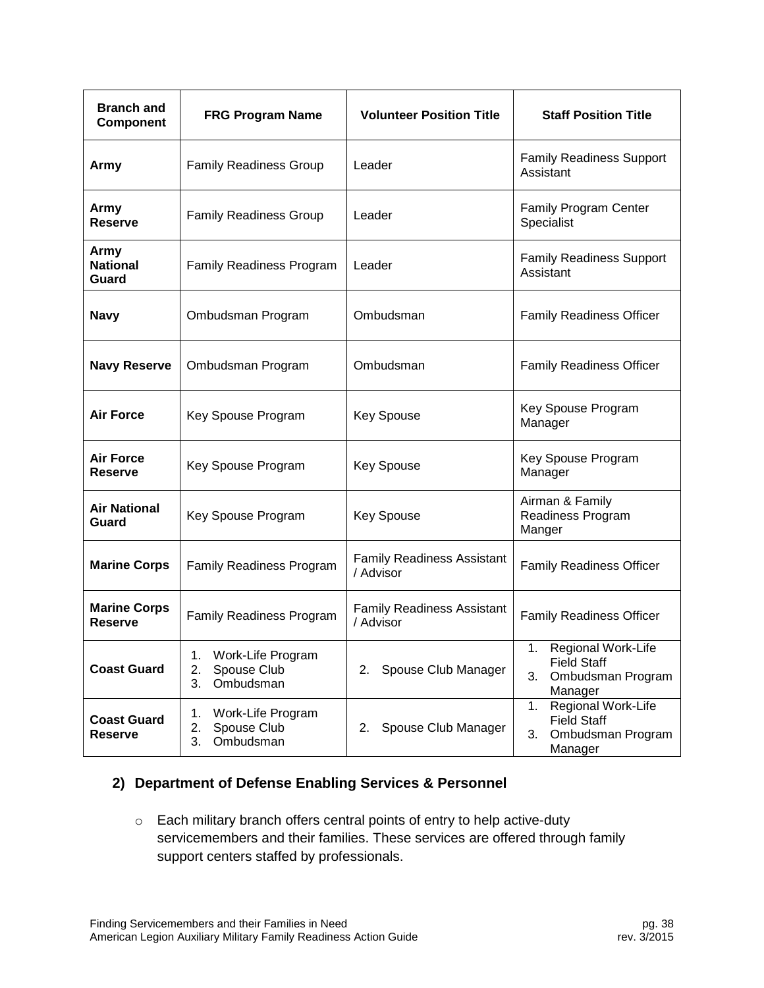| <b>Branch and</b><br>Component        | <b>FRG Program Name</b>                                         | <b>Volunteer Position Title</b>                | <b>Staff Position Title</b>                                                          |  |
|---------------------------------------|-----------------------------------------------------------------|------------------------------------------------|--------------------------------------------------------------------------------------|--|
| Army                                  | <b>Family Readiness Group</b>                                   | Leader                                         | <b>Family Readiness Support</b><br>Assistant                                         |  |
| Army<br><b>Reserve</b>                | <b>Family Readiness Group</b>                                   | Leader                                         | Family Program Center<br>Specialist                                                  |  |
| Army<br><b>National</b><br>Guard      | <b>Family Readiness Program</b>                                 | Leader                                         | <b>Family Readiness Support</b><br>Assistant                                         |  |
| <b>Navy</b>                           | Ombudsman Program                                               | Ombudsman                                      | <b>Family Readiness Officer</b>                                                      |  |
| <b>Navy Reserve</b>                   | Ombudsman Program                                               | Ombudsman                                      | <b>Family Readiness Officer</b>                                                      |  |
| <b>Air Force</b>                      | Key Spouse Program                                              | <b>Key Spouse</b>                              | Key Spouse Program<br>Manager                                                        |  |
| <b>Air Force</b><br><b>Reserve</b>    | Key Spouse Program                                              | <b>Key Spouse</b>                              | Key Spouse Program<br>Manager                                                        |  |
| <b>Air National</b><br>Guard          | Key Spouse Program                                              | <b>Key Spouse</b>                              | Airman & Family<br>Readiness Program<br>Manger                                       |  |
| <b>Marine Corps</b>                   | <b>Family Readiness Program</b>                                 | <b>Family Readiness Assistant</b><br>/ Advisor | <b>Family Readiness Officer</b>                                                      |  |
| <b>Marine Corps</b><br><b>Reserve</b> | Family Readiness Program                                        | <b>Family Readiness Assistant</b><br>/ Advisor | <b>Family Readiness Officer</b>                                                      |  |
| <b>Coast Guard</b>                    | Work-Life Program<br>1.<br>2.<br>Spouse Club<br>3.<br>Ombudsman | Spouse Club Manager<br>2.                      | Regional Work-Life<br>1.<br><b>Field Staff</b><br>3.<br>Ombudsman Program<br>Manager |  |
| <b>Coast Guard</b><br><b>Reserve</b>  | Work-Life Program<br>1.<br>2.<br>Spouse Club<br>3.<br>Ombudsman | 2. Spouse Club Manager                         | Regional Work-Life<br>1.<br><b>Field Staff</b><br>3.<br>Ombudsman Program<br>Manager |  |

#### **2) Department of Defense Enabling Services & Personnel**

o Each military branch offers central points of entry to help active-duty servicemembers and their families. These services are offered through family support centers staffed by professionals.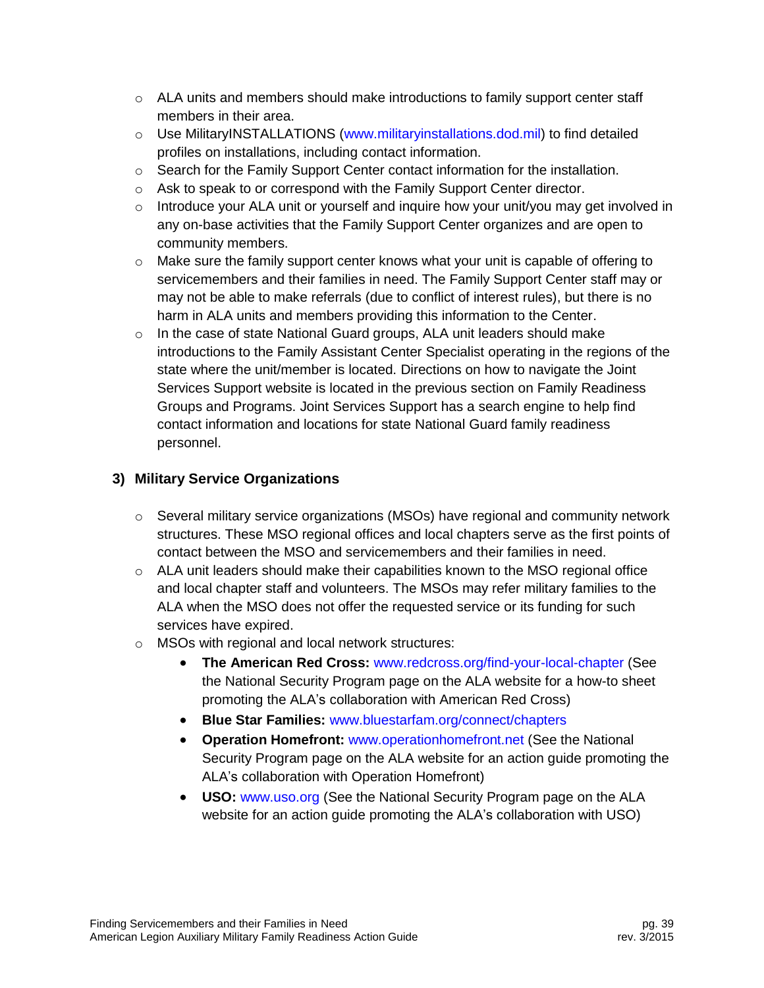- o ALA units and members should make introductions to family support center staff members in their area.
- o Use MilitaryINSTALLATIONS [\(www.militaryinstallations.dod.mil\)](http://www.militaryinstallations.dod.mil/) to find detailed profiles on installations, including contact information.
- $\circ$  Search for the Family Support Center contact information for the installation.
- o Ask to speak to or correspond with the Family Support Center director.
- $\circ$  Introduce your ALA unit or yourself and inquire how your unit/you may get involved in any on-base activities that the Family Support Center organizes and are open to community members.
- o Make sure the family support center knows what your unit is capable of offering to servicemembers and their families in need. The Family Support Center staff may or may not be able to make referrals (due to conflict of interest rules), but there is no harm in ALA units and members providing this information to the Center.
- $\circ$  In the case of state National Guard groups, ALA unit leaders should make introductions to the Family Assistant Center Specialist operating in the regions of the state where the unit/member is located. Directions on how to navigate the Joint Services Support website is located in the previous section on Family Readiness Groups and Programs. Joint Services Support has a search engine to help find contact information and locations for state National Guard family readiness personnel.

#### **3) Military Service Organizations**

- $\circ$  Several military service organizations (MSOs) have regional and community network structures. These MSO regional offices and local chapters serve as the first points of contact between the MSO and servicemembers and their families in need.
- $\circ$  ALA unit leaders should make their capabilities known to the MSO regional office and local chapter staff and volunteers. The MSOs may refer military families to the ALA when the MSO does not offer the requested service or its funding for such services have expired.
- o MSOs with regional and local network structures:
	- **The American Red Cross:** [www.redcross.org/find-your-local-chapter](http://www.redcross.org/find-your-local-chapter) (See the National Security Program page on the ALA website for a how-to sheet promoting the ALA's collaboration with American Red Cross)
	- **Blue Star Families:** [www.bluestarfam.org/connect/chapters](http://www.bluestarfam.org/connect/chapters)
	- **Operation Homefront:** [www.operationhomefront.net](http://www.operationhomefront.net/) (See the National Security Program page on the ALA website for an action guide promoting the ALA's collaboration with Operation Homefront)
	- **USO:** [www.uso.org](http://www.uso.org/) (See the National Security Program page on the ALA website for an action guide promoting the ALA's collaboration with USO)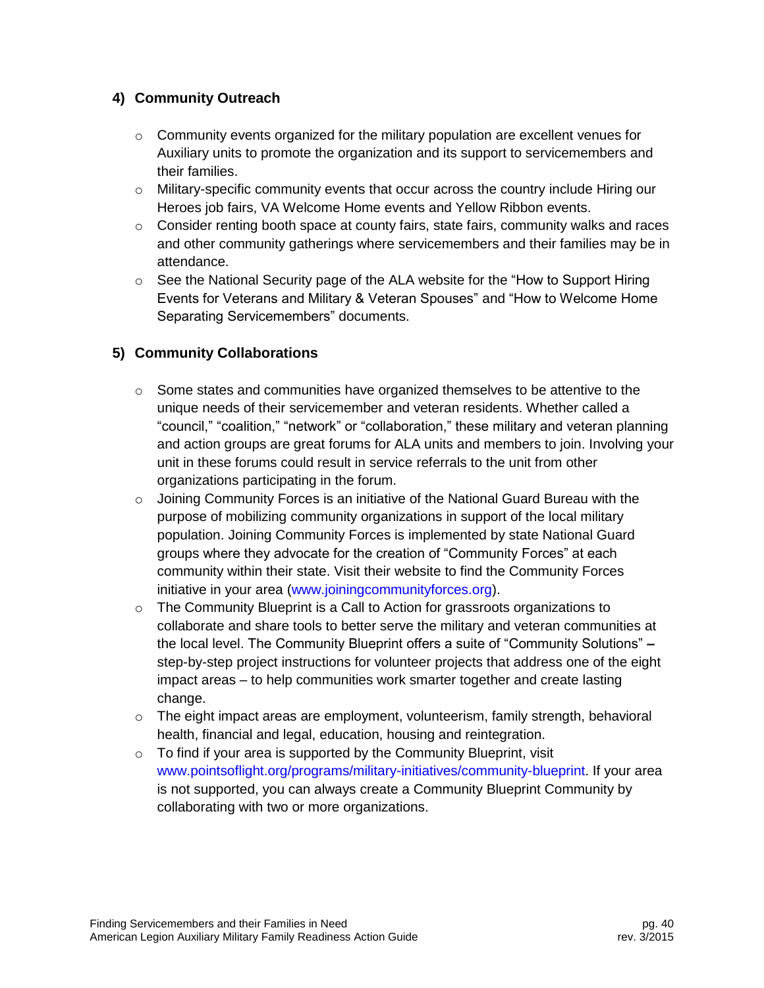#### **4) Community Outreach**

- $\circ$  Community events organized for the military population are excellent venues for Auxiliary units to promote the organization and its support to servicemembers and their families.
- $\circ$  Military-specific community events that occur across the country include Hiring our Heroes job fairs, VA Welcome Home events and Yellow Ribbon events.
- o Consider renting booth space at county fairs, state fairs, community walks and races and other community gatherings where servicemembers and their families may be in attendance.
- $\circ$  See the National Security page of the ALA website for the "How to Support Hiring Events for Veterans and Military & Veteran Spouses" and "How to Welcome Home Separating Servicemembers" documents.

#### **5) Community Collaborations**

- $\circ$  Some states and communities have organized themselves to be attentive to the unique needs of their servicemember and veteran residents. Whether called a "council," "coalition," "network" or "collaboration," these military and veteran planning and action groups are great forums for ALA units and members to join. Involving your unit in these forums could result in service referrals to the unit from other organizations participating in the forum.
- $\circ$  Joining Community Forces is an initiative of the National Guard Bureau with the purpose of mobilizing community organizations in support of the local military population. Joining Community Forces is implemented by state National Guard groups where they advocate for the creation of "Community Forces" at each community within their state. Visit their website to find the Community Forces initiative in your area [\(www.joiningcommunityforces.org\)](http://www.joiningcommunityforces.org/).
- $\circ$  The Community Blueprint is a Call to Action for grassroots organizations to collaborate and share tools to better serve the military and veteran communities at the local level. The Community Blueprint offers a suite of "Community Solutions" **–** step-by-step project instructions for volunteer projects that address one of the eight impact areas – to help communities work smarter together and create lasting change.
- $\circ$  The eight impact areas are employment, volunteerism, family strength, behavioral health, financial and legal, education, housing and reintegration.
- $\circ$  To find if your area is supported by the Community Blueprint, visit [www.pointsoflight.org/programs/military-initiatives/community-blueprint.](http://www.pointsoflight.org/programs/military-initiatives/community-blueprint) If your area is not supported, you can always create a Community Blueprint Community by collaborating with two or more organizations.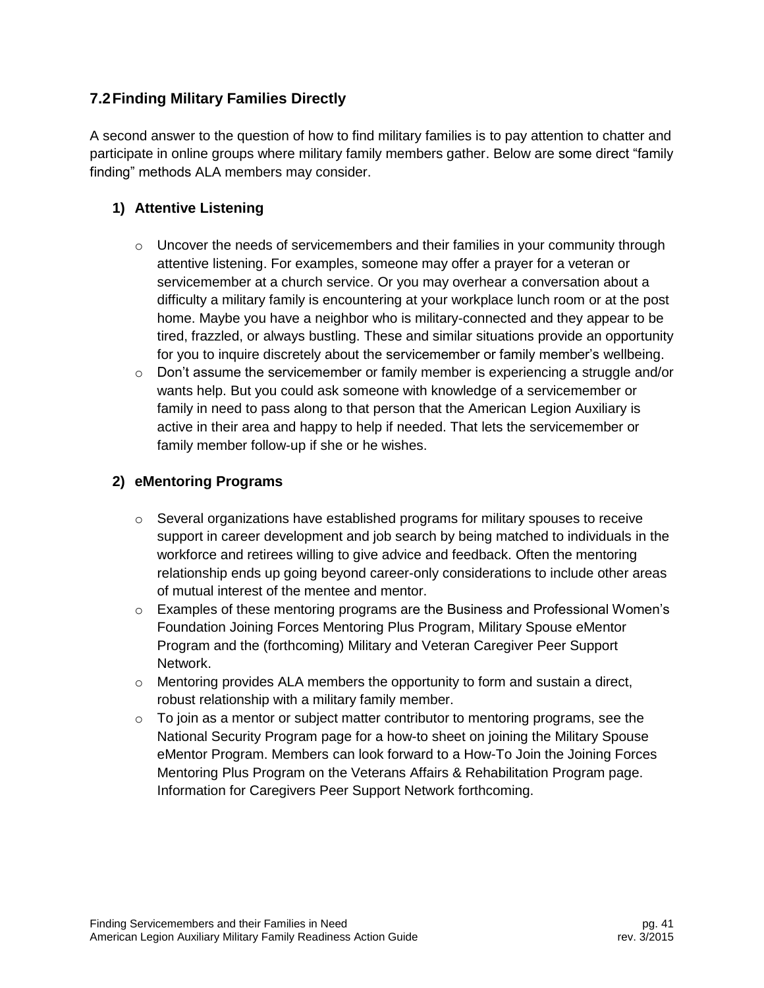## <span id="page-41-0"></span>**7.2Finding Military Families Directly**

A second answer to the question of how to find military families is to pay attention to chatter and participate in online groups where military family members gather. Below are some direct "family finding" methods ALA members may consider.

## **1) Attentive Listening**

- $\circ$  Uncover the needs of servicemembers and their families in your community through attentive listening. For examples, someone may offer a prayer for a veteran or servicemember at a church service. Or you may overhear a conversation about a difficulty a military family is encountering at your workplace lunch room or at the post home. Maybe you have a neighbor who is military-connected and they appear to be tired, frazzled, or always bustling. These and similar situations provide an opportunity for you to inquire discretely about the servicemember or family member's wellbeing.
- $\circ$  Don't assume the servicemember or family member is experiencing a struggle and/or wants help. But you could ask someone with knowledge of a servicemember or family in need to pass along to that person that the American Legion Auxiliary is active in their area and happy to help if needed. That lets the servicemember or family member follow-up if she or he wishes.

## **2) eMentoring Programs**

- $\circ$  Several organizations have established programs for military spouses to receive support in career development and job search by being matched to individuals in the workforce and retirees willing to give advice and feedback. Often the mentoring relationship ends up going beyond career-only considerations to include other areas of mutual interest of the mentee and mentor.
- $\circ$  Examples of these mentoring programs are the Business and Professional Women's Foundation Joining Forces Mentoring Plus Program, Military Spouse eMentor Program and the (forthcoming) Military and Veteran Caregiver Peer Support Network.
- $\circ$  Mentoring provides ALA members the opportunity to form and sustain a direct, robust relationship with a military family member.
- $\circ$  To join as a mentor or subject matter contributor to mentoring programs, see the National Security Program page for a how-to sheet on joining the Military Spouse eMentor Program. Members can look forward to a How-To Join the Joining Forces Mentoring Plus Program on the Veterans Affairs & Rehabilitation Program page. Information for Caregivers Peer Support Network forthcoming.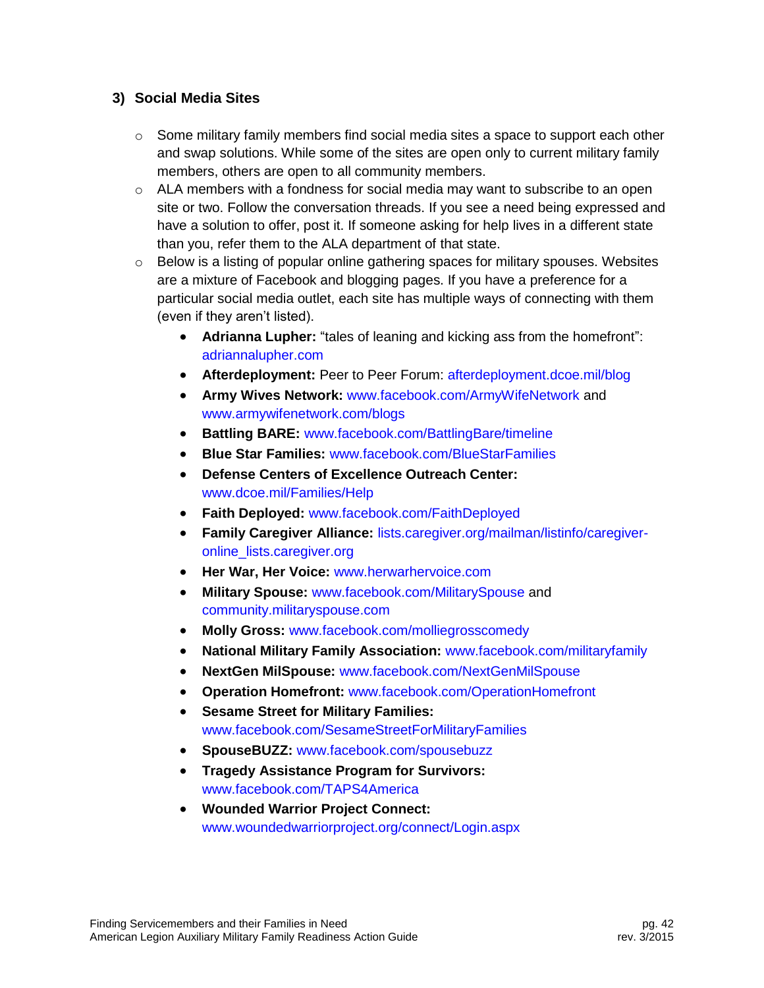#### **3) Social Media Sites**

- $\circ$  Some military family members find social media sites a space to support each other and swap solutions. While some of the sites are open only to current military family members, others are open to all community members.
- $\circ$  ALA members with a fondness for social media may want to subscribe to an open site or two. Follow the conversation threads. If you see a need being expressed and have a solution to offer, post it. If someone asking for help lives in a different state than you, refer them to the ALA department of that state.
- $\circ$  Below is a listing of popular online gathering spaces for military spouses. Websites are a mixture of Facebook and blogging pages. If you have a preference for a particular social media outlet, each site has multiple ways of connecting with them (even if they aren't listed).
	- **Adrianna Lupher:** "tales of leaning and kicking ass from the homefront": [adriannalupher.com](http://adriannalupher.com/)
	- **Afterdeployment:** Peer to Peer Forum: [afterdeployment.dcoe.mil/blog](http://afterdeployment.dcoe.mil/blog)
	- **Army Wives Network:** [www.facebook.com/ArmyWifeNetwork](http://www.facebook.com/ArmyWifeNetwork) and [www.armywifenetwork.com/blogs](http://www.armywifenetwork.com/blogs)
	- **Battling BARE:** [www.facebook.com/BattlingBare/timeline](http://www.facebook.com/BattlingBare/timeline)
	- **Blue Star Families:** [www.facebook.com/BlueStarFamilies](http://www.facebook.com/BlueStarFamilies)
	- **Defense Centers of Excellence Outreach Center:** [www.dcoe.mil/Families/Help](http://www.dcoe.mil/Families/Help)
	- **Faith Deployed:** [www.facebook.com/FaithDeployed](http://www.facebook.com/FaithDeployed?fref=nf)
	- **Family Caregiver Alliance:** [lists.caregiver.org/mailman/listinfo/caregiver](http://lists.caregiver.org/mailman/listinfo/caregiver-online_lists.caregiver.org)[online\\_lists.caregiver.org](http://lists.caregiver.org/mailman/listinfo/caregiver-online_lists.caregiver.org)
	- **Her War, Her Voice:** [www.herwarhervoice.com](http://www.herwarhervoice.com/)
	- **Military Spouse:** [www.facebook.com/MilitarySpouse](http://www.facebook.com/MilitarySpouse) and [community.militaryspouse.com](http://community.militaryspouse.com/)
	- **Molly Gross:** [www.facebook.com/molliegrosscomedy](http://www.facebook.com/molliegrosscomedy)
	- **National Military Family Association:** [www.facebook.com/militaryfamily](http://www.facebook.com/militaryfamily)
	- **NextGen MilSpouse:** [www.facebook.com/NextGenMilSpouse](http://www.facebook.com/NextGenMilSpouse)
	- **Operation Homefront:** [www.facebook.com/OperationHomefront](http://www.facebook.com/OperationHomefront)
	- **Sesame Street for Military Families:**  [www.facebook.com/SesameStreetForMilitaryFamilies](http://www.facebook.com/SesameStreetForMilitaryFamilies)
	- **SpouseBUZZ:** [www.facebook.com/spousebuzz](http://www.facebook.com/spousebuzz)
	- **Tragedy Assistance Program for Survivors:** [www.facebook.com/TAPS4America](http://www.facebook.com/TAPS4America)
	- **Wounded Warrior Project Connect:** [www.woundedwarriorproject.org/connect/Login.aspx](http://www.woundedwarriorproject.org/connect/Login.aspx)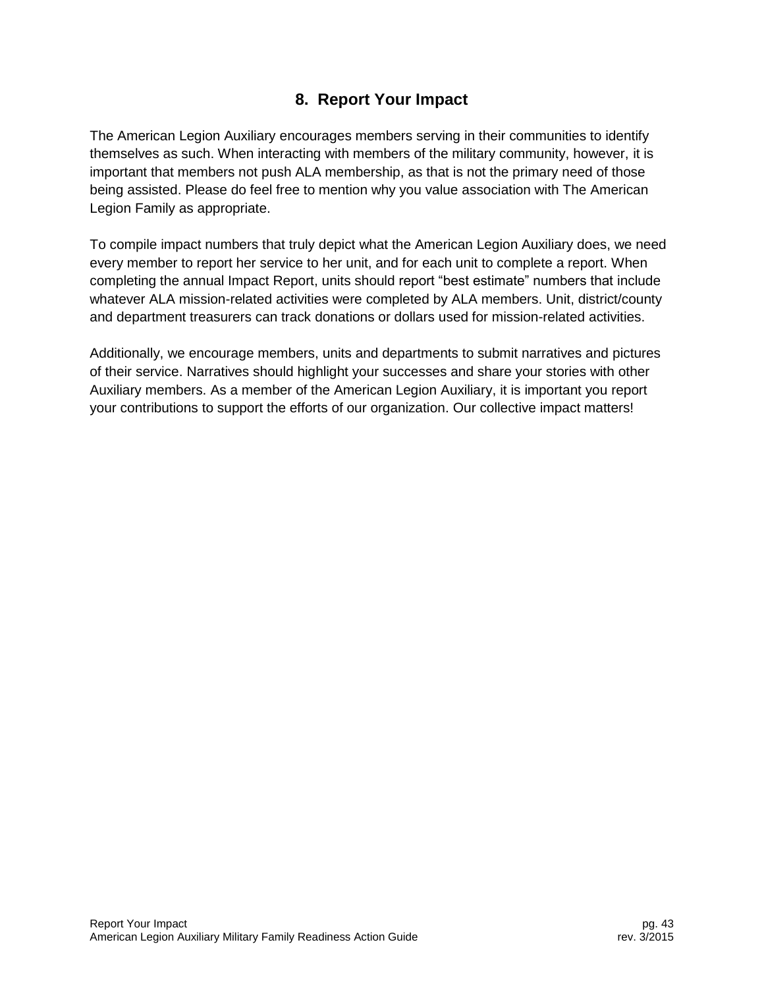# **8. Report Your Impact**

<span id="page-43-0"></span>The American Legion Auxiliary encourages members serving in their communities to identify themselves as such. When interacting with members of the military community, however, it is important that members not push ALA membership, as that is not the primary need of those being assisted. Please do feel free to mention why you value association with The American Legion Family as appropriate.

To compile impact numbers that truly depict what the American Legion Auxiliary does, we need every member to report her service to her unit, and for each unit to complete a report. When completing the annual Impact Report, units should report "best estimate" numbers that include whatever ALA mission-related activities were completed by ALA members. Unit, district/county and department treasurers can track donations or dollars used for mission-related activities.

Additionally, we encourage members, units and departments to submit narratives and pictures of their service. Narratives should highlight your successes and share your stories with other Auxiliary members. As a member of the American Legion Auxiliary, it is important you report your contributions to support the efforts of our organization. Our collective impact matters!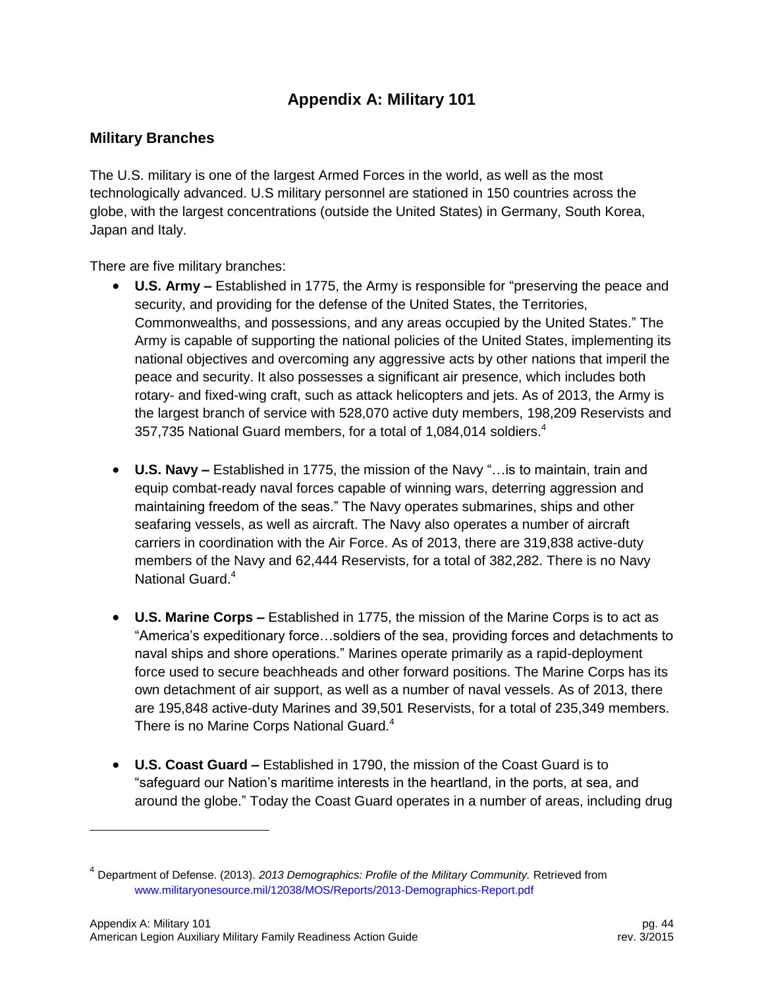# **Appendix A: Military 101**

## <span id="page-44-1"></span><span id="page-44-0"></span>**Military Branches**

The U.S. military is one of the largest Armed Forces in the world, as well as the most technologically advanced. U.S military personnel are stationed in 150 countries across the globe, with the largest concentrations (outside the United States) in Germany, South Korea, Japan and Italy.

There are five military branches:

- **U.S. Army –** Established in 1775, the Army is responsible for "preserving the peace and security, and providing for the defense of the United States, the Territories, Commonwealths, and possessions, and any areas occupied by the United States." The Army is capable of supporting the national policies of the United States, implementing its national objectives and overcoming any aggressive acts by other nations that imperil the peace and security. It also possesses a significant air presence, which includes both rotary- and fixed-wing craft, such as attack helicopters and jets. As of 2013, the Army is the largest branch of service with 528,070 active duty members, 198,209 Reservists and 357,735 National Guard members, for a total of 1,084,014 soldiers.<sup>4</sup>
- **U.S. Navy –** Established in 1775, the mission of the Navy "…is to maintain, train and equip combat-ready naval forces capable of winning wars, deterring aggression and maintaining freedom of the seas." The Navy operates submarines, ships and other seafaring vessels, as well as aircraft. The Navy also operates a number of aircraft carriers in coordination with the Air Force. As of 2013, there are 319,838 active-duty members of the Navy and 62,444 Reservists, for a total of 382,282. There is no Navy National Guard.<sup>4</sup>
- **U.S. Marine Corps –** Established in 1775, the mission of the Marine Corps is to act as "America's expeditionary force…soldiers of the sea, providing forces and detachments to naval ships and shore operations." Marines operate primarily as a rapid-deployment force used to secure beachheads and other forward positions. The Marine Corps has its own detachment of air support, as well as a number of naval vessels. As of 2013, there are 195,848 active-duty Marines and 39,501 Reservists, for a total of 235,349 members. There is no Marine Corps National Guard.<sup>4</sup>
- **U.S. Coast Guard –** Established in 1790, the mission of the Coast Guard is to "safeguard our Nation's maritime interests in the heartland, in the ports, at sea, and around the globe." Today the Coast Guard operates in a number of areas, including drug

l

<sup>4</sup> Department of Defense. (2013). *2013 Demographics: Profile of the Military Community.* Retrieved from [www.militaryonesource.mil/12038/MOS/Reports/2013-Demographics-Report.pdf](http://www.militaryonesource.mil/12038/MOS/Reports/2013-Demographics-Report.pdf)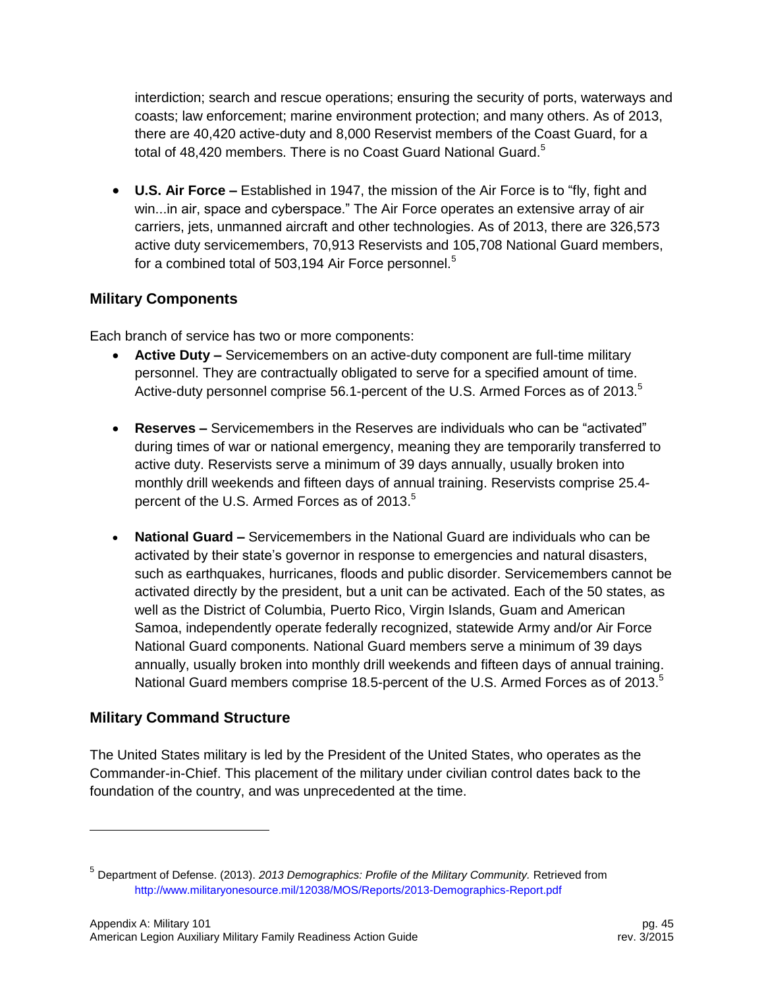interdiction; search and rescue operations; ensuring the security of ports, waterways and coasts; law enforcement; marine environment protection; and many others. As of 2013, there are 40,420 active-duty and 8,000 Reservist members of the Coast Guard, for a total of 48,420 members. There is no Coast Guard National Guard.<sup>5</sup>

 **U.S. Air Force –** Established in 1947, the mission of the Air Force is to "fly, fight and win...in air, space and cyberspace." The Air Force operates an extensive array of air carriers, jets, unmanned aircraft and other technologies. As of 2013, there are 326,573 active duty servicemembers, 70,913 Reservists and 105,708 National Guard members, for a combined total of 503,194 Air Force personnel. $5$ 

## <span id="page-45-0"></span>**Military Components**

Each branch of service has two or more components:

- **Active Duty –** Servicemembers on an active-duty component are full-time military personnel. They are contractually obligated to serve for a specified amount of time. Active-duty personnel comprise 56.1-percent of the U.S. Armed Forces as of 2013.<sup>5</sup>
- **Reserves –** Servicemembers in the Reserves are individuals who can be "activated" during times of war or national emergency, meaning they are temporarily transferred to active duty. Reservists serve a minimum of 39 days annually, usually broken into monthly drill weekends and fifteen days of annual training. Reservists comprise 25.4 percent of the U.S. Armed Forces as of 2013.<sup>5</sup>
- **National Guard –** Servicemembers in the National Guard are individuals who can be activated by their state's governor in response to emergencies and natural disasters, such as earthquakes, hurricanes, floods and public disorder. Servicemembers cannot be activated directly by the president, but a unit can be activated. Each of the 50 states, as well as the District of Columbia, Puerto Rico, Virgin Islands, Guam and American Samoa, independently operate federally recognized, statewide Army and/or Air Force National Guard components. National Guard members serve a minimum of 39 days annually, usually broken into monthly drill weekends and fifteen days of annual training. National Guard members comprise 18.5-percent of the U.S. Armed Forces as of 2013.<sup>5</sup>

# <span id="page-45-1"></span>**Military Command Structure**

l

The United States military is led by the President of the United States, who operates as the Commander-in-Chief. This placement of the military under civilian control dates back to the foundation of the country, and was unprecedented at the time.

<sup>5</sup> Department of Defense. (2013). *2013 Demographics: Profile of the Military Community.* Retrieved from <http://www.militaryonesource.mil/12038/MOS/Reports/2013-Demographics-Report.pdf>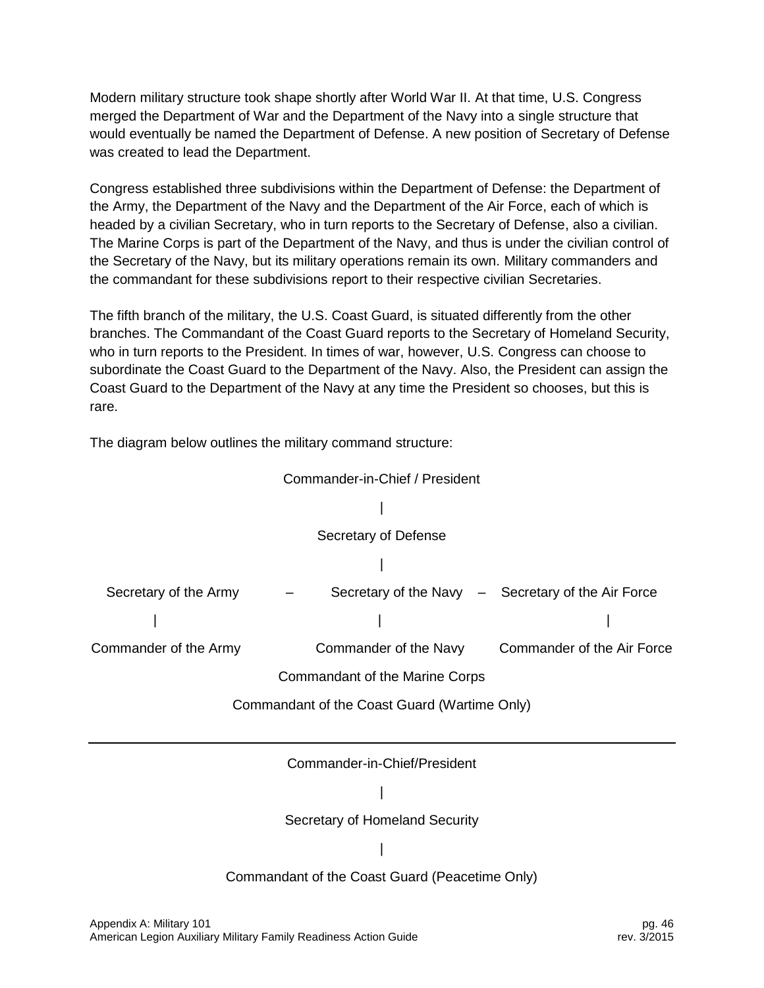Modern military structure took shape shortly after World War II. At that time, U.S. Congress merged the Department of War and the Department of the Navy into a single structure that would eventually be named the Department of Defense. A new position of Secretary of Defense was created to lead the Department.

Congress established three subdivisions within the Department of Defense: the Department of the Army, the Department of the Navy and the Department of the Air Force, each of which is headed by a civilian Secretary, who in turn reports to the Secretary of Defense, also a civilian. The Marine Corps is part of the Department of the Navy, and thus is under the civilian control of the Secretary of the Navy, but its military operations remain its own. Military commanders and the commandant for these subdivisions report to their respective civilian Secretaries.

The fifth branch of the military, the U.S. Coast Guard, is situated differently from the other branches. The Commandant of the Coast Guard reports to the Secretary of Homeland Security, who in turn reports to the President. In times of war, however, U.S. Congress can choose to subordinate the Coast Guard to the Department of the Navy. Also, the President can assign the Coast Guard to the Department of the Navy at any time the President so chooses, but this is rare.

The diagram below outlines the military command structure:

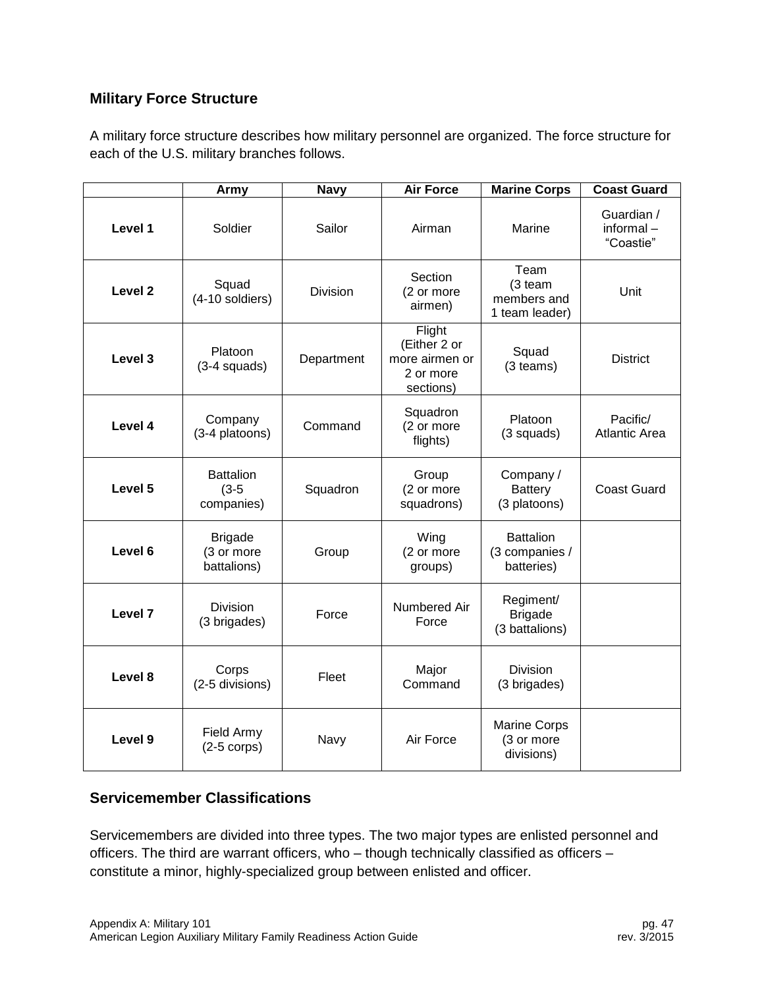## <span id="page-47-0"></span>**Military Force Structure**

A military force structure describes how military personnel are organized. The force structure for each of the U.S. military branches follows.

|                    | Army                                        | <b>Navy</b>     | <b>Air Force</b>                                                   | <b>Marine Corps</b>                              | <b>Coast Guard</b>                   |
|--------------------|---------------------------------------------|-----------------|--------------------------------------------------------------------|--------------------------------------------------|--------------------------------------|
| Level 1            | Soldier                                     | Sailor          | Airman                                                             | Marine                                           | Guardian /<br>informal-<br>"Coastie" |
| Level <sub>2</sub> | Squad<br>(4-10 soldiers)                    | <b>Division</b> | Section<br>(2 or more<br>airmen)                                   | Team<br>(3 team<br>members and<br>1 team leader) | Unit                                 |
| Level 3            | Platoon<br>$(3-4$ squads)                   | Department      | Flight<br>(Either 2 or<br>more airmen or<br>2 or more<br>sections) | Squad<br>(3 teams)                               | <b>District</b>                      |
| Level 4            | Company<br>(3-4 platoons)                   | Command         | Squadron<br>(2 or more<br>flights)                                 | Platoon<br>(3 squads)                            | Pacific/<br><b>Atlantic Area</b>     |
| Level 5            | <b>Battalion</b><br>$(3-5)$<br>companies)   | Squadron        | Group<br>(2 or more<br>squadrons)                                  | Company /<br><b>Battery</b><br>(3 platoons)      | <b>Coast Guard</b>                   |
| Level 6            | <b>Brigade</b><br>(3 or more<br>battalions) | Group           | Wing<br>(2 or more<br>groups)                                      | <b>Battalion</b><br>(3 companies /<br>batteries) |                                      |
| Level 7            | Division<br>(3 brigades)                    | Force           | Numbered Air<br>Force                                              | Regiment/<br><b>Brigade</b><br>(3 battalions)    |                                      |
| Level 8            | Corps<br>(2-5 divisions)                    | Fleet           | Major<br>Command                                                   | <b>Division</b><br>(3 brigades)                  |                                      |
| Level 9            | Field Army<br>$(2-5$ corps)                 | Navy            | Air Force                                                          | Marine Corps<br>(3 or more<br>divisions)         |                                      |

## <span id="page-47-1"></span>**Servicemember Classifications**

Servicemembers are divided into three types. The two major types are enlisted personnel and officers. The third are warrant officers, who – though technically classified as officers – constitute a minor, highly-specialized group between enlisted and officer.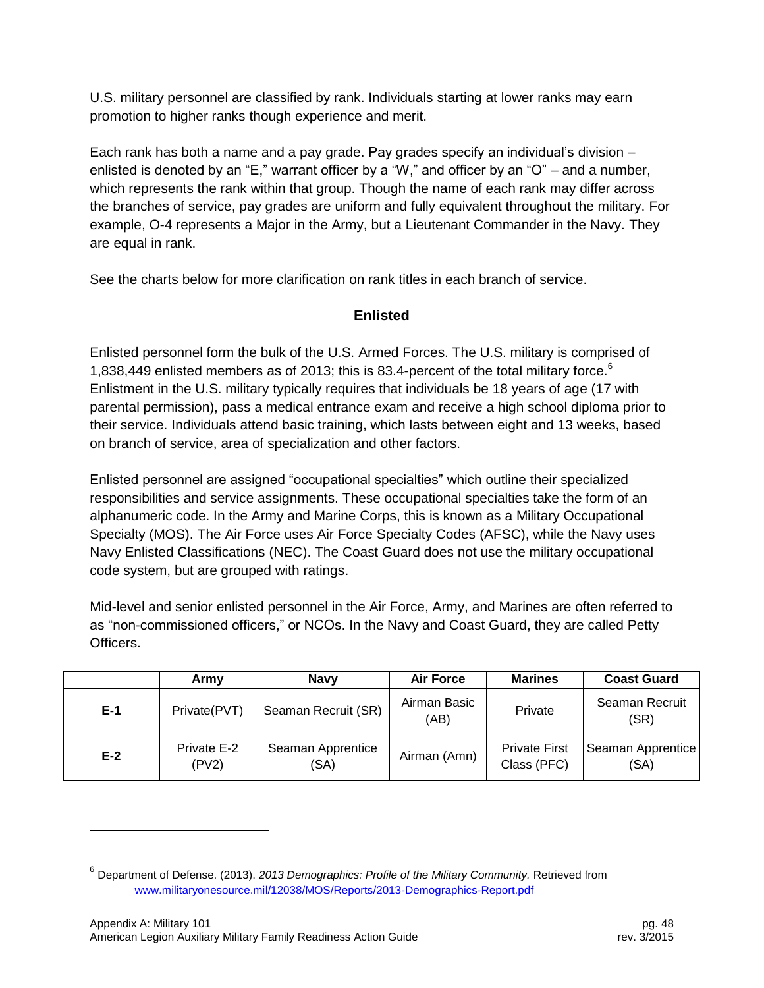U.S. military personnel are classified by rank. Individuals starting at lower ranks may earn promotion to higher ranks though experience and merit.

Each rank has both a name and a pay grade. Pay grades specify an individual's division – enlisted is denoted by an "E," warrant officer by a "W," and officer by an "O" – and a number, which represents the rank within that group. Though the name of each rank may differ across the branches of service, pay grades are uniform and fully equivalent throughout the military. For example, O-4 represents a Major in the Army, but a Lieutenant Commander in the Navy. They are equal in rank.

See the charts below for more clarification on rank titles in each branch of service.

## **Enlisted**

Enlisted personnel form the bulk of the U.S. Armed Forces. The U.S. military is comprised of 1,838,449 enlisted members as of 2013; this is 83.4-percent of the total military force.<sup>6</sup> Enlistment in the U.S. military typically requires that individuals be 18 years of age (17 with parental permission), pass a medical entrance exam and receive a high school diploma prior to their service. Individuals attend basic training, which lasts between eight and 13 weeks, based on branch of service, area of specialization and other factors.

Enlisted personnel are assigned "occupational specialties" which outline their specialized responsibilities and service assignments. These occupational specialties take the form of an alphanumeric code. In the Army and Marine Corps, this is known as a Military Occupational Specialty (MOS). The Air Force uses Air Force Specialty Codes (AFSC), while the Navy uses Navy Enlisted Classifications (NEC). The Coast Guard does not use the military occupational code system, but are grouped with ratings.

Mid-level and senior enlisted personnel in the Air Force, Army, and Marines are often referred to as "non-commissioned officers," or NCOs. In the Navy and Coast Guard, they are called Petty Officers.

|       | Armv                 | <b>Navv</b>               | <b>Air Force</b>     | <b>Marines</b>                      | <b>Coast Guard</b>        |
|-------|----------------------|---------------------------|----------------------|-------------------------------------|---------------------------|
| $E-1$ | Private(PVT)         | Seaman Recruit (SR)       | Airman Basic<br>(AB) | Private                             | Seaman Recruit<br>(SR)    |
| $E-2$ | Private E-2<br>(PV2) | Seaman Apprentice<br>(SA) | Airman (Amn)         | <b>Private First</b><br>Class (PFC) | Seaman Apprentice<br>(SA) |

l

<sup>6</sup> Department of Defense. (2013). *2013 Demographics: Profile of the Military Community.* Retrieved from [www.militaryonesource.mil/12038/MOS/Reports/2013-Demographics-Report.pdf](http://www.militaryonesource.mil/12038/MOS/Reports/2013-Demographics-Report.pdf)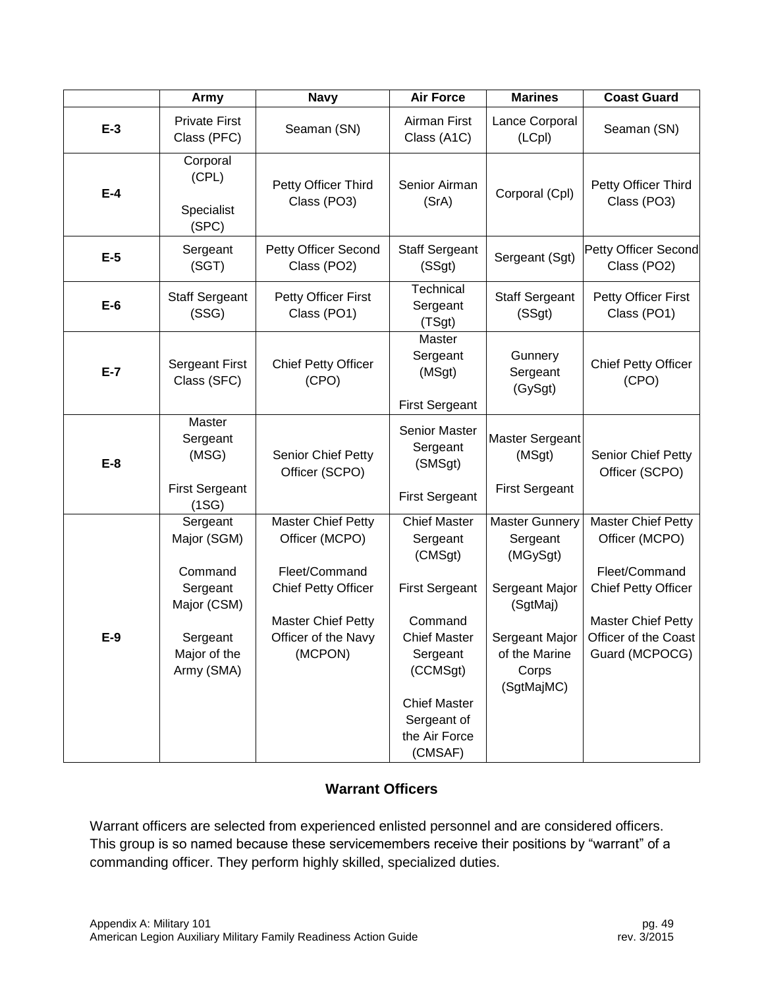|       | Army                                                                                                    | <b>Navy</b>                                                                                                                                               | <b>Air Force</b>                                                                                                                                                                                | <b>Marines</b>                                                                                                                        | <b>Coast Guard</b>                                                                                                                                                |
|-------|---------------------------------------------------------------------------------------------------------|-----------------------------------------------------------------------------------------------------------------------------------------------------------|-------------------------------------------------------------------------------------------------------------------------------------------------------------------------------------------------|---------------------------------------------------------------------------------------------------------------------------------------|-------------------------------------------------------------------------------------------------------------------------------------------------------------------|
| $E-3$ | <b>Private First</b><br>Class (PFC)                                                                     | Seaman (SN)                                                                                                                                               | Airman First<br>Class (A1C)                                                                                                                                                                     | Lance Corporal<br>(LCpl)                                                                                                              | Seaman (SN)                                                                                                                                                       |
| $E-4$ | Corporal<br>(CPL)<br>Specialist<br>(SPC)                                                                | Petty Officer Third<br>Class (PO3)                                                                                                                        | Senior Airman<br>(SrA)                                                                                                                                                                          | Corporal (Cpl)                                                                                                                        | Petty Officer Third<br>Class (PO3)                                                                                                                                |
| $E-5$ | Sergeant<br>(SGT)                                                                                       | Petty Officer Second<br>Class (PO2)                                                                                                                       | <b>Staff Sergeant</b><br>(SSgt)                                                                                                                                                                 | Sergeant (Sgt)                                                                                                                        | Petty Officer Second<br>Class (PO2)                                                                                                                               |
| $E-6$ | <b>Staff Sergeant</b><br>(SSG)                                                                          | Petty Officer First<br>Class (PO1)                                                                                                                        | Technical<br>Sergeant<br>(TSgt)                                                                                                                                                                 | <b>Staff Sergeant</b><br>(SSgt)                                                                                                       | Petty Officer First<br>Class (PO1)                                                                                                                                |
| $E-7$ | <b>Sergeant First</b><br>Class (SFC)                                                                    | <b>Chief Petty Officer</b><br>(CPO)                                                                                                                       | <b>Master</b><br>Sergeant<br>(MSgt)<br><b>First Sergeant</b>                                                                                                                                    | Gunnery<br>Sergeant<br>(GySgt)                                                                                                        | <b>Chief Petty Officer</b><br>(CPO)                                                                                                                               |
| $E-8$ | Master<br>Sergeant<br>(MSG)<br><b>First Sergeant</b><br>(1SG)                                           | Senior Chief Petty<br>Officer (SCPO)                                                                                                                      | <b>Senior Master</b><br>Sergeant<br>(SMSgt)<br><b>First Sergeant</b>                                                                                                                            | <b>Master Sergeant</b><br>(MSgt)<br><b>First Sergeant</b>                                                                             | Senior Chief Petty<br>Officer (SCPO)                                                                                                                              |
| $E-9$ | Sergeant<br>Major (SGM)<br>Command<br>Sergeant<br>Major (CSM)<br>Sergeant<br>Major of the<br>Army (SMA) | <b>Master Chief Petty</b><br>Officer (MCPO)<br>Fleet/Command<br><b>Chief Petty Officer</b><br><b>Master Chief Petty</b><br>Officer of the Navy<br>(MCPON) | <b>Chief Master</b><br>Sergeant<br>(CMSgt)<br><b>First Sergeant</b><br>Command<br><b>Chief Master</b><br>Sergeant<br>(CCMSgt)<br><b>Chief Master</b><br>Sergeant of<br>the Air Force<br>(CMSAF) | <b>Master Gunnery</b><br>Sergeant<br>(MGySgt)<br>Sergeant Major<br>(SgtMaj)<br>Sergeant Major<br>of the Marine<br>Corps<br>(SgtMajMC) | <b>Master Chief Petty</b><br>Officer (MCPO)<br>Fleet/Command<br><b>Chief Petty Officer</b><br><b>Master Chief Petty</b><br>Officer of the Coast<br>Guard (MCPOCG) |

## **Warrant Officers**

Warrant officers are selected from experienced enlisted personnel and are considered officers. This group is so named because these servicemembers receive their positions by "warrant" of a commanding officer. They perform highly skilled, specialized duties.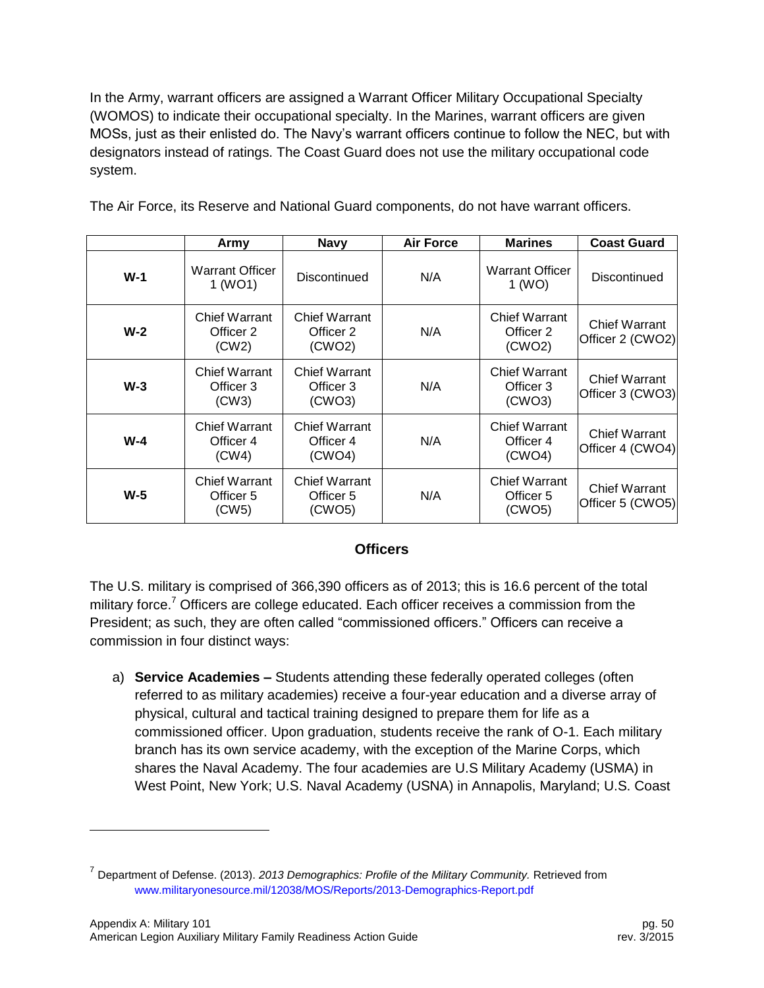In the Army, warrant officers are assigned a Warrant Officer Military Occupational Specialty (WOMOS) to indicate their occupational specialty. In the Marines, warrant officers are given MOSs, just as their enlisted do. The Navy's warrant officers continue to follow the NEC, but with designators instead of ratings. The Coast Guard does not use the military occupational code system.

|       | Army                                       | <b>Navy</b>                                 | <b>Air Force</b> | <b>Marines</b>                              | <b>Coast Guard</b>                       |
|-------|--------------------------------------------|---------------------------------------------|------------------|---------------------------------------------|------------------------------------------|
| $W-1$ | <b>Warrant Officer</b><br>1 (WO1)          | Discontinued                                | N/A              | Warrant Officer<br>1 (WO)                   | Discontinued                             |
| $W-2$ | <b>Chief Warrant</b><br>Officer 2<br>(CW2) | Chief Warrant<br>Officer 2<br>(CWO2)        | N/A              | <b>Chief Warrant</b><br>Officer 2<br>(CWO2) | <b>Chief Warrant</b><br>Officer 2 (CWO2) |
| $W-3$ | <b>Chief Warrant</b><br>Officer 3<br>(CW3) | Chief Warrant<br>Officer 3<br>(CWO3)        | N/A              | <b>Chief Warrant</b><br>Officer 3<br>(CWO3) | <b>Chief Warrant</b><br>Officer 3 (CWO3) |
| $W-4$ | <b>Chief Warrant</b><br>Officer 4<br>(CW4) | Chief Warrant<br>Officer 4<br>(CWO4)        | N/A              | <b>Chief Warrant</b><br>Officer 4<br>(CWO4) | <b>Chief Warrant</b><br>Officer 4 (CWO4) |
| $W-5$ | <b>Chief Warrant</b><br>Officer 5<br>(CW5) | <b>Chief Warrant</b><br>Officer 5<br>(CWO5) | N/A              | <b>Chief Warrant</b><br>Officer 5<br>(CWO5) | <b>Chief Warrant</b><br>Officer 5 (CWO5) |

#### **Officers**

The U.S. military is comprised of 366,390 officers as of 2013; this is 16.6 percent of the total military force.<sup>7</sup> Officers are college educated. Each officer receives a commission from the President; as such, they are often called "commissioned officers." Officers can receive a commission in four distinct ways:

a) **Service Academies –** Students attending these federally operated colleges (often referred to as military academies) receive a four-year education and a diverse array of physical, cultural and tactical training designed to prepare them for life as a commissioned officer. Upon graduation, students receive the rank of O-1. Each military branch has its own service academy, with the exception of the Marine Corps, which shares the Naval Academy. The four academies are U.S Military Academy (USMA) in West Point, New York; U.S. Naval Academy (USNA) in Annapolis, Maryland; U.S. Coast

l

<sup>7</sup> Department of Defense. (2013). *2013 Demographics: Profile of the Military Community.* Retrieved from [www.militaryonesource.mil/12038/MOS/Reports/2013-Demographics-Report.pdf](http://www.militaryonesource.mil/12038/MOS/Reports/2013-Demographics-Report.pdf)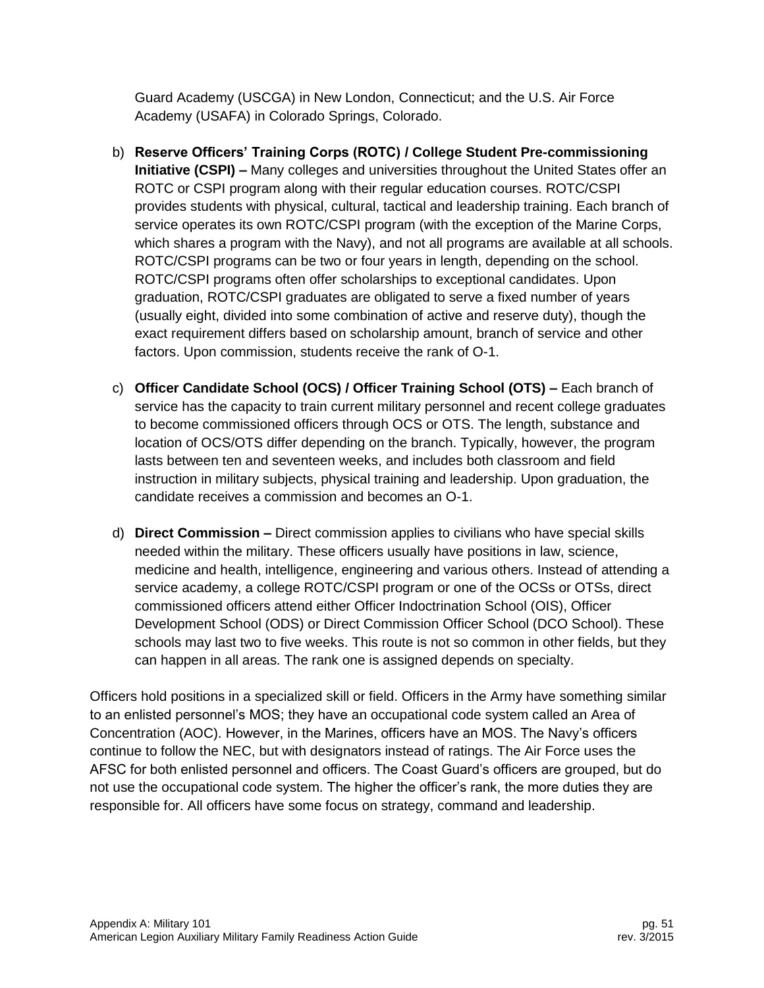Guard Academy (USCGA) in New London, Connecticut; and the U.S. Air Force Academy (USAFA) in Colorado Springs, Colorado.

- b) **Reserve Officers' Training Corps (ROTC) / College Student Pre-commissioning Initiative (CSPI) –** Many colleges and universities throughout the United States offer an ROTC or CSPI program along with their regular education courses. ROTC/CSPI provides students with physical, cultural, tactical and leadership training. Each branch of service operates its own ROTC/CSPI program (with the exception of the Marine Corps, which shares a program with the Navy), and not all programs are available at all schools. ROTC/CSPI programs can be two or four years in length, depending on the school. ROTC/CSPI programs often offer scholarships to exceptional candidates. Upon graduation, ROTC/CSPI graduates are obligated to serve a fixed number of years (usually eight, divided into some combination of active and reserve duty), though the exact requirement differs based on scholarship amount, branch of service and other factors. Upon commission, students receive the rank of O-1.
- c) **Officer Candidate School (OCS) / Officer Training School (OTS) –** Each branch of service has the capacity to train current military personnel and recent college graduates to become commissioned officers through OCS or OTS. The length, substance and location of OCS/OTS differ depending on the branch. Typically, however, the program lasts between ten and seventeen weeks, and includes both classroom and field instruction in military subjects, physical training and leadership. Upon graduation, the candidate receives a commission and becomes an O-1.
- d) **Direct Commission –** Direct commission applies to civilians who have special skills needed within the military. These officers usually have positions in law, science, medicine and health, intelligence, engineering and various others. Instead of attending a service academy, a college ROTC/CSPI program or one of the OCSs or OTSs, direct commissioned officers attend either Officer Indoctrination School (OIS), Officer Development School (ODS) or Direct Commission Officer School (DCO School). These schools may last two to five weeks. This route is not so common in other fields, but they can happen in all areas. The rank one is assigned depends on specialty.

Officers hold positions in a specialized skill or field. Officers in the Army have something similar to an enlisted personnel's MOS; they have an occupational code system called an Area of Concentration (AOC). However, in the Marines, officers have an MOS. The Navy's officers continue to follow the NEC, but with designators instead of ratings. The Air Force uses the AFSC for both enlisted personnel and officers. The Coast Guard's officers are grouped, but do not use the occupational code system. The higher the officer's rank, the more duties they are responsible for. All officers have some focus on strategy, command and leadership.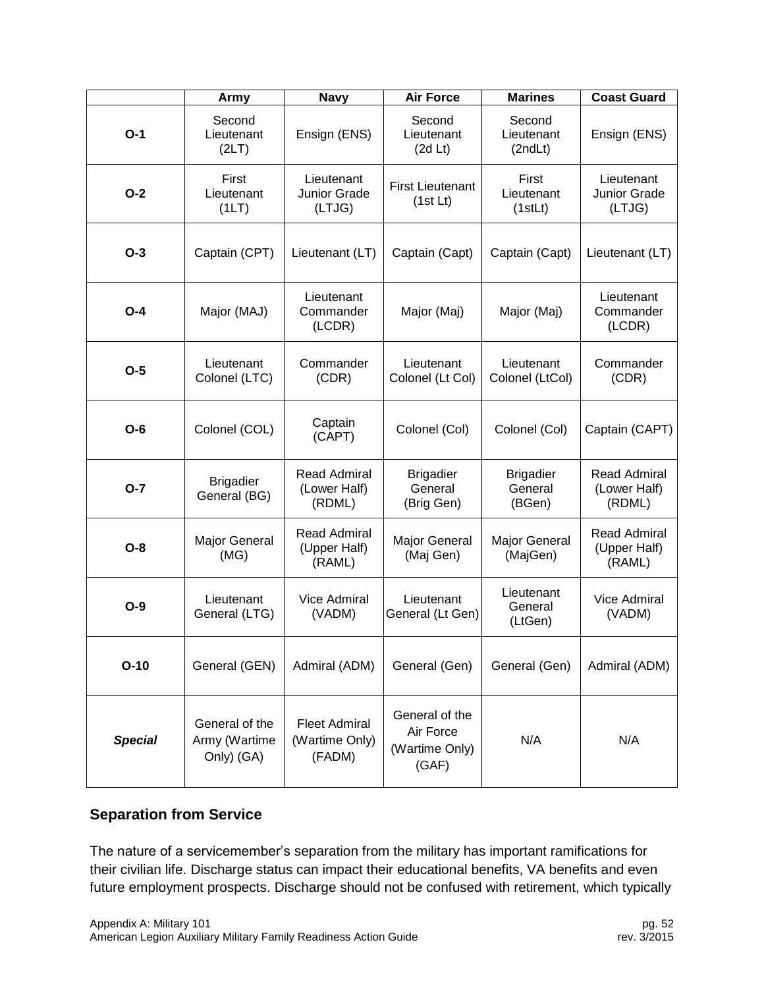|                | Army                                          | <b>Navy</b>                                      | <b>Air Force</b>                                       | <b>Marines</b>                        | <b>Coast Guard</b>                            |
|----------------|-----------------------------------------------|--------------------------------------------------|--------------------------------------------------------|---------------------------------------|-----------------------------------------------|
| $O-1$          | Second<br>Lieutenant<br>(2LT)                 | Ensign (ENS)                                     | Second<br>Lieutenant<br>(2d Lt)                        | Second<br>Lieutenant<br>(2ndLt)       | Ensign (ENS)                                  |
| $O-2$          | First<br>Lieutenant<br>(1LT)                  | Lieutenant<br>Junior Grade<br>(LTJG)             | <b>First Lieutenant</b><br>(1st Lt)                    | First<br>Lieutenant<br>(1stLt)        | Lieutenant<br><b>Junior Grade</b><br>(LTJG)   |
| $O-3$          | Captain (CPT)                                 | Lieutenant (LT)                                  | Captain (Capt)                                         | Captain (Capt)                        | Lieutenant (LT)                               |
| $O - 4$        | Major (MAJ)                                   | Lieutenant<br>Commander<br>(LCDR)                | Major (Maj)                                            | Major (Maj)                           | Lieutenant<br>Commander<br>(LCDR)             |
| $O-5$          | Lieutenant<br>Colonel (LTC)                   | Commander<br>(CDR)                               | Lieutenant<br>Colonel (Lt Col)                         | Lieutenant<br>Colonel (LtCol)         | Commander<br>(CDR)                            |
| $O-6$          | Colonel (COL)                                 | Captain<br>(CAPT)                                | Colonel (Col)                                          | Colonel (Col)                         | Captain (CAPT)                                |
| $O - 7$        | <b>Brigadier</b><br>General (BG)              | <b>Read Admiral</b><br>(Lower Half)<br>(RDML)    | <b>Brigadier</b><br>General<br>(Brig Gen)              | <b>Brigadier</b><br>General<br>(BGen) | <b>Read Admiral</b><br>(Lower Half)<br>(RDML) |
| $O-8$          | Major General<br>(MG)                         | <b>Read Admiral</b><br>(Upper Half)<br>(RAML)    | <b>Major General</b><br>(Maj Gen)                      | Major General<br>(MajGen)             | <b>Read Admiral</b><br>(Upper Half)<br>(RAML) |
| $O-9$          | Lieutenant<br>General (LTG)                   | Vice Admiral<br>(VADM)                           | Lieutenant<br>General (Lt Gen)                         | Lieutenant<br>General<br>(LtGen)      | Vice Admiral<br>(VADM)                        |
| $O-10$         | General (GEN)                                 | Admiral (ADM)                                    | General (Gen)                                          | General (Gen)                         | Admiral (ADM)                                 |
| <b>Special</b> | General of the<br>Army (Wartime<br>Only) (GA) | <b>Fleet Admiral</b><br>(Wartime Only)<br>(FADM) | General of the<br>Air Force<br>(Wartime Only)<br>(GAF) | N/A                                   | N/A                                           |

#### <span id="page-52-0"></span>**Separation from Service**

The nature of a servicemember's separation from the military has important ramifications for their civilian life. Discharge status can impact their educational benefits, VA benefits and even future employment prospects. Discharge should not be confused with retirement, which typically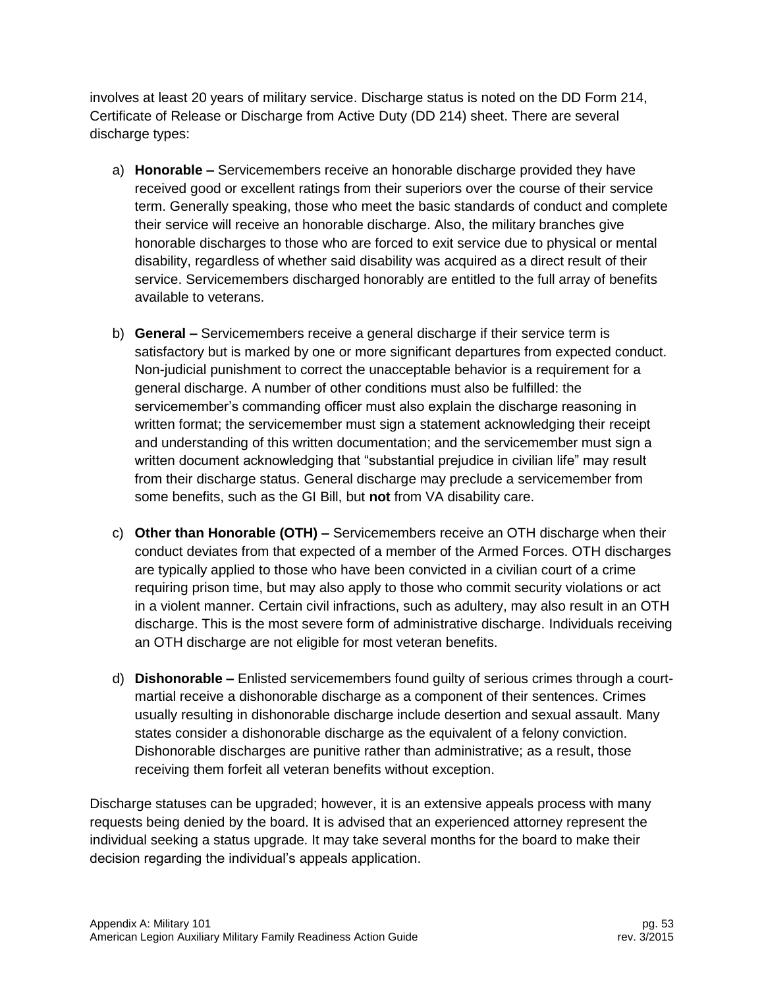involves at least 20 years of military service. Discharge status is noted on the DD Form 214, Certificate of Release or Discharge from Active Duty (DD 214) sheet. There are several discharge types:

- a) **Honorable –** Servicemembers receive an honorable discharge provided they have received good or excellent ratings from their superiors over the course of their service term. Generally speaking, those who meet the basic standards of conduct and complete their service will receive an honorable discharge. Also, the military branches give honorable discharges to those who are forced to exit service due to physical or mental disability, regardless of whether said disability was acquired as a direct result of their service. Servicemembers discharged honorably are entitled to the full array of benefits available to veterans.
- b) **General –** Servicemembers receive a general discharge if their service term is satisfactory but is marked by one or more significant departures from expected conduct. Non-judicial punishment to correct the unacceptable behavior is a requirement for a general discharge. A number of other conditions must also be fulfilled: the servicemember's commanding officer must also explain the discharge reasoning in written format; the servicemember must sign a statement acknowledging their receipt and understanding of this written documentation; and the servicemember must sign a written document acknowledging that "substantial prejudice in civilian life" may result from their discharge status. General discharge may preclude a servicemember from some benefits, such as the GI Bill, but **not** from VA disability care.
- c) **Other than Honorable (OTH) –** Servicemembers receive an OTH discharge when their conduct deviates from that expected of a member of the Armed Forces. OTH discharges are typically applied to those who have been convicted in a civilian court of a crime requiring prison time, but may also apply to those who commit security violations or act in a violent manner. Certain civil infractions, such as adultery, may also result in an OTH discharge. This is the most severe form of administrative discharge. Individuals receiving an OTH discharge are not eligible for most veteran benefits.
- d) **Dishonorable –** Enlisted servicemembers found guilty of serious crimes through a courtmartial receive a dishonorable discharge as a component of their sentences. Crimes usually resulting in dishonorable discharge include desertion and sexual assault. Many states consider a dishonorable discharge as the equivalent of a felony conviction. Dishonorable discharges are punitive rather than administrative; as a result, those receiving them forfeit all veteran benefits without exception.

Discharge statuses can be upgraded; however, it is an extensive appeals process with many requests being denied by the board. It is advised that an experienced attorney represent the individual seeking a status upgrade. It may take several months for the board to make their decision regarding the individual's appeals application.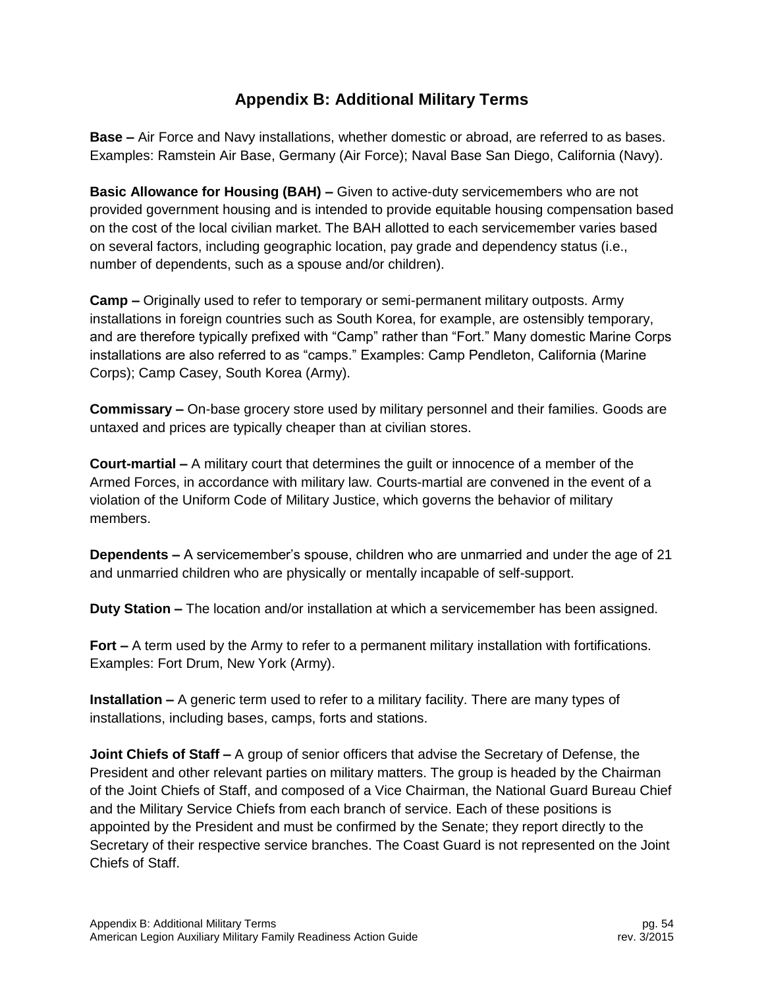# **Appendix B: Additional Military Terms**

<span id="page-54-0"></span>**Base –** Air Force and Navy installations, whether domestic or abroad, are referred to as bases. Examples: Ramstein Air Base, Germany (Air Force); Naval Base San Diego, California (Navy).

**Basic Allowance for Housing (BAH) –** Given to active-duty servicemembers who are not provided government housing and is intended to provide equitable housing compensation based on the cost of the local civilian market. The BAH allotted to each servicemember varies based on several factors, including geographic location, pay grade and dependency status (i.e., number of dependents, such as a spouse and/or children).

**Camp –** Originally used to refer to temporary or semi-permanent military outposts. Army installations in foreign countries such as South Korea, for example, are ostensibly temporary, and are therefore typically prefixed with "Camp" rather than "Fort." Many domestic Marine Corps installations are also referred to as "camps." Examples: Camp Pendleton, California (Marine Corps); Camp Casey, South Korea (Army).

**Commissary –** On-base grocery store used by military personnel and their families. Goods are untaxed and prices are typically cheaper than at civilian stores.

**Court-martial –** A military court that determines the guilt or innocence of a member of the Armed Forces, in accordance with military law. Courts-martial are convened in the event of a violation of the Uniform Code of Military Justice, which governs the behavior of military members.

**Dependents –** A servicemember's spouse, children who are unmarried and under the age of 21 and unmarried children who are physically or mentally incapable of self-support.

**Duty Station –** The location and/or installation at which a servicemember has been assigned.

**Fort –** A term used by the Army to refer to a permanent military installation with fortifications. Examples: Fort Drum, New York (Army).

**Installation –** A generic term used to refer to a military facility. There are many types of installations, including bases, camps, forts and stations.

**Joint Chiefs of Staff –** A group of senior officers that advise the Secretary of Defense, the President and other relevant parties on military matters. The group is headed by the Chairman of the Joint Chiefs of Staff, and composed of a Vice Chairman, the National Guard Bureau Chief and the Military Service Chiefs from each branch of service. Each of these positions is appointed by the President and must be confirmed by the Senate; they report directly to the Secretary of their respective service branches. The Coast Guard is not represented on the Joint Chiefs of Staff.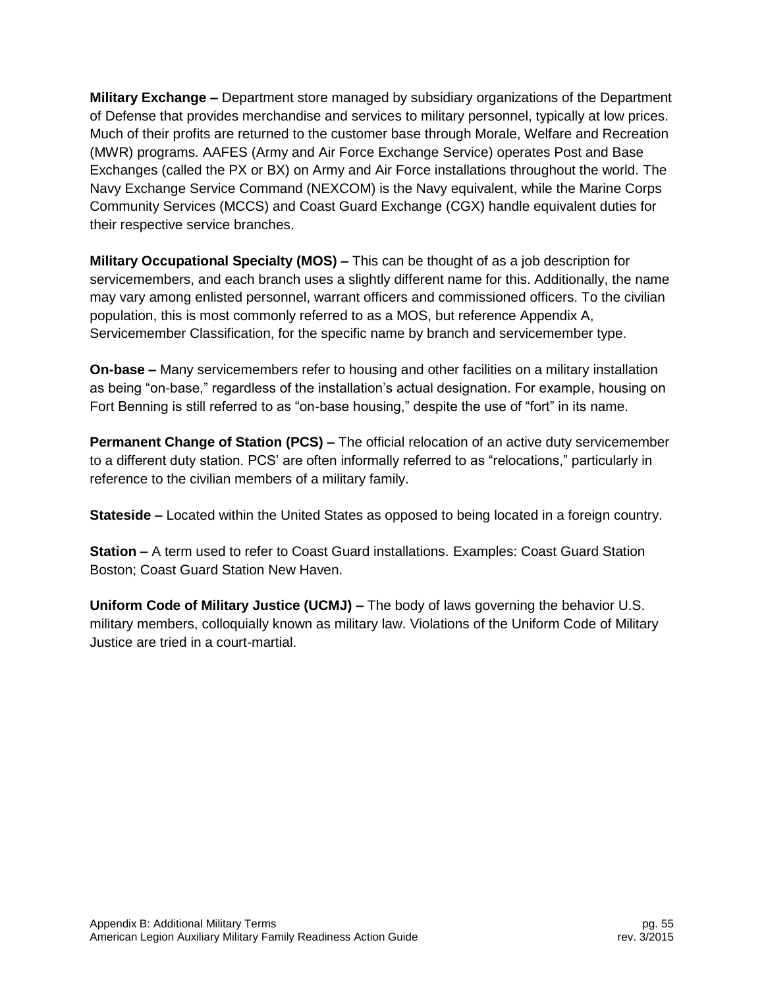**Military Exchange –** Department store managed by subsidiary organizations of the Department of Defense that provides merchandise and services to military personnel, typically at low prices. Much of their profits are returned to the customer base through Morale, Welfare and Recreation (MWR) programs. AAFES (Army and Air Force Exchange Service) operates Post and Base Exchanges (called the PX or BX) on Army and Air Force installations throughout the world. The Navy Exchange Service Command (NEXCOM) is the Navy equivalent, while the Marine Corps Community Services (MCCS) and Coast Guard Exchange (CGX) handle equivalent duties for their respective service branches.

**Military Occupational Specialty (MOS) –** This can be thought of as a job description for servicemembers, and each branch uses a slightly different name for this. Additionally, the name may vary among enlisted personnel, warrant officers and commissioned officers. To the civilian population, this is most commonly referred to as a MOS, but reference Appendix A, Servicemember Classification, for the specific name by branch and servicemember type.

**On-base –** Many servicemembers refer to housing and other facilities on a military installation as being "on-base," regardless of the installation's actual designation. For example, housing on Fort Benning is still referred to as "on-base housing," despite the use of "fort" in its name.

**Permanent Change of Station (PCS) –** The official relocation of an active duty servicemember to a different duty station. PCS' are often informally referred to as "relocations," particularly in reference to the civilian members of a military family.

**Stateside –** Located within the United States as opposed to being located in a foreign country.

**Station –** A term used to refer to Coast Guard installations. Examples: Coast Guard Station Boston; Coast Guard Station New Haven.

**Uniform Code of Military Justice (UCMJ) –** The body of laws governing the behavior U.S. military members, colloquially known as military law. Violations of the Uniform Code of Military Justice are tried in a court-martial.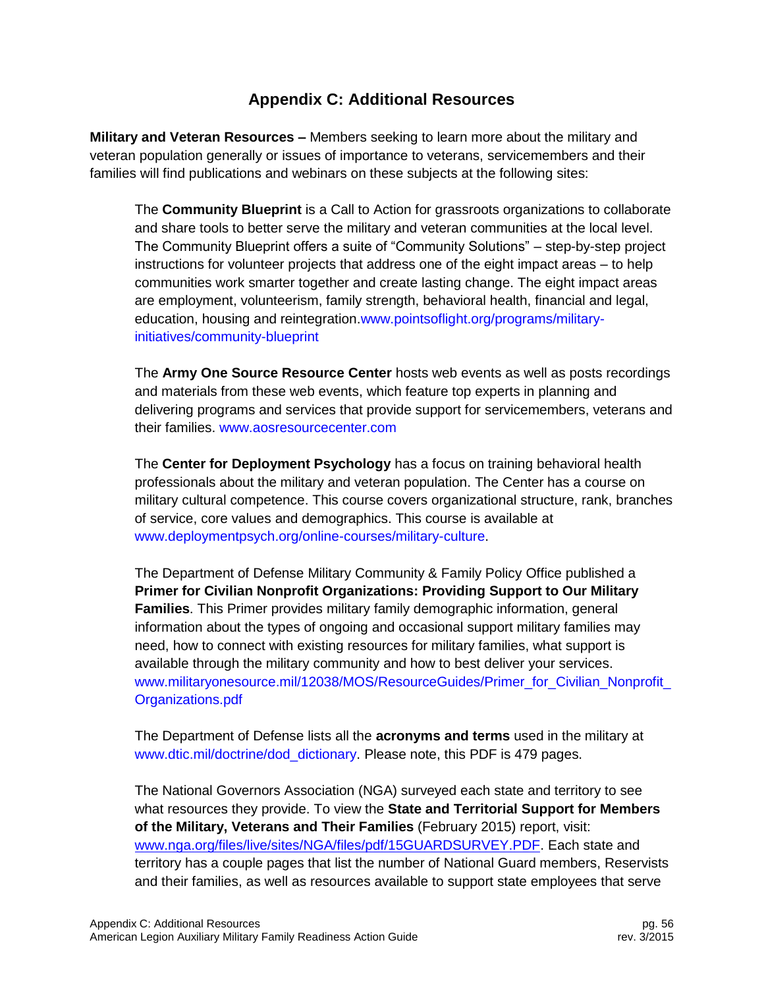# **Appendix C: Additional Resources**

<span id="page-56-0"></span>**Military and Veteran Resources –** Members seeking to learn more about the military and veteran population generally or issues of importance to veterans, servicemembers and their families will find publications and webinars on these subjects at the following sites:

The **Community Blueprint** is a Call to Action for grassroots organizations to collaborate and share tools to better serve the military and veteran communities at the local level. The Community Blueprint offers a suite of "Community Solutions" – step-by-step project instructions for volunteer projects that address one of the eight impact areas – to help communities work smarter together and create lasting change. The eight impact areas are employment, volunteerism, family strength, behavioral health, financial and legal, education, housing and reintegration[.www.pointsoflight.org/programs/military](http://www.pointsoflight.org/programs/military-initiatives/community-blueprint)[initiatives/community-blueprint](http://www.pointsoflight.org/programs/military-initiatives/community-blueprint)

The **Army One Source Resource Center** hosts web events as well as posts recordings and materials from these web events, which feature top experts in planning and delivering programs and services that provide support for servicemembers, veterans and their families. [www.aosresourcecenter.com](http://www.aosresourcecenter.com/)

The **Center for Deployment Psychology** has a focus on training behavioral health professionals about the military and veteran population. The Center has a course on military cultural competence. This course covers organizational structure, rank, branches of service, core values and demographics. This course is available at [www.deploymentpsych.org/online-courses/military-culture.](http://www.deploymentpsych.org/online-courses/military-culture)

The Department of Defense Military Community & Family Policy Office published a **Primer for Civilian Nonprofit Organizations: Providing Support to Our Military Families**. This Primer provides military family demographic information, general information about the types of ongoing and occasional support military families may need, how to connect with existing resources for military families, what support is available through the military community and how to best deliver your services. www.militaryonesource.mil/12038/MOS/ResourceGuides/Primer\_for\_Civilian\_Nonprofit [Organizations.pdf](http://www.militaryonesource.mil/12038/MOS/ResourceGuides/Primer_for_Civilian_Nonprofit_Organizations.pdf)

The Department of Defense lists all the **acronyms and terms** used in the military at [www.dtic.mil/doctrine/dod\\_dictionary.](http://www.dtic.mil/doctrine/dod_dictionary) Please note, this PDF is 479 pages.

The National Governors Association (NGA) surveyed each state and territory to see what resources they provide. To view the **State and Territorial Support for Members of the Military, Veterans and Their Families** (February 2015) report, visit: [www.nga.org/files/live/sites/NGA/files/pdf/15GUARDSURVEY.PDF.](http://www.nga.org/files/live/sites/NGA/files/pdf/15GUARDSURVEY.PDF) Each state and territory has a couple pages that list the number of National Guard members, Reservists and their families, as well as resources available to support state employees that serve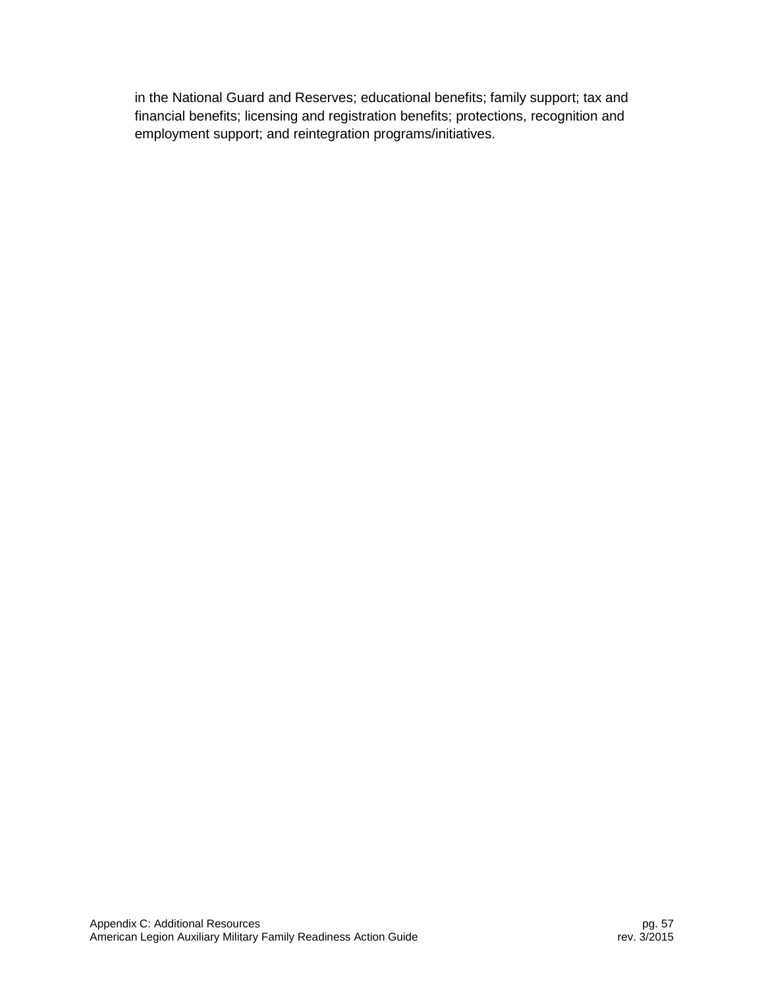in the National Guard and Reserves; educational benefits; family support; tax and financial benefits; licensing and registration benefits; protections, recognition and employment support; and reintegration programs/initiatives.